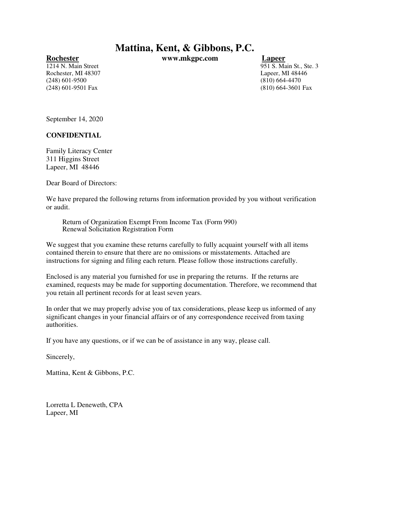**Mattina, Kent, & Gibbons, P.C.**

Rochester, MI 48307 Lapeer, MI 48446 (248) 601-9500 (810) 664-4470 (248) 601-9501 Fax (810) 664-3601 Fax

**Rochester www.mkgpc.com Lapeer**

1214 N. Main Street 951 S. Main St., Ste. 3

September 14, 2020

**CONFIDENTIAL**

Family Literacy Center 311 Higgins Street Lapeer, MI 48446

Dear Board of Directors:

We have prepared the following returns from information provided by you without verification or audit.

Return of Organization Exempt From Income Tax (Form 990) Renewal Solicitation Registration Form

We suggest that you examine these returns carefully to fully acquaint yourself with all items contained therein to ensure that there are no omissions or misstatements. Attached are instructions for signing and filing each return. Please follow those instructions carefully.

Enclosed is any material you furnished for use in preparing the returns. If the returns are examined, requests may be made for supporting documentation. Therefore, we recommend that you retain all pertinent records for at least seven years.

In order that we may properly advise you of tax considerations, please keep us informed of any significant changes in your financial affairs or of any correspondence received from taxing authorities.

If you have any questions, or if we can be of assistance in any way, please call.

Sincerely,

Mattina, Kent & Gibbons, P.C.

Lorretta L Deneweth, CPA Lapeer, MI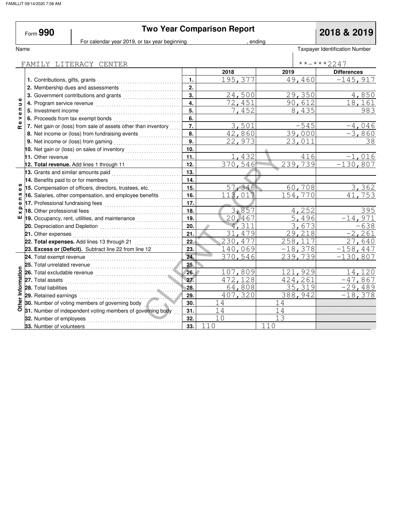|                               | Form $990$                          | <b>Two Year Comparison Report</b>                                                                                                                                                                                              |                  |         |                      |                                |
|-------------------------------|-------------------------------------|--------------------------------------------------------------------------------------------------------------------------------------------------------------------------------------------------------------------------------|------------------|---------|----------------------|--------------------------------|
| Name                          |                                     | For calendar year 2019, or tax year beginning                                                                                                                                                                                  |                  |         | endina               | Taxpayer Identification Number |
|                               |                                     |                                                                                                                                                                                                                                |                  |         |                      |                                |
|                               |                                     | FAMILY LITERACY CENTER                                                                                                                                                                                                         |                  |         |                      | **-***2247                     |
|                               |                                     |                                                                                                                                                                                                                                |                  | 2018    | 2019                 | <b>Differences</b>             |
|                               |                                     |                                                                                                                                                                                                                                | 1.               | 195,377 | 49,460               | $-145,917$                     |
|                               |                                     | 2. Membership dues and assessments                                                                                                                                                                                             | 2.               |         |                      |                                |
|                               |                                     | 3. Government contributions and grants [111][11] Content and grants [11] Content and Superinten and Superinten and Superinten and Superinten and Superinten and Superinten and Superinten and Superinten and Superinten and Su | 3.               | 24,500  | 29,350               | 4,850                          |
| Φ<br>$\overline{\phantom{a}}$ |                                     |                                                                                                                                                                                                                                | $\overline{4}$ . | 72,451  | 90,612               | 18,161                         |
| $\mathbf{C}$<br>Φ             | 5. Investment income                |                                                                                                                                                                                                                                | 5.               | 7,452   | 8,435                | 983                            |
| $\overline{ }$                |                                     |                                                                                                                                                                                                                                | 6.               |         |                      |                                |
| Œ                             |                                     | 7. Net gain or (loss) from sale of assets other than inventory                                                                                                                                                                 | 7.               | 3,501   | $-545$               | $-4,046$                       |
|                               |                                     |                                                                                                                                                                                                                                | 8.               | 42,860  | 39,000               | $-3,860$                       |
|                               |                                     |                                                                                                                                                                                                                                | 9.               | 22,973  | 23,011               | 38                             |
|                               |                                     | 10. Net gain or (loss) on sales of inventory                                                                                                                                                                                   | 10.              |         |                      |                                |
|                               |                                     |                                                                                                                                                                                                                                | 11.              | 1,432   | 416                  | $-1,016$                       |
|                               |                                     | 12. Total revenue. Add lines 1 through 11                                                                                                                                                                                      | 12.              | 370,546 | 239,739              | $-130,807$                     |
|                               | 13. Grants and similar amounts paid |                                                                                                                                                                                                                                | 13.              |         |                      |                                |
|                               | 14. Benefits paid to or for members |                                                                                                                                                                                                                                | 14.              |         |                      |                                |
|                               |                                     | 15. Compensation of officers, directors, trustees, etc.                                                                                                                                                                        | 15.              | 57,346  | 60,708               | 3,362                          |
| <b>S</b>                      |                                     | 16. Salaries, other compensation, and employee benefits                                                                                                                                                                        | 16.              | 113,017 | 154,770              | 753<br>41.                     |
| Ξ<br>Ф                        |                                     |                                                                                                                                                                                                                                | 17.              |         |                      |                                |
| ×                             | 18. Other professional fees         |                                                                                                                                                                                                                                | 18.              | 3,857   | $\overline{4}$ , 252 | 395                            |
| ш                             |                                     | 19. Occupancy, rent, utilities, and maintenance <i>miniminal</i>                                                                                                                                                               | 19.              | 20,467  | 5,496                | $-14,971$                      |
|                               |                                     |                                                                                                                                                                                                                                | 20.              | 4,311   | 3,673                | $-638$                         |
|                               |                                     |                                                                                                                                                                                                                                | 21.              | 31,479  | 29,218               | $-2, 261$                      |
|                               |                                     | 22. Total expenses. Add lines 13 through 21                                                                                                                                                                                    | 22.              | 230,477 | 258, 117             | 27,640                         |
|                               |                                     | 23. Excess or (Deficit). Subtract line 22 from line 12                                                                                                                                                                         | 23.              | 140,069 | $-18,378$            | $-158, 447$                    |
|                               |                                     |                                                                                                                                                                                                                                | 24.              | 370,546 | 239,739              | $-130,807$                     |
|                               | 25. Total unrelated revenue         |                                                                                                                                                                                                                                | 25.              |         |                      |                                |
|                               | 26. Total excludable revenue        |                                                                                                                                                                                                                                | 26.              | 107,809 | 121,929              | 14,120                         |
|                               |                                     |                                                                                                                                                                                                                                | 27.              | 472,128 | 424,261              | $-47,867$                      |
|                               | 28. Total liabilities               |                                                                                                                                                                                                                                | 28.              | 64,808  | 35,319               | $-29,489$                      |
| Other Information             | 29. Retained earnings               |                                                                                                                                                                                                                                | 29.              | 407,320 | 388,942              | $-18,378$                      |
|                               |                                     | 30. Number of voting members of governing body                                                                                                                                                                                 | 30.              | 14      | 14                   |                                |
|                               |                                     | 31. Number of independent voting members of governing body                                                                                                                                                                     | 31.              | 14      | 14                   |                                |
|                               | 32. Number of employees             |                                                                                                                                                                                                                                | 32.              | 10      | 13                   |                                |
|                               | 33. Number of volunteers            |                                                                                                                                                                                                                                | 33.              | 110     | 110                  |                                |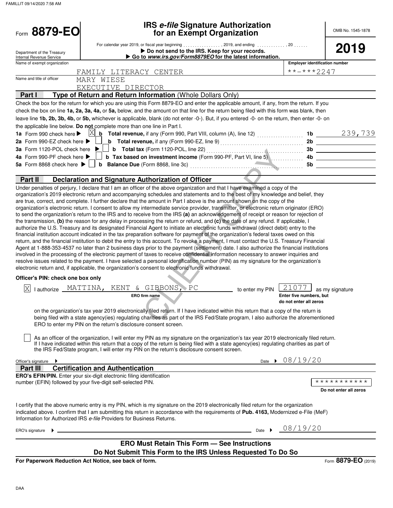| Form 8879-EO                                                                                                                                       |                                                                                                                                                                                                                                                                                                                                                                                                                                                                                                                                                                                                                                                                                                                                                                                                                                                                                                                                                                                                                                                                                                                                                                                                                                                                                                                                                                                                                                                                                                                                                                                                                                                          | <b>IRS e-file Signature Authorization</b><br>for an Exempt Organization                                                                                                                                                                                                                                                                              |                 |                                                            | OMB No. 1545-1878                     |
|----------------------------------------------------------------------------------------------------------------------------------------------------|----------------------------------------------------------------------------------------------------------------------------------------------------------------------------------------------------------------------------------------------------------------------------------------------------------------------------------------------------------------------------------------------------------------------------------------------------------------------------------------------------------------------------------------------------------------------------------------------------------------------------------------------------------------------------------------------------------------------------------------------------------------------------------------------------------------------------------------------------------------------------------------------------------------------------------------------------------------------------------------------------------------------------------------------------------------------------------------------------------------------------------------------------------------------------------------------------------------------------------------------------------------------------------------------------------------------------------------------------------------------------------------------------------------------------------------------------------------------------------------------------------------------------------------------------------------------------------------------------------------------------------------------------------|------------------------------------------------------------------------------------------------------------------------------------------------------------------------------------------------------------------------------------------------------------------------------------------------------------------------------------------------------|-----------------|------------------------------------------------------------|---------------------------------------|
| Department of the Treasury                                                                                                                         |                                                                                                                                                                                                                                                                                                                                                                                                                                                                                                                                                                                                                                                                                                                                                                                                                                                                                                                                                                                                                                                                                                                                                                                                                                                                                                                                                                                                                                                                                                                                                                                                                                                          | ▶ Do not send to the IRS. Keep for your records.                                                                                                                                                                                                                                                                                                     |                 |                                                            | 2019                                  |
| Internal Revenue Service                                                                                                                           |                                                                                                                                                                                                                                                                                                                                                                                                                                                                                                                                                                                                                                                                                                                                                                                                                                                                                                                                                                                                                                                                                                                                                                                                                                                                                                                                                                                                                                                                                                                                                                                                                                                          | Go to www.irs.gov/Form8879EO for the latest information.                                                                                                                                                                                                                                                                                             |                 | <b>Employer identification number</b>                      |                                       |
| Name of exempt organization                                                                                                                        |                                                                                                                                                                                                                                                                                                                                                                                                                                                                                                                                                                                                                                                                                                                                                                                                                                                                                                                                                                                                                                                                                                                                                                                                                                                                                                                                                                                                                                                                                                                                                                                                                                                          |                                                                                                                                                                                                                                                                                                                                                      |                 | **-***2247                                                 |                                       |
| Name and title of officer                                                                                                                          | FAMILY LITERACY CENTER<br>MARY WIESE                                                                                                                                                                                                                                                                                                                                                                                                                                                                                                                                                                                                                                                                                                                                                                                                                                                                                                                                                                                                                                                                                                                                                                                                                                                                                                                                                                                                                                                                                                                                                                                                                     |                                                                                                                                                                                                                                                                                                                                                      |                 |                                                            |                                       |
|                                                                                                                                                    | EXECUTIVE DIRECTOR                                                                                                                                                                                                                                                                                                                                                                                                                                                                                                                                                                                                                                                                                                                                                                                                                                                                                                                                                                                                                                                                                                                                                                                                                                                                                                                                                                                                                                                                                                                                                                                                                                       |                                                                                                                                                                                                                                                                                                                                                      |                 |                                                            |                                       |
| Part I                                                                                                                                             | Type of Return and Return Information (Whole Dollars Only)                                                                                                                                                                                                                                                                                                                                                                                                                                                                                                                                                                                                                                                                                                                                                                                                                                                                                                                                                                                                                                                                                                                                                                                                                                                                                                                                                                                                                                                                                                                                                                                               |                                                                                                                                                                                                                                                                                                                                                      |                 |                                                            |                                       |
|                                                                                                                                                    | Check the box for the return for which you are using this Form 8879-EO and enter the applicable amount, if any, from the return. If you<br>check the box on line 1a, 2a, 3a, 4a, or 5a, below, and the amount on that line for the return being filed with this form was blank, then<br>leave line 1b, 2b, 3b, 4b, or 5b, whichever is applicable, blank (do not enter -0-). But, if you entered -0- on the return, then enter -0- on                                                                                                                                                                                                                                                                                                                                                                                                                                                                                                                                                                                                                                                                                                                                                                                                                                                                                                                                                                                                                                                                                                                                                                                                                    |                                                                                                                                                                                                                                                                                                                                                      |                 |                                                            |                                       |
|                                                                                                                                                    | the applicable line below. Do not complete more than one line in Part I.                                                                                                                                                                                                                                                                                                                                                                                                                                                                                                                                                                                                                                                                                                                                                                                                                                                                                                                                                                                                                                                                                                                                                                                                                                                                                                                                                                                                                                                                                                                                                                                 |                                                                                                                                                                                                                                                                                                                                                      |                 |                                                            |                                       |
| 1a Form 990 check here ><br>2a Form 990-EZ check here ▶<br>3a Form 1120-POL check here<br>4a Form 990-PF check here ▶<br>5a Form 8868 check here ▶ | X<br>b                                                                                                                                                                                                                                                                                                                                                                                                                                                                                                                                                                                                                                                                                                                                                                                                                                                                                                                                                                                                                                                                                                                                                                                                                                                                                                                                                                                                                                                                                                                                                                                                                                                   | <b>b</b> Total revenue, if any (Form 990, Part VIII, column (A), line 12) $\ldots$<br><b>b</b> Total revenue, if any (Form 990-EZ, line 9) $\ldots$ $\ldots$ $\ldots$ $\ldots$ $\ldots$ $\ldots$<br><b>b</b> Total tax (Form 1120-POL, line 22) $\ldots$ $\ldots$ $\ldots$<br><b>b</b> Tax based on investment income (Form 990-PF, Part VI, line 5) |                 | 4b<br>5b                                                   | 1b $239,739$<br>2b<br>3b              |
| Part II                                                                                                                                            | <b>Declaration and Signature Authorization of Officer</b>                                                                                                                                                                                                                                                                                                                                                                                                                                                                                                                                                                                                                                                                                                                                                                                                                                                                                                                                                                                                                                                                                                                                                                                                                                                                                                                                                                                                                                                                                                                                                                                                |                                                                                                                                                                                                                                                                                                                                                      |                 |                                                            |                                       |
|                                                                                                                                                    | organization's 2019 electronic return and accompanying schedules and statements and to the best of my knowledge and belief, they<br>are true, correct, and complete. I further declare that the amount in Part I above is the amount shown on the copy of the<br>organization's electronic return. I consent to allow my intermediate service provider, transmitter, or electronic return originator (ERO)<br>to send the organization's return to the IRS and to receive from the IRS (a) an acknowledgement of receipt or reason for rejection of<br>the transmission, (b) the reason for any delay in processing the return or refund, and (c) the date of any refund. If applicable, I<br>authorize the U.S. Treasury and its designated Financial Agent to initiate an electronic funds withdrawal (direct debit) entry to the<br>financial institution account indicated in the tax preparation software for payment of the organization's federal taxes owed on this<br>return, and the financial institution to debit the entry to this account. To revoke a payment, I must contact the U.S. Treasury Financial<br>Agent at 1-888-353-4537 no later than 2 business days prior to the payment (settlement) date. I also authorize the financial institutions<br>involved in the processing of the electronic payment of taxes to receive confidential information necessary to answer inquiries and<br>resolve issues related to the payment. I have selected a personal identification number (PIN) as my signature for the organization's<br>electronic return and, if applicable, the organization's consent to electronic funds withdrawal. |                                                                                                                                                                                                                                                                                                                                                      |                 |                                                            |                                       |
| Officer's PIN: check one box only                                                                                                                  |                                                                                                                                                                                                                                                                                                                                                                                                                                                                                                                                                                                                                                                                                                                                                                                                                                                                                                                                                                                                                                                                                                                                                                                                                                                                                                                                                                                                                                                                                                                                                                                                                                                          |                                                                                                                                                                                                                                                                                                                                                      |                 |                                                            |                                       |
| ΙX                                                                                                                                                 | lauthorize MATTINA, KENT & GIBBONS, PC<br>ERO firm name                                                                                                                                                                                                                                                                                                                                                                                                                                                                                                                                                                                                                                                                                                                                                                                                                                                                                                                                                                                                                                                                                                                                                                                                                                                                                                                                                                                                                                                                                                                                                                                                  |                                                                                                                                                                                                                                                                                                                                                      | to enter my PIN | 21077<br>Enter five numbers, but<br>do not enter all zeros | as my signature                       |
|                                                                                                                                                    | on the organization's tax year 2019 electronically filed return. If I have indicated within this return that a copy of the return is<br>being filed with a state agency(ies) regulating charities as part of the IRS Fed/State program, I also authorize the aforementioned<br>ERO to enter my PIN on the return's disclosure consent screen.                                                                                                                                                                                                                                                                                                                                                                                                                                                                                                                                                                                                                                                                                                                                                                                                                                                                                                                                                                                                                                                                                                                                                                                                                                                                                                            |                                                                                                                                                                                                                                                                                                                                                      |                 |                                                            |                                       |
|                                                                                                                                                    | As an officer of the organization, I will enter my PIN as my signature on the organization's tax year 2019 electronically filed return.<br>If I have indicated within this return that a copy of the return is being filed with a state agency(ies) regulating charities as part of<br>the IRS Fed/State program, I will enter my PIN on the return's disclosure consent screen.                                                                                                                                                                                                                                                                                                                                                                                                                                                                                                                                                                                                                                                                                                                                                                                                                                                                                                                                                                                                                                                                                                                                                                                                                                                                         |                                                                                                                                                                                                                                                                                                                                                      |                 |                                                            |                                       |
| Officer's signature                                                                                                                                |                                                                                                                                                                                                                                                                                                                                                                                                                                                                                                                                                                                                                                                                                                                                                                                                                                                                                                                                                                                                                                                                                                                                                                                                                                                                                                                                                                                                                                                                                                                                                                                                                                                          |                                                                                                                                                                                                                                                                                                                                                      |                 | Date > 08/19/20                                            |                                       |
| Partuu                                                                                                                                             | <b>Certification and Authentication</b>                                                                                                                                                                                                                                                                                                                                                                                                                                                                                                                                                                                                                                                                                                                                                                                                                                                                                                                                                                                                                                                                                                                                                                                                                                                                                                                                                                                                                                                                                                                                                                                                                  |                                                                                                                                                                                                                                                                                                                                                      |                 |                                                            |                                       |
|                                                                                                                                                    | ERO's EFIN/PIN. Enter your six-digit electronic filing identification<br>number (EFIN) followed by your five-digit self-selected PIN.                                                                                                                                                                                                                                                                                                                                                                                                                                                                                                                                                                                                                                                                                                                                                                                                                                                                                                                                                                                                                                                                                                                                                                                                                                                                                                                                                                                                                                                                                                                    |                                                                                                                                                                                                                                                                                                                                                      |                 |                                                            | ***********<br>Do not enter all zeros |
|                                                                                                                                                    | I certify that the above numeric entry is my PIN, which is my signature on the 2019 electronically filed return for the organization<br>indicated above. I confirm that I am submitting this return in accordance with the requirements of Pub. 4163, Modernized e-File (MeF)<br>Information for Authorized IRS e-file Providers for Business Returns.                                                                                                                                                                                                                                                                                                                                                                                                                                                                                                                                                                                                                                                                                                                                                                                                                                                                                                                                                                                                                                                                                                                                                                                                                                                                                                   |                                                                                                                                                                                                                                                                                                                                                      |                 |                                                            |                                       |
| ERO's signature                                                                                                                                    |                                                                                                                                                                                                                                                                                                                                                                                                                                                                                                                                                                                                                                                                                                                                                                                                                                                                                                                                                                                                                                                                                                                                                                                                                                                                                                                                                                                                                                                                                                                                                                                                                                                          |                                                                                                                                                                                                                                                                                                                                                      | Date            | 08/19/20                                                   |                                       |
|                                                                                                                                                    | Do Not Submit This Form to the IRS Unless Requested To Do So                                                                                                                                                                                                                                                                                                                                                                                                                                                                                                                                                                                                                                                                                                                                                                                                                                                                                                                                                                                                                                                                                                                                                                                                                                                                                                                                                                                                                                                                                                                                                                                             | <b>ERO Must Retain This Form - See Instructions</b>                                                                                                                                                                                                                                                                                                  |                 |                                                            |                                       |

**For Paperwork Reduction Act Notice, see back of form.**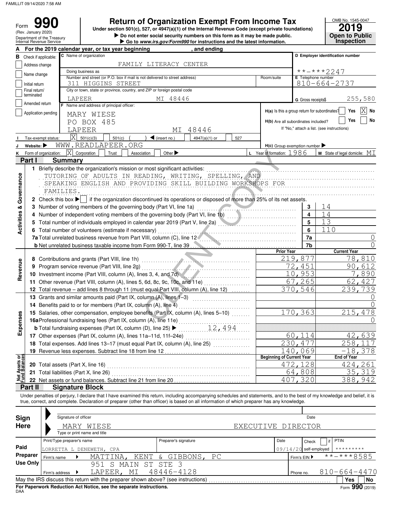(Rev. January 2020)

Form

**• Do not enter social security numbers on this form as it may be made public. Open to Public Return of Organization Exempt From Income Tax**<br>  $\frac{1}{2019}$ <br> **Pouse the Treasury**<br> **Pouse tenter social security numbers on this form as it may be made public.**<br> **Pouse the Public Under section 501(c), 527, or 4947(a)(1) of the Internal Revenue Code (except private foundations)**

|  | ► Go to <i>www.irs.gov/Form990</i> for instructions and the latest information. |  |  |
|--|---------------------------------------------------------------------------------|--|--|
|  |                                                                                 |  |  |

|                                | Department of the Treasury<br>Internal Revenue Service |                                                                   |                                              |                                                                                   |                                   | $\sim$ , $\sim$ , $\sim$ , $\sim$ , $\sim$ , $\sim$ , $\sim$ , $\sim$ , $\sim$ , $\sim$ , $\sim$ , $\sim$ , $\sim$ , $\sim$ , $\sim$ , $\sim$ , $\sim$ , $\sim$ , $\sim$ , $\sim$ , $\sim$ , $\sim$ , $\sim$ , $\sim$ , $\sim$ , $\sim$ , $\sim$ , $\sim$ , $\sim$ , $\sim$ , $\sim$ , $\sim$<br>Go to <i>www.irs.gov/Form990</i> for instructions and the latest information. |     |                                               |                                  | <b>ONGH IN LAND</b><br><b>Inspection</b>                                                                                                                                   |  |  |  |
|--------------------------------|--------------------------------------------------------|-------------------------------------------------------------------|----------------------------------------------|-----------------------------------------------------------------------------------|-----------------------------------|--------------------------------------------------------------------------------------------------------------------------------------------------------------------------------------------------------------------------------------------------------------------------------------------------------------------------------------------------------------------------------|-----|-----------------------------------------------|----------------------------------|----------------------------------------------------------------------------------------------------------------------------------------------------------------------------|--|--|--|
|                                | For the 2019 calendar year, or tax year beginning      |                                                                   |                                              |                                                                                   |                                   | , and ending                                                                                                                                                                                                                                                                                                                                                                   |     |                                               |                                  |                                                                                                                                                                            |  |  |  |
|                                | <b>B</b> Check if applicable:                          |                                                                   | C Name of organization                       |                                                                                   |                                   |                                                                                                                                                                                                                                                                                                                                                                                |     |                                               | D Employer identification number |                                                                                                                                                                            |  |  |  |
|                                | Address change                                         |                                                                   |                                              | FAMILY LITERACY CENTER                                                            |                                   |                                                                                                                                                                                                                                                                                                                                                                                |     |                                               |                                  |                                                                                                                                                                            |  |  |  |
|                                | Name change                                            |                                                                   | Doing business as                            |                                                                                   |                                   |                                                                                                                                                                                                                                                                                                                                                                                |     |                                               |                                  | **-***2247                                                                                                                                                                 |  |  |  |
|                                |                                                        |                                                                   |                                              | Number and street (or P.O. box if mail is not delivered to street address)        |                                   |                                                                                                                                                                                                                                                                                                                                                                                |     | Room/suite                                    | E Telephone number               |                                                                                                                                                                            |  |  |  |
|                                | Initial return                                         |                                                                   | 311 HIGGINS STREET                           |                                                                                   |                                   |                                                                                                                                                                                                                                                                                                                                                                                |     |                                               |                                  | $810 - 664 - 2737$                                                                                                                                                         |  |  |  |
|                                | Final return/<br>terminated                            |                                                                   |                                              | City or town, state or province, country, and ZIP or foreign postal code          |                                   |                                                                                                                                                                                                                                                                                                                                                                                |     |                                               |                                  |                                                                                                                                                                            |  |  |  |
|                                | Amended return                                         |                                                                   | LAPEER                                       |                                                                                   | MI 48446                          |                                                                                                                                                                                                                                                                                                                                                                                |     |                                               | G Gross receipts\$               | 255,580                                                                                                                                                                    |  |  |  |
|                                |                                                        |                                                                   | F Name and address of principal officer:     |                                                                                   |                                   |                                                                                                                                                                                                                                                                                                                                                                                |     | H(a) Is this a group return for subordinates? |                                  | $ X $ No<br>Yes                                                                                                                                                            |  |  |  |
|                                | Application pending                                    |                                                                   | MARY WIESE                                   |                                                                                   |                                   |                                                                                                                                                                                                                                                                                                                                                                                |     |                                               |                                  |                                                                                                                                                                            |  |  |  |
|                                |                                                        |                                                                   | PO BOX 485                                   |                                                                                   |                                   |                                                                                                                                                                                                                                                                                                                                                                                |     | H(b) Are all subordinates included?           |                                  | Yes<br>No                                                                                                                                                                  |  |  |  |
|                                |                                                        |                                                                   | LAPEER                                       |                                                                                   | МI                                | 48446                                                                                                                                                                                                                                                                                                                                                                          |     |                                               |                                  | If "No," attach a list. (see instructions)                                                                                                                                 |  |  |  |
|                                | Tax-exempt status:                                     | $\vert\mathrm{X}\vert$                                            | 501(c)(3)                                    | 501(c)                                                                            | $\blacktriangleleft$ (insert no.) | 4947(a)(1) or                                                                                                                                                                                                                                                                                                                                                                  | 527 |                                               |                                  |                                                                                                                                                                            |  |  |  |
|                                | Website: $\blacktriangleright$                         |                                                                   | WWW.READLAPEER.ORG                           |                                                                                   |                                   |                                                                                                                                                                                                                                                                                                                                                                                |     | $H(c)$ Group exemption number                 |                                  |                                                                                                                                                                            |  |  |  |
| ĸ                              | Form of organization:                                  | IХI                                                               | Corporation<br>Trust                         | Association                                                                       | Other $\blacktriangleright$       |                                                                                                                                                                                                                                                                                                                                                                                |     | L Year of formation: $1986$                   |                                  | <b>M</b> State of legal domicile: $MI$                                                                                                                                     |  |  |  |
|                                | Parti                                                  | <b>Summary</b>                                                    |                                              |                                                                                   |                                   |                                                                                                                                                                                                                                                                                                                                                                                |     |                                               |                                  |                                                                                                                                                                            |  |  |  |
|                                |                                                        |                                                                   |                                              | 1 Briefly describe the organization's mission or most significant activities:     |                                   |                                                                                                                                                                                                                                                                                                                                                                                |     |                                               |                                  |                                                                                                                                                                            |  |  |  |
|                                |                                                        |                                                                   |                                              |                                                                                   |                                   | TUTORING OF ADULTS IN READING, WRITING, SPELLING, AND                                                                                                                                                                                                                                                                                                                          |     |                                               |                                  |                                                                                                                                                                            |  |  |  |
| Governance                     |                                                        |                                                                   |                                              |                                                                                   |                                   | SPEAKING ENGLISH AND PROVIDING SKILL BUILDING WORKSHOPS FOR                                                                                                                                                                                                                                                                                                                    |     |                                               |                                  |                                                                                                                                                                            |  |  |  |
|                                |                                                        |                                                                   |                                              |                                                                                   |                                   |                                                                                                                                                                                                                                                                                                                                                                                |     |                                               |                                  |                                                                                                                                                                            |  |  |  |
|                                |                                                        | FAMILIES.                                                         |                                              |                                                                                   |                                   |                                                                                                                                                                                                                                                                                                                                                                                |     |                                               |                                  |                                                                                                                                                                            |  |  |  |
|                                |                                                        |                                                                   |                                              |                                                                                   |                                   | 2 Check this box $\blacktriangleright$ if the organization discontinued its operations or disposed of more than 25% of its net assets.                                                                                                                                                                                                                                         |     |                                               |                                  |                                                                                                                                                                            |  |  |  |
| <b>Activities &amp;</b>        | 3.                                                     |                                                                   |                                              | Number of voting members of the governing body (Part VI, line 1a)                 |                                   |                                                                                                                                                                                                                                                                                                                                                                                |     |                                               | 3                                | 14                                                                                                                                                                         |  |  |  |
|                                | 4                                                      |                                                                   |                                              |                                                                                   |                                   | Number of independent voting members of the governing body (Part VI, line 1b)                                                                                                                                                                                                                                                                                                  |     |                                               | 4                                | 14                                                                                                                                                                         |  |  |  |
|                                |                                                        |                                                                   |                                              |                                                                                   |                                   | Total number of individuals employed in calendar year 2019 (Part V, line 2a)                                                                                                                                                                                                                                                                                                   |     |                                               | $5\phantom{1}$                   | 13                                                                                                                                                                         |  |  |  |
|                                | 6                                                      |                                                                   |                                              | Total number of volunteers (estimate if necessary)                                |                                   |                                                                                                                                                                                                                                                                                                                                                                                |     |                                               | 6                                | 110                                                                                                                                                                        |  |  |  |
|                                |                                                        |                                                                   |                                              |                                                                                   |                                   | 7a Total unrelated business revenue from Part VIII, column (C), line 12                                                                                                                                                                                                                                                                                                        |     |                                               | 7a                               | $\left( \right)$                                                                                                                                                           |  |  |  |
|                                |                                                        |                                                                   |                                              |                                                                                   |                                   |                                                                                                                                                                                                                                                                                                                                                                                |     |                                               | 7b                               | $\Omega$                                                                                                                                                                   |  |  |  |
|                                |                                                        |                                                                   |                                              |                                                                                   |                                   |                                                                                                                                                                                                                                                                                                                                                                                |     | <b>Prior Year</b>                             |                                  | <b>Current Year</b>                                                                                                                                                        |  |  |  |
|                                |                                                        |                                                                   |                                              |                                                                                   |                                   |                                                                                                                                                                                                                                                                                                                                                                                |     |                                               | 219,877                          | 78,810                                                                                                                                                                     |  |  |  |
| Revenue                        | 9                                                      |                                                                   | Program service revenue (Part VIII, line 2g) |                                                                                   |                                   |                                                                                                                                                                                                                                                                                                                                                                                |     |                                               | 72,451                           | 90,612                                                                                                                                                                     |  |  |  |
|                                |                                                        |                                                                   |                                              | 10 Investment income (Part VIII, column (A), lines 3, 4, and 7d)                  |                                   |                                                                                                                                                                                                                                                                                                                                                                                |     |                                               | 10,953                           | 7,890                                                                                                                                                                      |  |  |  |
|                                |                                                        |                                                                   |                                              | 11 Other revenue (Part VIII, column (A), lines 5, 6d, 8c, 9c, 10c, and 11e)       |                                   |                                                                                                                                                                                                                                                                                                                                                                                |     |                                               | 67,265                           | 62,427                                                                                                                                                                     |  |  |  |
|                                |                                                        |                                                                   |                                              |                                                                                   |                                   | 12 Total revenue - add lines 8 through 11 (must equal Part VIII, column (A), line 12)                                                                                                                                                                                                                                                                                          | .   |                                               | 370,546                          | 239,739                                                                                                                                                                    |  |  |  |
|                                |                                                        |                                                                   |                                              | 13 Grants and similar amounts paid (Part IX, column (A), lines 1-3)               |                                   |                                                                                                                                                                                                                                                                                                                                                                                |     |                                               |                                  | $\cup$                                                                                                                                                                     |  |  |  |
|                                |                                                        |                                                                   |                                              | 14 Benefits paid to or for members (Part IX, column (A), line 4)                  |                                   |                                                                                                                                                                                                                                                                                                                                                                                |     |                                               |                                  | $\left( \right)$                                                                                                                                                           |  |  |  |
|                                |                                                        |                                                                   |                                              |                                                                                   |                                   | 15 Salaries, other compensation, employee benefits (Part IX, column (A), lines 5-10)                                                                                                                                                                                                                                                                                           |     |                                               | 170,363                          | 215,478                                                                                                                                                                    |  |  |  |
|                                |                                                        |                                                                   |                                              |                                                                                   |                                   |                                                                                                                                                                                                                                                                                                                                                                                |     |                                               |                                  |                                                                                                                                                                            |  |  |  |
| Expenses                       |                                                        | 16a Professional fundraising fees (Part IX, column (A), line 11e) |                                              |                                                                                   |                                   |                                                                                                                                                                                                                                                                                                                                                                                |     |                                               |                                  | $\left( \right)$                                                                                                                                                           |  |  |  |
|                                |                                                        |                                                                   |                                              | <b>b</b> Total fundraising expenses (Part IX, column (D), line 25) ▶              |                                   | 12,494                                                                                                                                                                                                                                                                                                                                                                         |     |                                               |                                  |                                                                                                                                                                            |  |  |  |
|                                |                                                        |                                                                   |                                              | 17 Other expenses (Part IX, column (A), lines 11a-11d, 11f-24e)                   |                                   |                                                                                                                                                                                                                                                                                                                                                                                |     |                                               | 60,114                           | 42,639                                                                                                                                                                     |  |  |  |
|                                |                                                        |                                                                   |                                              |                                                                                   |                                   | 18 Total expenses. Add lines 13-17 (must equal Part IX, column (A), line 25)                                                                                                                                                                                                                                                                                                   |     |                                               | 230, 477                         | 258,117                                                                                                                                                                    |  |  |  |
|                                |                                                        |                                                                   |                                              | 19 Revenue less expenses. Subtract line 18 from line 12                           |                                   |                                                                                                                                                                                                                                                                                                                                                                                |     |                                               | 140,069                          | $-18,378$                                                                                                                                                                  |  |  |  |
| Net Assets or<br>Fund Balances |                                                        |                                                                   |                                              |                                                                                   |                                   |                                                                                                                                                                                                                                                                                                                                                                                |     | <b>Beginning of Current Year</b>              |                                  | <b>End of Year</b>                                                                                                                                                         |  |  |  |
|                                | 20 Total assets (Part X, line 16)                      |                                                                   |                                              |                                                                                   |                                   |                                                                                                                                                                                                                                                                                                                                                                                |     |                                               | 472,128                          | 424,261                                                                                                                                                                    |  |  |  |
|                                |                                                        |                                                                   | 21 Total liabilities (Part X, line 26)       |                                                                                   |                                   |                                                                                                                                                                                                                                                                                                                                                                                |     |                                               | 64,808                           | 35,319                                                                                                                                                                     |  |  |  |
|                                |                                                        |                                                                   |                                              | 22 Net assets or fund balances. Subtract line 21 from line 20                     |                                   |                                                                                                                                                                                                                                                                                                                                                                                |     |                                               | 407,320                          | 388,942                                                                                                                                                                    |  |  |  |
|                                | Part II                                                |                                                                   | <b>Signature Block</b>                       |                                                                                   |                                   |                                                                                                                                                                                                                                                                                                                                                                                |     |                                               |                                  |                                                                                                                                                                            |  |  |  |
|                                |                                                        |                                                                   |                                              |                                                                                   |                                   |                                                                                                                                                                                                                                                                                                                                                                                |     |                                               |                                  | Under penalties of perjury, I declare that I have examined this return, including accompanying schedules and statements, and to the best of my knowledge and belief, it is |  |  |  |
|                                |                                                        |                                                                   |                                              |                                                                                   |                                   | true, correct, and complete. Declaration of preparer (other than officer) is based on all information of which preparer has any knowledge.                                                                                                                                                                                                                                     |     |                                               |                                  |                                                                                                                                                                            |  |  |  |
|                                |                                                        |                                                                   |                                              |                                                                                   |                                   |                                                                                                                                                                                                                                                                                                                                                                                |     |                                               |                                  |                                                                                                                                                                            |  |  |  |
| Sign                           |                                                        | Signature of officer                                              |                                              |                                                                                   |                                   |                                                                                                                                                                                                                                                                                                                                                                                |     |                                               | Date                             |                                                                                                                                                                            |  |  |  |
|                                | Here                                                   |                                                                   | MARY WIESE                                   |                                                                                   |                                   |                                                                                                                                                                                                                                                                                                                                                                                |     | EXECUTIVE DIRECTOR                            |                                  |                                                                                                                                                                            |  |  |  |
|                                |                                                        |                                                                   | Type or print name and title                 |                                                                                   |                                   |                                                                                                                                                                                                                                                                                                                                                                                |     |                                               |                                  |                                                                                                                                                                            |  |  |  |
|                                |                                                        | Print/Type preparer's name                                        |                                              |                                                                                   | Preparer's signature              |                                                                                                                                                                                                                                                                                                                                                                                |     | Date                                          | Check                            | PTIN<br>if                                                                                                                                                                 |  |  |  |
| Paid                           |                                                        |                                                                   | LORRETTA L DENEWETH, CPA                     |                                                                                   |                                   |                                                                                                                                                                                                                                                                                                                                                                                |     | 09/14/20                                      | self-employed                    | *********                                                                                                                                                                  |  |  |  |
|                                | Preparer<br>Firm's name                                |                                                                   | MATTINA,                                     | KENT                                                                              | & GIBBONS,                        | PC                                                                                                                                                                                                                                                                                                                                                                             |     |                                               | Firm's EIN ▶                     | $\frac{1}{x}$ *-***8585                                                                                                                                                    |  |  |  |
|                                | <b>Use Only</b>                                        |                                                                   | S<br>951                                     | MAIN                                                                              | ST STE 3                          |                                                                                                                                                                                                                                                                                                                                                                                |     |                                               |                                  |                                                                                                                                                                            |  |  |  |
|                                |                                                        |                                                                   | LAPEER, MI                                   |                                                                                   | 48446-4128                        |                                                                                                                                                                                                                                                                                                                                                                                |     |                                               |                                  | $810 - 664 - 4470$                                                                                                                                                         |  |  |  |
|                                | Firm's address                                         |                                                                   |                                              |                                                                                   |                                   |                                                                                                                                                                                                                                                                                                                                                                                |     |                                               | Phone no.                        |                                                                                                                                                                            |  |  |  |
|                                |                                                        |                                                                   |                                              | May the IRS discuss this return with the preparer shown above? (see instructions) |                                   |                                                                                                                                                                                                                                                                                                                                                                                |     |                                               |                                  | Yes<br>No                                                                                                                                                                  |  |  |  |

| <b>Sign</b> | Signature of officer       |                                                                                   |                      |  |                    | Date                     |                    |  |  |
|-------------|----------------------------|-----------------------------------------------------------------------------------|----------------------|--|--------------------|--------------------------|--------------------|--|--|
| <b>Here</b> |                            | MARY WIESE<br>Type or print name and title                                        |                      |  | EXECUTIVE DIRECTOR |                          |                    |  |  |
|             | Print/Type preparer's name |                                                                                   | Preparer's signature |  | Date               | Check                    | PTIN               |  |  |
| Paid        | LORRETTA L DENEWETH, CPA   |                                                                                   |                      |  |                    | $09/14/20$ self-employed | *********          |  |  |
| Preparer    | Firm's name                | MATTINA, KENT & GIBBONS, PC                                                       |                      |  |                    | Firm's $EIN$             | $***$ $***$ 8585   |  |  |
| Use Only    |                            | 951 S MAIN ST STE 3                                                               |                      |  |                    |                          |                    |  |  |
|             | Firm's address             | LAPEER, MI                                                                        | 48446-4128           |  | Phone no.          |                          | $810 - 664 - 4470$ |  |  |
|             |                            | May the IRS discuss this return with the preparer shown above? (see instructions) |                      |  |                    |                          | No<br>Yes          |  |  |
| <b>DAA</b>  |                            | For Paperwork Reduction Act Notice, see the separate instructions.                |                      |  |                    |                          | Form 990 (2019)    |  |  |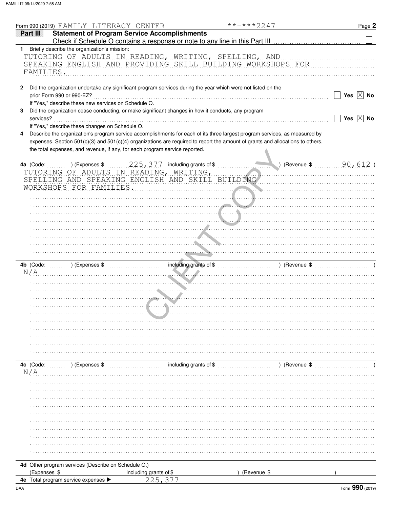|              | Form 990 (2019) FAMILY LITERACY CENTER<br>**-***2247                                                                                                                                                                                                                                                                                        | Page 2                |
|--------------|---------------------------------------------------------------------------------------------------------------------------------------------------------------------------------------------------------------------------------------------------------------------------------------------------------------------------------------------|-----------------------|
|              | <b>Statement of Program Service Accomplishments</b><br>Part III                                                                                                                                                                                                                                                                             |                       |
| 1.           | Briefly describe the organization's mission:                                                                                                                                                                                                                                                                                                |                       |
|              | TUTORING OF ADULTS IN READING, WRITING, SPELLING, AND<br>SPEAKING ENGLISH AND PROVIDING SKILL BUILDING WORKSHOPS FOR<br>FAMILIES.                                                                                                                                                                                                           |                       |
| $\mathbf{2}$ | Did the organization undertake any significant program services during the year which were not listed on the                                                                                                                                                                                                                                |                       |
|              | prior Form 990 or 990-EZ?                                                                                                                                                                                                                                                                                                                   | Yes $\overline{X}$ No |
|              | If "Yes," describe these new services on Schedule O.                                                                                                                                                                                                                                                                                        |                       |
| 3            | Did the organization cease conducting, or make significant changes in how it conducts, any program                                                                                                                                                                                                                                          |                       |
|              | services?                                                                                                                                                                                                                                                                                                                                   | Yes $\overline{X}$ No |
|              | If "Yes," describe these changes on Schedule O.                                                                                                                                                                                                                                                                                             |                       |
| 4            | Describe the organization's program service accomplishments for each of its three largest program services, as measured by<br>expenses. Section 501(c)(3) and 501(c)(4) organizations are required to report the amount of grants and allocations to others,<br>the total expenses, and revenue, if any, for each program service reported. |                       |
|              | 225, 377 including grants of \$<br>(Revenue \$90, 612)<br>4a (Code:<br>) (Expenses \$                                                                                                                                                                                                                                                       |                       |
|              | TUTORING OF ADULTS IN READING, WRITING,                                                                                                                                                                                                                                                                                                     |                       |
|              | SPELLING AND SPEAKING ENGLISH AND SKILL BUILDING                                                                                                                                                                                                                                                                                            |                       |
|              | WORKSHOPS FOR FAMILIES.                                                                                                                                                                                                                                                                                                                     |                       |
|              |                                                                                                                                                                                                                                                                                                                                             |                       |
|              |                                                                                                                                                                                                                                                                                                                                             |                       |
|              |                                                                                                                                                                                                                                                                                                                                             |                       |
|              |                                                                                                                                                                                                                                                                                                                                             |                       |
|              |                                                                                                                                                                                                                                                                                                                                             |                       |
|              |                                                                                                                                                                                                                                                                                                                                             |                       |
|              |                                                                                                                                                                                                                                                                                                                                             |                       |
|              |                                                                                                                                                                                                                                                                                                                                             |                       |
|              |                                                                                                                                                                                                                                                                                                                                             |                       |
|              | 4b (Code: William Schenenger Schenenger (Expenses \$ \\sqrtdger \\sqrtdger \\sqrtdger \\sqrtdger \\sqrtdger \\sqrtdger \\sqrtdger \\sqrtdger \\sqrtdger \\sqrtdger \\sqrtdger \\sqrtdger \\sqrtdger \\sqrtdger \\sqrtdger \\sqr                                                                                                             |                       |
|              | N/A                                                                                                                                                                                                                                                                                                                                         |                       |
|              |                                                                                                                                                                                                                                                                                                                                             |                       |
|              |                                                                                                                                                                                                                                                                                                                                             |                       |
|              |                                                                                                                                                                                                                                                                                                                                             |                       |
|              |                                                                                                                                                                                                                                                                                                                                             |                       |
|              |                                                                                                                                                                                                                                                                                                                                             |                       |
|              |                                                                                                                                                                                                                                                                                                                                             |                       |
|              |                                                                                                                                                                                                                                                                                                                                             |                       |
|              |                                                                                                                                                                                                                                                                                                                                             |                       |
|              |                                                                                                                                                                                                                                                                                                                                             |                       |
|              |                                                                                                                                                                                                                                                                                                                                             |                       |
|              |                                                                                                                                                                                                                                                                                                                                             |                       |
|              | 4c (Code:                                                                                                                                                                                                                                                                                                                                   |                       |
|              | N/A                                                                                                                                                                                                                                                                                                                                         |                       |
|              |                                                                                                                                                                                                                                                                                                                                             |                       |
|              |                                                                                                                                                                                                                                                                                                                                             |                       |
|              |                                                                                                                                                                                                                                                                                                                                             |                       |
|              |                                                                                                                                                                                                                                                                                                                                             |                       |
|              |                                                                                                                                                                                                                                                                                                                                             |                       |
|              |                                                                                                                                                                                                                                                                                                                                             |                       |
|              |                                                                                                                                                                                                                                                                                                                                             |                       |
|              |                                                                                                                                                                                                                                                                                                                                             |                       |
|              |                                                                                                                                                                                                                                                                                                                                             |                       |
|              |                                                                                                                                                                                                                                                                                                                                             |                       |
|              |                                                                                                                                                                                                                                                                                                                                             |                       |
|              |                                                                                                                                                                                                                                                                                                                                             |                       |
|              | 4d Other program services (Describe on Schedule O.)                                                                                                                                                                                                                                                                                         |                       |
|              | (Expenses \$<br>including grants of \$<br>(Revenue \$<br>4e Total program service expenses<br>ククら                                                                                                                                                                                                                                           |                       |
|              |                                                                                                                                                                                                                                                                                                                                             |                       |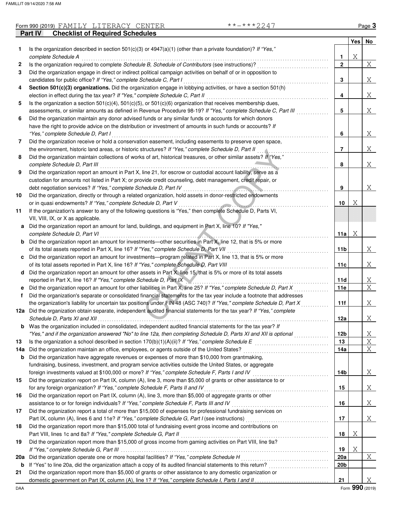|     | Part IV<br><b>Checklist of Required Schedules</b>                                                                       |                 |            |    |
|-----|-------------------------------------------------------------------------------------------------------------------------|-----------------|------------|----|
|     |                                                                                                                         |                 | <b>Yes</b> | No |
| 1.  | Is the organization described in section $501(c)(3)$ or $4947(a)(1)$ (other than a private foundation)? If "Yes,"       |                 |            |    |
|     | complete Schedule A                                                                                                     | 1               | Χ          |    |
| 2   | Is the organization required to complete Schedule B, Schedule of Contributors (see instructions)?                       | $\mathbf{2}$    |            | X  |
| 3   | Did the organization engage in direct or indirect political campaign activities on behalf of or in opposition to        |                 |            |    |
|     | candidates for public office? If "Yes," complete Schedule C, Part I                                                     | 3               |            | Χ  |
| 4   | Section 501(c)(3) organizations. Did the organization engage in lobbying activities, or have a section 501(h)           |                 |            |    |
|     | election in effect during the tax year? If "Yes," complete Schedule C, Part II                                          | 4               |            | Χ  |
| 5   | Is the organization a section 501(c)(4), 501(c)(5), or 501(c)(6) organization that receives membership dues,            |                 |            |    |
|     | assessments, or similar amounts as defined in Revenue Procedure 98-19? If "Yes," complete Schedule C, Part III          | 5               |            | Χ  |
| 6   | Did the organization maintain any donor advised funds or any similar funds or accounts for which donors                 |                 |            |    |
|     | have the right to provide advice on the distribution or investment of amounts in such funds or accounts? If             |                 |            |    |
|     | "Yes," complete Schedule D, Part I                                                                                      | 6               |            | Χ  |
| 7   | Did the organization receive or hold a conservation easement, including easements to preserve open space,               |                 |            |    |
|     | the environment, historic land areas, or historic structures? If "Yes," complete Schedule D, Part II                    | 7               |            | Χ  |
| 8   | Did the organization maintain collections of works of art, historical treasures, or other similar assets? If "Yes,"     |                 |            |    |
|     | complete Schedule D, Part III                                                                                           | 8               |            | Χ  |
| 9   | Did the organization report an amount in Part X, line 21, for escrow or custodial account liability, serve as a         |                 |            |    |
|     | custodian for amounts not listed in Part X; or provide credit counseling, debt management, credit repair, or            |                 |            |    |
|     | debt negotiation services? If "Yes," complete Schedule D, Part IV<br>.                                                  | 9               |            | Χ  |
| 10  | Did the organization, directly or through a related organization, hold assets in donor-restricted endowments            |                 |            |    |
|     | or in quasi endowments? If "Yes," complete Schedule D, Part V                                                           | 10              | Χ          |    |
| 11  | If the organization's answer to any of the following questions is "Yes," then complete Schedule D, Parts VI,            |                 |            |    |
|     | VII, VIII, IX, or X as applicable.                                                                                      |                 |            |    |
| а   | Did the organization report an amount for land, buildings, and equipment in Part X, line 10? If "Yes,"                  |                 |            |    |
|     | complete Schedule D, Part VI                                                                                            | 11a             | Χ          |    |
| b   | Did the organization report an amount for investments—other securities in Part X, line 12, that is 5% or more           |                 |            |    |
|     | of its total assets reported in Part X, line 16? If "Yes," complete Schedule D, Part VII                                | 11b             |            | Χ  |
| c   | Did the organization report an amount for investments—program related in Part X, line 13, that is 5% or more            |                 |            |    |
|     | of its total assets reported in Part X, line 16? If "Yes," complete Schedule D, Part VIII                               | 11c             |            | Χ  |
| d   | Did the organization report an amount for other assets in Part X, line 15, that is 5% or more of its total assets       |                 |            |    |
|     | reported in Part X, line 16? If "Yes," complete Schedule D, Part IX                                                     | 11d             |            | Χ  |
| е   | Did the organization report an amount for other liabilities in Part X, line 25? If "Yes," complete Schedule D, Part X   | 11e             |            | X  |
| f   | Did the organization's separate or consolidated financial statements for the tax year include a footnote that addresses |                 |            |    |
|     | the organization's liability for uncertain tax positions under FIN 48 (ASC 740)? If "Yes," complete Schedule D, Part X  | 11f             |            | Χ  |
| 12a | Did the organization obtain separate, independent audited financial statements for the tax year? If "Yes," complete     |                 |            |    |
|     | Schedule D, Parts XI and XII                                                                                            | 12a             |            | Χ  |
| b   | Was the organization included in consolidated, independent audited financial statements for the tax year? If            |                 |            |    |
|     | "Yes," and if the organization answered "No" to line 12a, then completing Schedule D, Parts XI and XII is optional      | 12 <sub>b</sub> |            | Χ  |
| 13  |                                                                                                                         | 13              |            | Χ  |
| 14a | Did the organization maintain an office, employees, or agents outside of the United States?                             | 14a             |            | Χ  |
| b   | Did the organization have aggregate revenues or expenses of more than \$10,000 from grantmaking,                        |                 |            |    |
|     | fundraising, business, investment, and program service activities outside the United States, or aggregate               |                 |            |    |
|     | foreign investments valued at \$100,000 or more? If "Yes," complete Schedule F, Parts I and IV [[[[[[[[[[[[[[[          | 14b             |            | Χ  |
| 15  | Did the organization report on Part IX, column (A), line 3, more than \$5,000 of grants or other assistance to or       |                 |            |    |
|     | for any foreign organization? If "Yes," complete Schedule F, Parts II and IV                                            | 15              |            | Χ  |
| 16  | Did the organization report on Part IX, column (A), line 3, more than \$5,000 of aggregate grants or other              |                 |            |    |
|     | assistance to or for foreign individuals? If "Yes," complete Schedule F, Parts III and IV                               | 16              |            | Χ  |
|     |                                                                                                                         |                 |            |    |
| 17  | Did the organization report a total of more than \$15,000 of expenses for professional fundraising services on          | 17              |            | Χ  |
|     | Did the organization report more than \$15,000 total of fundraising event gross income and contributions on             |                 |            |    |
| 18  |                                                                                                                         |                 | Χ          |    |
|     | Part VIII, lines 1c and 8a? If "Yes," complete Schedule G, Part II                                                      | 18              |            |    |
| 19  | Did the organization report more than \$15,000 of gross income from gaming activities on Part VIII, line 9a?            |                 |            |    |
|     |                                                                                                                         | 19              | Χ          |    |
| 20a | Did the organization operate one or more hospital facilities? If "Yes," complete Schedule H                             | 20a             |            | Χ  |
| b   |                                                                                                                         | 20 <sub>b</sub> |            |    |
| 21  | Did the organization report more than \$5,000 of grants or other assistance to any domestic organization or             | 21              |            |    |
|     |                                                                                                                         |                 |            | Χ  |

| ٠ |
|---|
|---|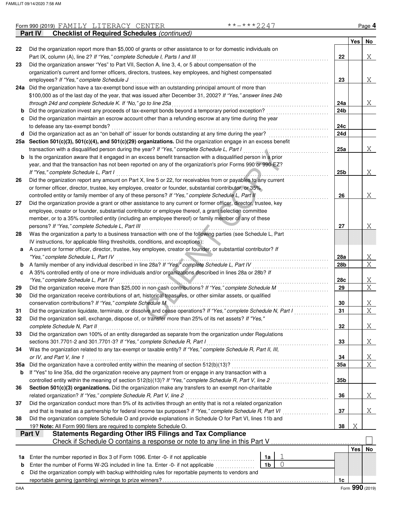|     | **-***2247<br>Form 990 (2019) FAMILY LITERACY CENTER                                                                                                                          |                |                |     |            | Page 4          |
|-----|-------------------------------------------------------------------------------------------------------------------------------------------------------------------------------|----------------|----------------|-----|------------|-----------------|
|     | <b>Checklist of Required Schedules (continued)</b><br>Part IV                                                                                                                 |                |                |     |            |                 |
|     |                                                                                                                                                                               |                |                |     | <b>Yes</b> | No              |
| 22  | Did the organization report more than \$5,000 of grants or other assistance to or for domestic individuals on                                                                 |                |                |     |            |                 |
|     | Part IX, column (A), line 2? If "Yes," complete Schedule I, Parts I and III                                                                                                   |                |                | 22  |            | Χ               |
| 23  | Did the organization answer "Yes" to Part VII, Section A, line 3, 4, or 5 about compensation of the                                                                           |                |                |     |            |                 |
|     | organization's current and former officers, directors, trustees, key employees, and highest compensated                                                                       |                |                |     |            |                 |
|     | employees? If "Yes," complete Schedule J                                                                                                                                      |                |                | 23  |            | Χ               |
|     | 24a Did the organization have a tax-exempt bond issue with an outstanding principal amount of more than                                                                       |                |                |     |            |                 |
|     | \$100,000 as of the last day of the year, that was issued after December 31, 2002? If "Yes," answer lines 24b<br>through 24d and complete Schedule K. If "No," go to line 25a |                |                | 24a |            |                 |
|     | Did the organization invest any proceeds of tax-exempt bonds beyond a temporary period exception?                                                                             |                |                | 24b |            | X               |
| b   | Did the organization maintain an escrow account other than a refunding escrow at any time during the year                                                                     |                |                |     |            |                 |
|     | to defease any tax-exempt bonds?                                                                                                                                              |                |                | 24с |            |                 |
| d   | Did the organization act as an "on behalf of" issuer for bonds outstanding at any time during the year?                                                                       |                |                | 24d |            |                 |
|     | 25a Section 501(c)(3), 501(c)(4), and 501(c)(29) organizations. Did the organization engage in an excess benefit                                                              |                |                |     |            |                 |
|     | transaction with a disqualified person during the year? If "Yes," complete Schedule L, Part I                                                                                 |                |                | 25a |            | Χ               |
| b   | Is the organization aware that it engaged in an excess benefit transaction with a disqualified person in a prior                                                              |                |                |     |            |                 |
|     | year, and that the transaction has not been reported on any of the organization's prior Forms 990 or 990-EZ?                                                                  |                |                |     |            |                 |
|     | If "Yes," complete Schedule L, Part I                                                                                                                                         |                |                | 25b |            | Χ               |
| 26  | Did the organization report any amount on Part X, line 5 or 22, for receivables from or payables to any current                                                               |                |                |     |            |                 |
|     | or former officer, director, trustee, key employee, creator or founder, substantial contributor, or 35%                                                                       |                |                |     |            |                 |
|     | controlled entity or family member of any of these persons? If "Yes," complete Schedule L, Part II                                                                            |                |                | 26  |            | Χ               |
| 27  | Did the organization provide a grant or other assistance to any current or former officer, director, trustee, key                                                             |                |                |     |            |                 |
|     | employee, creator or founder, substantial contributor or employee thereof, a grant selection committee                                                                        |                |                |     |            |                 |
|     | member, or to a 35% controlled entity (including an employee thereof) or family member of any of these                                                                        |                |                |     |            |                 |
|     | persons? If "Yes," complete Schedule L, Part III                                                                                                                              |                |                | 27  |            | Χ               |
| 28  | .<br>Was the organization a party to a business transaction with one of the following parties (see Schedule L, Part                                                           |                |                |     |            |                 |
|     | IV instructions, for applicable filing thresholds, conditions, and exceptions):                                                                                               |                |                |     |            |                 |
| а   | A current or former officer, director, trustee, key employee, creator or founder, or substantial contributor? If                                                              |                |                |     |            |                 |
|     | "Yes," complete Schedule L, Part IV                                                                                                                                           |                |                | 28a |            | Χ               |
| b   | A family member of any individual described in line 28a? If "Yes," complete Schedule L, Part IV                                                                               |                |                | 28b |            | $\overline{X}$  |
| c   | A 35% controlled entity of one or more individuals and/or organizations described in lines 28a or 28b? If                                                                     |                |                |     |            |                 |
|     | "Yes," complete Schedule L, Part IV                                                                                                                                           |                |                | 28c |            | Χ               |
| 29  | Did the organization receive more than \$25,000 in non-cash contributions? If "Yes," complete Schedule M                                                                      |                |                | 29  |            | X               |
| 30  | Did the organization receive contributions of art, historical treasures, or other similar assets, or qualified                                                                |                |                |     |            |                 |
|     | conservation contributions? If "Yes," complete Schedule M                                                                                                                     |                |                | 30  |            | Χ               |
| 31  | Did the organization liquidate, terminate, or dissolve and cease operations? If "Yes," complete Schedule N, Part I                                                            |                |                | 31  |            | X               |
| 32  | Did the organization sell, exchange, dispose of, or transfer more than 25% of its net assets? If "Yes,"                                                                       |                |                |     |            |                 |
|     | complete Schedule N, Part II                                                                                                                                                  |                |                | 32  |            | Χ               |
| 33  | Did the organization own 100% of an entity disregarded as separate from the organization under Regulations                                                                    |                |                |     |            |                 |
|     | sections 301.7701-2 and 301.7701-3? If "Yes," complete Schedule R, Part I                                                                                                     |                |                | 33  |            | Χ               |
| 34  | Was the organization related to any tax-exempt or taxable entity? If "Yes," complete Schedule R, Part II, III,                                                                |                |                |     |            |                 |
|     | or IV, and Part V, line 1                                                                                                                                                     |                |                | 34  |            | X               |
| 35а | Did the organization have a controlled entity within the meaning of section 512(b)(13)?                                                                                       |                |                | 35a |            | X               |
| b   | If "Yes" to line 35a, did the organization receive any payment from or engage in any transaction with a                                                                       |                |                |     |            |                 |
|     | controlled entity within the meaning of section 512(b)(13)? If "Yes," complete Schedule R, Part V, line 2                                                                     |                |                | 35b |            |                 |
| 36  | Section 501(c)(3) organizations. Did the organization make any transfers to an exempt non-charitable                                                                          |                |                |     |            |                 |
|     | related organization? If "Yes," complete Schedule R, Part V, line 2                                                                                                           |                |                | 36  |            | Χ               |
| 37  | Did the organization conduct more than 5% of its activities through an entity that is not a related organization                                                              |                |                |     |            |                 |
|     | and that is treated as a partnership for federal income tax purposes? If "Yes," complete Schedule R, Part VI                                                                  |                |                | 37  |            | Χ               |
| 38  | Did the organization complete Schedule O and provide explanations in Schedule O for Part VI, lines 11b and                                                                    |                |                |     |            |                 |
|     | 19? Note: All Form 990 filers are required to complete Schedule O.                                                                                                            |                |                | 38  | Χ          |                 |
|     | <b>Statements Regarding Other IRS Filings and Tax Compliance</b><br>Part V                                                                                                    |                |                |     |            |                 |
|     | Check if Schedule O contains a response or note to any line in this Part V                                                                                                    |                |                |     |            |                 |
|     |                                                                                                                                                                               |                |                |     | Yes        | No              |
| 1a  | Enter the number reported in Box 3 of Form 1096. Enter -0- if not applicable                                                                                                  | 1a             |                |     |            |                 |
| b   | Enter the number of Forms W-2G included in line 1a. Enter -0- if not applicable                                                                                               | 1 <sub>b</sub> | $\overline{0}$ |     |            |                 |
| c   | Did the organization comply with backup withholding rules for reportable payments to vendors and                                                                              |                |                |     |            |                 |
|     |                                                                                                                                                                               |                |                | 1c  |            |                 |
| DAA |                                                                                                                                                                               |                |                |     |            | Form 990 (2019) |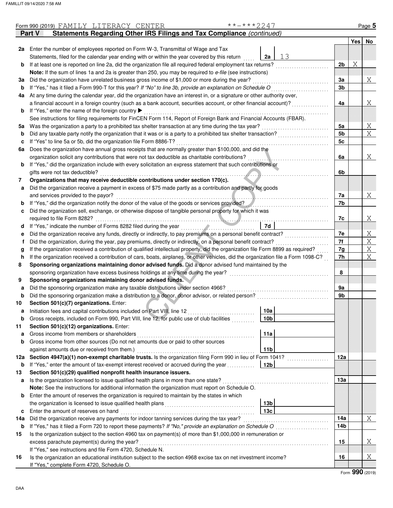|     | Form 990 (2019) FAMILY LITERACY CENTER                                                                                             | **-***2247      |                |   | Page 5 |
|-----|------------------------------------------------------------------------------------------------------------------------------------|-----------------|----------------|---|--------|
|     | Statements Regarding Other IRS Filings and Tax Compliance (continued)<br>Part V                                                    |                 |                |   |        |
|     |                                                                                                                                    |                 |                |   | Yes No |
| 2a  | Enter the number of employees reported on Form W-3, Transmittal of Wage and Tax                                                    |                 |                |   |        |
|     | Statements, filed for the calendar year ending with or within the year covered by this return                                      | 13<br>2a        |                |   |        |
| b   | If at least one is reported on line 2a, did the organization file all required federal employment tax returns?                     |                 | 2 <sub>b</sub> | Χ |        |
|     | Note: If the sum of lines 1a and 2a is greater than 250, you may be required to e-file (see instructions)                          |                 |                |   |        |
| За  | Did the organization have unrelated business gross income of \$1,000 or more during the year?                                      |                 | За             |   | Χ      |
| b   | If "Yes," has it filed a Form 990-T for this year? If "No" to line 3b, provide an explanation on Schedule O                        |                 | 3b             |   |        |
| 4a  | At any time during the calendar year, did the organization have an interest in, or a signature or other authority over,            |                 |                |   |        |
|     | a financial account in a foreign country (such as a bank account, securities account, or other financial account)?                 |                 | 4a             |   | Χ      |
|     | If "Yes," enter the name of the foreign country ▶                                                                                  |                 |                |   |        |
| b   | See instructions for filing requirements for FinCEN Form 114, Report of Foreign Bank and Financial Accounts (FBAR).                |                 |                |   |        |
|     |                                                                                                                                    |                 |                |   |        |
| 5а  | Was the organization a party to a prohibited tax shelter transaction at any time during the tax year?                              |                 | 5a             |   | Χ      |
| b   | Did any taxable party notify the organization that it was or is a party to a prohibited tax shelter transaction?                   |                 | 5b             |   | X      |
| с   | If "Yes" to line 5a or 5b, did the organization file Form 8886-T?                                                                  |                 | 5c             |   |        |
| 6а  | Does the organization have annual gross receipts that are normally greater than \$100,000, and did the                             |                 |                |   |        |
|     | organization solicit any contributions that were not tax deductible as charitable contributions?                                   |                 | 6a             |   | Χ      |
| b   | If "Yes," did the organization include with every solicitation an express statement that such contributions or                     |                 |                |   |        |
|     | gifts were not tax deductible?                                                                                                     |                 | 6b             |   |        |
| 7   | Organizations that may receive deductible contributions under section 170(c).                                                      |                 |                |   |        |
| a   | Did the organization receive a payment in excess of \$75 made partly as a contribution and partly for goods                        |                 |                |   |        |
|     | and services provided to the payor?                                                                                                |                 | 7a             |   | Χ      |
| b   | If "Yes," did the organization notify the donor of the value of the goods or services provided?                                    |                 | 7b             |   |        |
| c   | Did the organization sell, exchange, or otherwise dispose of tangible personal property for which it was                           |                 |                |   |        |
|     | required to file Form 8282?<br>.                                                                                                   |                 | 7c             |   | Χ      |
| d   |                                                                                                                                    | 7d              |                |   |        |
| е   | Did the organization receive any funds, directly or indirectly, to pay premiums on a personal benefit contract?                    |                 | 7e             |   | Χ      |
| f   | Did the organization, during the year, pay premiums, directly or indirectly, on a personal benefit contract?                       |                 | 7f             |   | Χ      |
| g   | If the organization received a contribution of qualified intellectual property, did the organization file Form 8899 as required?   |                 | 7g             |   | Χ      |
| h   | If the organization received a contribution of cars, boats, airplanes, or other vehicles, did the organization file a Form 1098-C? |                 | 7h             |   | X      |
| 8   | Sponsoring organizations maintaining donor advised funds. Did a donor advised fund maintained by the                               |                 |                |   |        |
|     | sponsoring organization have excess business holdings at any time during the year?                                                 |                 | 8              |   |        |
| 9   | Sponsoring organizations maintaining donor advised funds.                                                                          |                 |                |   |        |
| a   | Did the sponsoring organization make any taxable distributions under section 4966?                                                 |                 | 9a             |   |        |
| b   | Did the sponsoring organization make a distribution to a donor, donor advisor, or related person?                                  |                 | 9b             |   |        |
| 10  | Section 501(c)(7) organizations. Enter:                                                                                            |                 |                |   |        |
| a   | Initiation fees and capital contributions included on Part VIII, line 12                                                           | 10a             |                |   |        |
| b   | Gross receipts, included on Form 990, Part VIII, line 12, for public use of club facilities                                        | 10b             |                |   |        |
| 11  | Section 501(c)(12) organizations. Enter:                                                                                           |                 |                |   |        |
| a   | Gross income from members or shareholders                                                                                          | 11a             |                |   |        |
| b   | Gross income from other sources (Do not net amounts due or paid to other sources                                                   |                 |                |   |        |
|     | against amounts due or received from them.)                                                                                        | 11 <sub>b</sub> |                |   |        |
| 12a | Section 4947(a)(1) non-exempt charitable trusts. Is the organization filing Form 990 in lieu of Form 1041?                         |                 | 12a            |   |        |
| b   | If "Yes," enter the amount of tax-exempt interest received or accrued during the year                                              | 12 <sub>b</sub> |                |   |        |
| 13  | Section 501(c)(29) qualified nonprofit health insurance issuers.                                                                   |                 |                |   |        |
| a   | Is the organization licensed to issue qualified health plans in more than one state?                                               |                 | 13а            |   |        |
|     | Note: See the instructions for additional information the organization must report on Schedule O.                                  |                 |                |   |        |
| b   | Enter the amount of reserves the organization is required to maintain by the states in which                                       |                 |                |   |        |
|     |                                                                                                                                    | 13b             |                |   |        |
| с   | Enter the amount of reserves on hand                                                                                               | 13c             |                |   |        |
| 14a | Did the organization receive any payments for indoor tanning services during the tax year?                                         |                 | 14a            |   | Χ      |
| b   | If "Yes," has it filed a Form 720 to report these payments? If "No," provide an explanation on Schedule O                          |                 | 14b            |   |        |
| 15  | Is the organization subject to the section 4960 tax on payment(s) of more than \$1,000,000 in remuneration or                      |                 |                |   |        |
|     | excess parachute payment(s) during the year?                                                                                       |                 | 15             |   | Χ      |
|     | If "Yes," see instructions and file Form 4720, Schedule N.                                                                         |                 |                |   |        |
| 16  | Is the organization an educational institution subject to the section 4968 excise tax on net investment income?                    |                 | 16             |   | Χ      |
|     | If "Yes," complete Form 4720, Schedule O.                                                                                          |                 |                |   |        |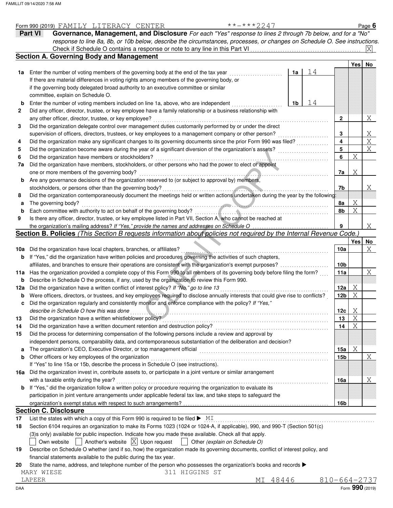|     | **-***2247<br>Form 990 (2019) FAMILY LITERACY CENTER                                                                                |                    |                         |      | Page $6$              |
|-----|-------------------------------------------------------------------------------------------------------------------------------------|--------------------|-------------------------|------|-----------------------|
|     | Part VI<br>Governance, Management, and Disclosure For each "Yes" response to lines 2 through 7b below, and for a "No"               |                    |                         |      |                       |
|     | response to line 8a, 8b, or 10b below, describe the circumstances, processes, or changes on Schedule O. See instructions.           |                    |                         |      |                       |
|     |                                                                                                                                     |                    |                         |      |                       |
|     | <b>Section A. Governing Body and Management</b>                                                                                     |                    |                         |      |                       |
|     |                                                                                                                                     |                    |                         | Yesl | No                    |
| 1a  | Enter the number of voting members of the governing body at the end of the tax year<br>1a                                           | 14                 |                         |      |                       |
|     | If there are material differences in voting rights among members of the governing body, or                                          |                    |                         |      |                       |
|     | if the governing body delegated broad authority to an executive committee or similar                                                |                    |                         |      |                       |
|     | committee, explain on Schedule O.                                                                                                   |                    |                         |      |                       |
| b   | Enter the number of voting members included on line 1a, above, who are independent<br>1b                                            | 14                 |                         |      |                       |
| 2   | Did any officer, director, trustee, or key employee have a family relationship or a business relationship with                      |                    |                         |      |                       |
|     | any other officer, director, trustee, or key employee?                                                                              |                    | $\mathbf{2}$            |      | Χ                     |
| 3   | Did the organization delegate control over management duties customarily performed by or under the direct                           |                    |                         |      |                       |
|     | supervision of officers, directors, trustees, or key employees to a management company or other person?                             |                    | 3                       |      | $X_{\perp}$           |
| 4   | Did the organization make any significant changes to its governing documents since the prior Form 990 was filed?                    |                    | $\overline{\mathbf{4}}$ |      | $\overline{\text{X}}$ |
| 5   | Did the organization become aware during the year of a significant diversion of the organization's assets?                          |                    | 5                       |      | $\overline{X}$        |
| 6   | Did the organization have members or stockholders?                                                                                  |                    | 6                       | Χ    |                       |
| 7a  | Did the organization have members, stockholders, or other persons who had the power to elect or appoint                             |                    |                         |      |                       |
|     | one or more members of the governing body?                                                                                          |                    | 7a                      | Χ    |                       |
| b   | Are any governance decisions of the organization reserved to (or subject to approval by) members,                                   |                    |                         |      |                       |
|     | stockholders, or persons other than the governing body?                                                                             |                    | 7b                      |      | X.                    |
| 8   | Did the organization contemporaneously document the meetings held or written actions undertaken during the year by the following:   |                    |                         |      |                       |
| а   | The governing body?                                                                                                                 |                    | 8a                      | Χ    |                       |
| b   | Each committee with authority to act on behalf of the governing body?                                                               |                    | 8b                      | Χ    |                       |
| 9   | Is there any officer, director, trustee, or key employee listed in Part VII, Section A, who cannot be reached at                    |                    |                         |      |                       |
|     | the organization's mailing address? If "Yes," provide the names and addresses on Schedule O                                         |                    | 9                       |      | X                     |
|     | Section B. Policies (This Section B requests information about policies not required by the Internal Revenue Code.)                 |                    |                         |      |                       |
|     |                                                                                                                                     |                    |                         | Yes  | No                    |
| 10a | Did the organization have local chapters, branches, or affiliates?                                                                  |                    | 10a                     |      | Χ                     |
| b   | If "Yes," did the organization have written policies and procedures governing the activities of such chapters,                      |                    |                         |      |                       |
|     | affiliates, and branches to ensure their operations are consistent with the organization's exempt purposes?                         |                    | 10 <sub>b</sub>         |      |                       |
| 11a | Has the organization provided a complete copy of this Form 990 to all members of its governing body before filing the form?         |                    | 11a                     |      | Χ                     |
| b   | Describe in Schedule O the process, if any, used by the organization to review this Form 990.                                       |                    |                         |      |                       |
| 12a | Did the organization have a written conflict of interest policy? If "No," go to line 13                                             |                    | 12a                     | Χ    |                       |
| b   | Were officers, directors, or trustees, and key employees required to disclose annually interests that could give rise to conflicts? |                    | 12 <sub>b</sub>         | Χ    |                       |
|     | Did the organization regularly and consistently monitor and enforce compliance with the policy? If "Yes,"                           |                    |                         |      |                       |
|     | describe in Schedule O how this was done                                                                                            |                    | 12c                     | Χ    |                       |
| 13  | Did the organization have a written whistleblower policy?                                                                           |                    | 13                      | Χ    |                       |
| 14  | Did the organization have a written document retention and destruction policy?                                                      |                    | 14                      | Χ    |                       |
| 15  | Did the process for determining compensation of the following persons include a review and approval by                              |                    |                         |      |                       |
|     | independent persons, comparability data, and contemporaneous substantiation of the deliberation and decision?                       |                    |                         |      |                       |
| a   | The organization's CEO, Executive Director, or top management official                                                              |                    | 15a                     | Χ    |                       |
| b   | Other officers or key employees of the organization                                                                                 |                    | 15 <sub>b</sub>         |      | Χ                     |
|     | If "Yes" to line 15a or 15b, describe the process in Schedule O (see instructions).                                                 |                    |                         |      |                       |
| 16a | Did the organization invest in, contribute assets to, or participate in a joint venture or similar arrangement                      |                    |                         |      |                       |
|     | with a taxable entity during the year?                                                                                              |                    | 16a                     |      | Χ                     |
| b   | If "Yes," did the organization follow a written policy or procedure requiring the organization to evaluate its                      |                    |                         |      |                       |
|     | participation in joint venture arrangements under applicable federal tax law, and take steps to safeguard the                       |                    |                         |      |                       |
|     |                                                                                                                                     |                    | 16b                     |      |                       |
|     | <b>Section C. Disclosure</b>                                                                                                        |                    |                         |      |                       |
| 17  | List the states with which a copy of this Form 990 is required to be filed $\blacktriangleright$ MI                                 |                    |                         |      |                       |
| 18  | Section 6104 requires an organization to make its Forms 1023 (1024 or 1024-A, if applicable), 990, and 990-T (Section 501(c)        |                    |                         |      |                       |
|     | (3)s only) available for public inspection. Indicate how you made these available. Check all that apply.                            |                    |                         |      |                       |
|     | Another's website $ X $ Upon request<br>Other (explain on Schedule O)<br>Own website                                                |                    |                         |      |                       |
| 19  | Describe on Schedule O whether (and if so, how) the organization made its governing documents, conflict of interest policy, and     |                    |                         |      |                       |
|     | financial statements available to the public during the tax year.                                                                   |                    |                         |      |                       |
| 20  | State the name, address, and telephone number of the person who possesses the organization's books and records ▶                    |                    |                         |      |                       |
|     | MARY WIESE<br>311 HIGGINS ST                                                                                                        |                    |                         |      |                       |
|     | 48446<br>LAPEER<br>МI                                                                                                               | $810 - 664 - 2737$ |                         |      |                       |

DAA Form **990** (2019)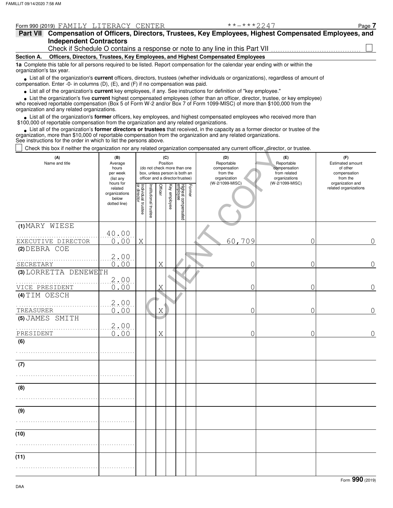|                          | Form 990 (2019) FAMILY LITERACY CENTER                                                                                                                                                                                            | $***$ $***$ 2217                                                                                                                 | Page 7 |  |  |  |  |  |
|--------------------------|-----------------------------------------------------------------------------------------------------------------------------------------------------------------------------------------------------------------------------------|----------------------------------------------------------------------------------------------------------------------------------|--------|--|--|--|--|--|
| Part VII                 |                                                                                                                                                                                                                                   | Compensation of Officers, Directors, Trustees, Key Employees, Highest Compensated Employees, and                                 |        |  |  |  |  |  |
|                          | <b>Independent Contractors</b>                                                                                                                                                                                                    |                                                                                                                                  |        |  |  |  |  |  |
|                          |                                                                                                                                                                                                                                   | Check if Schedule O contains a response or note to any line in this Part VII                                                     |        |  |  |  |  |  |
| Section A.               | Officers, Directors, Trustees, Key Employees, and Highest Compensated Employees                                                                                                                                                   |                                                                                                                                  |        |  |  |  |  |  |
| organization's tax year. | 1a Complete this table for all persons required to be listed. Report compensation for the calendar year ending with or within the                                                                                                 |                                                                                                                                  |        |  |  |  |  |  |
|                          | List all of the organization's current officers, directors, trustees (whether individuals or organizations), regardless of amount of<br>compensation. Enter -0- in columns $(D)$ , $(E)$ , and $(F)$ if no compensation was paid. |                                                                                                                                  |        |  |  |  |  |  |
|                          | • List all of the organization's current key employees, if any. See instructions for definition of "key employee."                                                                                                                |                                                                                                                                  |        |  |  |  |  |  |
|                          |                                                                                                                                                                                                                                   | • List the organization's five current highest compensated employees (other than an officer, director, trustee, or key employee) |        |  |  |  |  |  |

**•**

who received reportable compensation (Box 5 of Form W-2 and/or Box 7 of Form 1099-MISC) of more than \$100,000 from the organization and any related organizations.

• List all of the organization's **former** officers, key employees, and highest compensated employees who received more than<br>00,000 of reportable compensation from the organization and any related organizations \$100,000 of reportable compensation from the organization and any related organizations.

List all of the organization's **former directors or trustees** that received, in the capacity as a former director or trustee of the organization, more than \$10,000 of reportable compensation from the organization and any related organizations. See instructions for the order in which to list the persons above. **•**

Check this box if neither the organization nor any related organization compensated any current officer, director, or trustee.

| Grieck mis box in neither the organization nor any related organization compensated any current onicer, director, or trustee.<br>(A)<br>Name and title | (B)<br>Average<br>hours                                        | (C)<br>Position<br>(do not check more than one |                                                                  |         |              |                                 |        | (D)<br>Reportable<br>compensation | (E)<br>Reportable<br>compensation | (F)<br>Estimated amount<br>of other       |
|--------------------------------------------------------------------------------------------------------------------------------------------------------|----------------------------------------------------------------|------------------------------------------------|------------------------------------------------------------------|---------|--------------|---------------------------------|--------|-----------------------------------|-----------------------------------|-------------------------------------------|
|                                                                                                                                                        | per week<br>(list any                                          |                                                | box, unless person is both an<br>officer and a director/trustee) |         |              |                                 |        | from the<br>organization          | from related<br>organizations     | compensation<br>from the                  |
|                                                                                                                                                        | hours for<br>related<br>organizations<br>below<br>dotted line) | Individual trustee<br>or director              | nstitutional trustee                                             | Officer | Key employee | Highest compensated<br>employee | Former | (W-2/1099-MISC)                   | (W-2/1099-MISC)                   | organization and<br>related organizations |
| (1) MARY WIESE                                                                                                                                         | 40.00<br>0.00                                                  |                                                |                                                                  |         |              |                                 |        | 60,709                            | $\overline{O}$                    | $\overline{0}$                            |
| EXECUTIVE DIRECTOR<br>(2) DEBRA COE                                                                                                                    |                                                                | X                                              |                                                                  |         |              |                                 |        |                                   |                                   |                                           |
| SECRETARY                                                                                                                                              | 2.00<br>0.00                                                   |                                                |                                                                  | X       |              |                                 |        | 0                                 | $\overline{0}$                    | $\overline{0}$                            |
| (3) LORRETTA DENEWETH                                                                                                                                  | 2.00                                                           |                                                |                                                                  |         |              |                                 |        |                                   |                                   |                                           |
| VICE PRESIDENT<br>(4) TIM OESCH                                                                                                                        | 0.00                                                           |                                                |                                                                  | X       |              |                                 |        | 0                                 | $\mathcal{O}$                     | 0                                         |
| TREASURER                                                                                                                                              | 2.00<br>0.00                                                   |                                                |                                                                  | X       |              |                                 |        | 0                                 | $\overline{O}$                    | $\mathsf{O}\xspace$                       |
| (5) JAMES SMITH                                                                                                                                        | 2,00                                                           |                                                |                                                                  |         |              |                                 |        |                                   |                                   | $\overline{0}$                            |
| PRESIDENT<br>(6)                                                                                                                                       | 0.00                                                           |                                                |                                                                  | X       |              |                                 |        | 0                                 | $\overline{0}$                    |                                           |
|                                                                                                                                                        |                                                                |                                                |                                                                  |         |              |                                 |        |                                   |                                   |                                           |
| (7)                                                                                                                                                    |                                                                |                                                |                                                                  |         |              |                                 |        |                                   |                                   |                                           |
| (8)                                                                                                                                                    |                                                                |                                                |                                                                  |         |              |                                 |        |                                   |                                   |                                           |
| (9)                                                                                                                                                    |                                                                |                                                |                                                                  |         |              |                                 |        |                                   |                                   |                                           |
|                                                                                                                                                        |                                                                |                                                |                                                                  |         |              |                                 |        |                                   |                                   |                                           |
| (10)                                                                                                                                                   |                                                                |                                                |                                                                  |         |              |                                 |        |                                   |                                   |                                           |
| (11)                                                                                                                                                   |                                                                |                                                |                                                                  |         |              |                                 |        |                                   |                                   |                                           |
|                                                                                                                                                        |                                                                |                                                |                                                                  |         |              |                                 |        |                                   |                                   |                                           |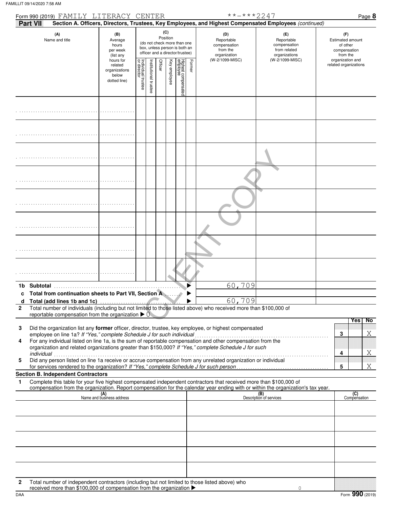|                   | Form 990 (2019) FAMILY LITERACY CENTER                                                   |                                                                                                                                                                        |                                   |                      |         |              |                                                               |                                                                    | **-***2247                                                                                                                                                                                                           |                                                                                                                                  | Page 8                                    |
|-------------------|------------------------------------------------------------------------------------------|------------------------------------------------------------------------------------------------------------------------------------------------------------------------|-----------------------------------|----------------------|---------|--------------|---------------------------------------------------------------|--------------------------------------------------------------------|----------------------------------------------------------------------------------------------------------------------------------------------------------------------------------------------------------------------|----------------------------------------------------------------------------------------------------------------------------------|-------------------------------------------|
| Part VII          |                                                                                          |                                                                                                                                                                        |                                   |                      |         |              |                                                               |                                                                    |                                                                                                                                                                                                                      | Section A. Officers, Directors, Trustees, Key Employees, and Highest Compensated Employees (continued)                           |                                           |
|                   | (A)<br>Name and title                                                                    | (C)<br>(B)<br>Position<br>Average<br>(do not check more than one<br>hours<br>box, unless person is both an<br>per week<br>officer and a director/trustee)<br>(list any |                                   |                      |         |              | (D)<br>Reportable<br>compensation<br>from the<br>organization | (E)<br>Reportable<br>compensation<br>from related<br>organizations | (F)<br><b>Estimated amount</b><br>of other<br>compensation<br>from the                                                                                                                                               |                                                                                                                                  |                                           |
|                   |                                                                                          | hours for<br>related<br>organizations<br>below<br>dotted line)                                                                                                         | Individual trustee<br>or director | nstitutional trustee | Officer | Key employee | Highest compensated<br>employee                               | Former                                                             | (W-2/1099-MISC)                                                                                                                                                                                                      | (W-2/1099-MISC)                                                                                                                  | organization and<br>related organizations |
|                   |                                                                                          |                                                                                                                                                                        |                                   |                      |         |              |                                                               |                                                                    |                                                                                                                                                                                                                      |                                                                                                                                  |                                           |
|                   |                                                                                          |                                                                                                                                                                        |                                   |                      |         |              |                                                               |                                                                    |                                                                                                                                                                                                                      |                                                                                                                                  |                                           |
|                   |                                                                                          |                                                                                                                                                                        |                                   |                      |         |              |                                                               |                                                                    |                                                                                                                                                                                                                      |                                                                                                                                  |                                           |
|                   |                                                                                          |                                                                                                                                                                        |                                   |                      |         |              |                                                               |                                                                    |                                                                                                                                                                                                                      |                                                                                                                                  |                                           |
|                   |                                                                                          |                                                                                                                                                                        |                                   |                      |         |              |                                                               |                                                                    |                                                                                                                                                                                                                      |                                                                                                                                  |                                           |
|                   |                                                                                          |                                                                                                                                                                        |                                   |                      |         |              |                                                               |                                                                    |                                                                                                                                                                                                                      |                                                                                                                                  |                                           |
|                   |                                                                                          |                                                                                                                                                                        |                                   |                      |         |              |                                                               |                                                                    |                                                                                                                                                                                                                      |                                                                                                                                  |                                           |
|                   |                                                                                          |                                                                                                                                                                        |                                   |                      |         |              |                                                               |                                                                    |                                                                                                                                                                                                                      |                                                                                                                                  |                                           |
|                   | 1b Subtotal                                                                              |                                                                                                                                                                        |                                   |                      |         |              |                                                               |                                                                    | 60,709                                                                                                                                                                                                               |                                                                                                                                  |                                           |
|                   | Total from continuation sheets to Part VII, Section A                                    |                                                                                                                                                                        |                                   |                      |         |              |                                                               |                                                                    |                                                                                                                                                                                                                      |                                                                                                                                  |                                           |
| a<br>$\mathbf{2}$ | Total (add lines 1b and 1c)                                                              |                                                                                                                                                                        |                                   |                      |         |              |                                                               |                                                                    | 60,709<br>Total number of individuals (including but not limited to those listed above) who received more than \$100,000 of                                                                                          |                                                                                                                                  |                                           |
|                   | reportable compensation from the organization $\blacktriangleright$ 0                    |                                                                                                                                                                        |                                   |                      |         |              |                                                               |                                                                    |                                                                                                                                                                                                                      |                                                                                                                                  |                                           |
| 3                 |                                                                                          |                                                                                                                                                                        |                                   |                      |         |              |                                                               |                                                                    | Did the organization list any former officer, director, trustee, key employee, or highest compensated                                                                                                                |                                                                                                                                  | No<br><b>Yes</b>                          |
|                   | employee on line 1a? If "Yes," complete Schedule J for such individual                   |                                                                                                                                                                        |                                   |                      |         |              |                                                               |                                                                    |                                                                                                                                                                                                                      |                                                                                                                                  | Χ<br>3                                    |
| 4                 |                                                                                          |                                                                                                                                                                        |                                   |                      |         |              |                                                               |                                                                    | For any individual listed on line 1a, is the sum of reportable compensation and other compensation from the<br>organization and related organizations greater than \$150,000? If "Yes," complete Schedule J for such |                                                                                                                                  |                                           |
| 5                 |                                                                                          |                                                                                                                                                                        |                                   |                      |         |              |                                                               |                                                                    | Did any person listed on line 1a receive or accrue compensation from any unrelated organization or individual                                                                                                        |                                                                                                                                  | Χ<br>4                                    |
|                   | for services rendered to the organization? If "Yes," complete Schedule J for such person |                                                                                                                                                                        |                                   |                      |         |              |                                                               |                                                                    |                                                                                                                                                                                                                      |                                                                                                                                  | Χ<br>5                                    |
| 1                 | <b>Section B. Independent Contractors</b>                                                |                                                                                                                                                                        |                                   |                      |         |              |                                                               |                                                                    | Complete this table for your five highest compensated independent contractors that received more than \$100,000 of                                                                                                   |                                                                                                                                  |                                           |
|                   |                                                                                          |                                                                                                                                                                        |                                   |                      |         |              |                                                               |                                                                    |                                                                                                                                                                                                                      | compensation from the organization. Report compensation for the calendar year ending with or within the organization's tax year. |                                           |
|                   |                                                                                          | (A)<br>Name and business address                                                                                                                                       |                                   |                      |         |              |                                                               |                                                                    |                                                                                                                                                                                                                      | (B)<br>Description of services                                                                                                   | (C)<br>Compensation                       |
|                   |                                                                                          |                                                                                                                                                                        |                                   |                      |         |              |                                                               |                                                                    |                                                                                                                                                                                                                      |                                                                                                                                  |                                           |
|                   |                                                                                          |                                                                                                                                                                        |                                   |                      |         |              |                                                               |                                                                    |                                                                                                                                                                                                                      |                                                                                                                                  |                                           |
|                   |                                                                                          |                                                                                                                                                                        |                                   |                      |         |              |                                                               |                                                                    |                                                                                                                                                                                                                      |                                                                                                                                  |                                           |
|                   |                                                                                          |                                                                                                                                                                        |                                   |                      |         |              |                                                               |                                                                    |                                                                                                                                                                                                                      |                                                                                                                                  |                                           |
|                   |                                                                                          |                                                                                                                                                                        |                                   |                      |         |              |                                                               |                                                                    |                                                                                                                                                                                                                      |                                                                                                                                  |                                           |
|                   |                                                                                          |                                                                                                                                                                        |                                   |                      |         |              |                                                               |                                                                    |                                                                                                                                                                                                                      |                                                                                                                                  |                                           |

**2** Total number of independent contractors (including but not limited to those listed above) who received more than \$100,000 of compensation from the organization ▶

0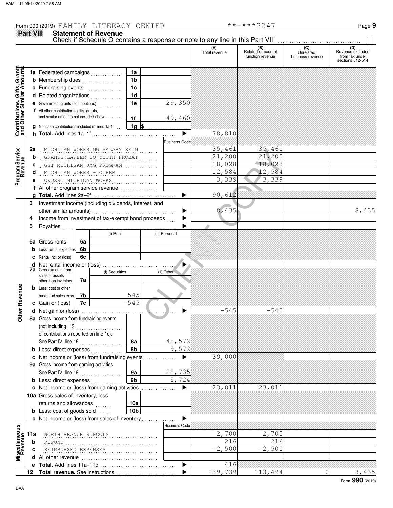**Part VIII Statement of Revenue**

#### Check if Schedule O contains a response or note to any line in this Part VIII. **(A)** (B) **(C) (C) (D)**<br>
Total revenue Related or exempt Unrelated Revenue excluded Felated or exempt **the contract of the contract of the contract of the contract of the contract of the contract of the contract of the contract of the contract of the contract of the contract of the contract of the contrac** sections 512-514 Grants **Contributions, Gifts, Grants and Other Similar Amounts** , Gifts, Grant<br>illar Amount **1a** Federated campaigns **. . . . . . . . . .** . **1a 1b b** Membership dues . . . . . . . . . . . . . . **c** Fundraising events **.............**... **1c 1d d** Related organizations **. . . . . . . . . .** . **Contributions,<br>and Other Simi 1e** 29,350 **e** Government grants (contributions) . . . . . . . . . . **f** All other contributions, gifts, grants, and similar amounts not included above  $\dots$ ... **1f** 49,460 **1g g** Noncash contributions included in lines 1a-1f . .  $\frac{1}{2}$  $\blacktriangleright$ 78,810 **h Total.** Add lines 1a–1f . . . . . . . . . . . . . . . . . . . . . . . . . . . . . . . . . . . . **Business Code** 2a . <u>MICHIGAN WORKS:MW SALARY REIM ........</u> <u>| 25,461 35,461</u> 35,461 **Program Service Program Service**  $\begin{array}{r} \n 33,461 \overline{)33,461} \\
 21,200 \overline{)21,200} \\
 18,028 \overline{)18,028} \\
 12,584 \overline{)12,584} \\
 3,339 \overline{)3,339} \\
 3,339 \overline{)3,339} \\
 90,612 \\
 \hline\n \end{array}$ <br>
Proceeds<br>
(ii) Personal<br>
(ii) Other<br>
(iii) Other<br>  $\begin{array}{r} 8,435 \overline{)3,000}$ . GRANTS:LAPEER CO YOUTH PROBAT ....... (21,200 21,200 **b** . . . . . . . . . . . . . . . . . . . . . . . . . . . . . . . . . . . . . . . . . . . . . . . . . . . GST MICHIGAN JMG PROGRAM 18,028 18,028 **c** . . . . . . . . . . . . . . . . . . . . . . . . . . . . . . . . . . . . . . . . . . . . . . . . . . . MICHIGAN WORKS - OTHER 12,584 12,584 **d** . . . . . . . . . . . . . . . . . . . . . . . . . . . . . . . . . . . . . . . . . . . . . . . . . . . OWOSSO MICHIGAN WORKS 3,339 3,339 **e f** All other program service revenue . . . . . . . . . . . . . . . . 90,612 **g Total.** Add lines 2a–2f . . . . . . . . . . . . . . . . . . . . . . . . . . . . . . . . . . . . -**3** Investment income (including dividends, interest, and 8,435 8,435 other similar amounts) . . . . . . . . . . . . . . . . . . . . . . . . . . . . . . . . . . . . Income from investment of tax-exempt bond proceeds  $\blacktriangleright$ **4 5** Royalties .....  $\blacktriangleright$ (i) Real (ii) Personal **6a 6a** Gross rents **6b b** Less: rental expenses **6c c** Rental inc. or (loss)  $\blacktriangleright$ **d** Net rental income or (loss) . . . . . . . . . . . . . . . . . . . . . . . . . . . . . . . . **7a** Gross amount from (i) Securities (ii) Other sales of assets **7a** other than inventory **Other Revenue Other Revenue b** Less: cost or other **7b** 545 basis and sales exps.  $-545$ **7c c** Gain or (loss)  $-545$   $-545$ **d** -Net gain or (loss) . . . . . . . . . . . . . . . . . . . . . . . . . . . . . . . . . . . . . . . . . **8a** Gross income from fundraising events (not including . . . . . . . . . . . . . . . . . . . . of contributions reported on line 1c). See Part IV, line 18 . . . . . . . . . . . . . . . . . . **8a** 48,572 **8b** 9,572 **b** Less: direct expenses . . . . . . . . . . . . 39,000  $\blacktriangleright$ **c** Net income or (loss) from fundraising events . . . . . . . . . . . . . . **9a** Gross income from gaming activities. See Part IV, line 19 . . . . . . . . . . . . . . . . . . 28,735 **9a 9b** 5,724 **b** Less: direct expenses  $\ldots$ 23,011 23,011  $\blacktriangleright$ Net income or (loss) from gaming activities . . . . . . . . . . . . . . . **c** 10a Gross sales of inventory, less returns and allowances **10a 10b b** Less: cost of goods sold  $\ldots$  $\blacktriangleright$ Net income or (loss) from sales of inventory . . . . . . . . . . . . . . . **c** Business Code **Viscellaneous**<br>Revenue **Miscellaneous 11a** . . . . . . . . . . . . . . . . . . . . . . . . . . . . . . . . . . . . . . . . . . . . . . . . . . . NORTH BRANCH SCHOOLS 2,700 2,700 REFUND 216 **b**  $REFUND$ . . . . . . . . . . . . . . . . . . . . . . . . . . . . . . . . . . . . . . . . . . . . . . . . . . . REIMBURSED EXPENSES -2,500 -2,500 **c d** All other revenue . . . . . . . . . . . . . . . . . . . . . . . . . . . . . . . . . Total. Add lines 11a-11d .  $\blacktriangleright$ 416 **e** 239,739 113,494 0 8,435 **Total revenue.** See instructions  $\blacktriangleright$ **12**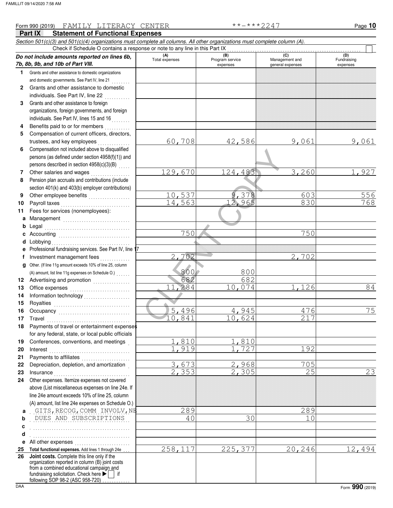# $\begin{array}{r|rrrr} \hline & 129,670 & 124,483 \\ \hline & 10,537 & 9,378 \\ \hline & 14,563 & 12,965 \\ \hline & 750 & & & \\ \hline & 750 & & & \\ \hline & 2,702 & & & \\ \hline & 682 & & 682 \\ \hline & 11,284 & 10,074 & & \\ \hline & 5,496 & 4,945 & & \\ \hline & 10,841 & 10,624 & & \end{array}$ **Part IX Statement of Functional Expenses** Form 990 (2019) Page **10** FAMILY LITERACY CENTER \*\*-\*\*\*2247 *Section 501(c)(3) and 501(c)(4) organizations must complete all columns. All other organizations must complete column (A).* **Do not include amounts reported on lines 6b, 7b, 8b, 9b, and 10b of Part VIII. 1 2 3 4 5 6 7** Grants and other assistance to domestic organizations and domestic governments. See Part IV, line 21 **.** . . . . . . . Grants and other assistance to domestic individuals. See Part IV, line 22 Grants and other assistance to foreign organizations, foreign governments, and foreign individuals. See Part IV, lines 15 and 16 Benefits paid to or for members . . . . . . . . . . Compensation of current officers, directors, trustees, and key employees . . . . . . . Compensation not included above to disqualified persons (as defined under section 4958(f)(1)) and persons described in section  $4958(c)(3)(B)$  ..... **(A) (B) (C) (D)** Total expenses Program service Management and expenses **general** expenses (D)<br>Fundraising expenses Check if Schedule O contains a response or note to any line in this Part IX ........<br> **amounts reported on lines 6b**,  $\begin{array}{|l|l|}\n\hline\n\text{(A)} & \text{(B)} & \text{(B)} \\
\hline\n\text{Total expenses} & \text{Program service}\n\hline\n\end{array}$ 60,708 42,586 9,061 9,061 129,670 124,483 3,260 1,927

10,537 9,378 603 556 14,563 12,965 830 768

11,284 10,074 1,126 84

5,496 4,945 476 75

2,353 2,305 25 23

750 750

2,702 2,702

10,841 10,624 217

1,919 1,727 192

3,673 2,968 705

682 682

1,810 1,810

800 800

- **8** Other salaries and wages . . . . . . . . . . . . . . . . . Pension plan accruals and contributions (include section 401(k) and 403(b) employer contributions)
- **9 10 11** Other employee benefits . . . . . . . . . . . . . . . . . Payroll taxes . . . . . . . . . . . . . . . . . . . . . . . . . . . . . . Fees for services (nonemployees):
- **a** Management .............................. **b c** Accounting . . . . . . . . . . . . . . . . . . . . . . . . . . . . . . . **d e f** Legal . . . . . . . . . . . . . . . . . . . . . . . . . . . . . . . . . . . . . Lobbying  $\begin{bmatrix} 1 & 0 & 0 \\ 0 & 1 & 0 \\ 0 & 0 & 0 \end{bmatrix}$ Professional fundraising services. See Part IV, line 17 Investment management fees ..............
- **g** Other. (If line 11g amount exceeds 10% of line 25, column **12** Advertising and promotion . . . . . . . . . . . . . . **13 14** Office expenses . . . . . . . . . . . . . . . . . . . . . . . . . . Information technology . . . . . . . . . . . . . . . . . . . . (A) amount, list line 11g expenses on Schedule O.) . . . . . .
- **15 16 17 18 19 20 21 22** Royalties . . . . . . . . . . . . . . . . . . . . . . . . . . . . . . . . . Occupancy . . . . . . . . . . . . . . . . . . . . . . . . . . . . . . . Travel . . . . . . . . . . . . . . . . . . . . . . . . . . . . . . . . . . . . Payments of travel or entertainment expenses for any federal, state, or local public officials Conferences, conventions, and meetings . Interest . . . . . . . . . . . . . . . . . . . . . . . . . . . . . . . . . . . Payments to affiliates ...................... Depreciation, depletion, and amortization .
- **23 24** Insurance . . . . . . . . . . . . . . . . . . . . . . . . . . . . . . . . . Other expenses. Itemize expenses not covered above (List miscellaneous expenses on line 24e. If line 24e amount exceeds 10% of line 25, column (A) amount, list line 24e expenses on Schedule O.)
- **a** . . . . . . . . . . . . . . . . . . . . . . . . . . . . . . . . . . . . . . . . . . . GITS,RECOG,COMM INVOLV,NE 289 289 **b** . . . . . . . . . . . . . . . . . . . . . . . . . . . . . . . . . . . . . . . . . . . DUES AND SUBSCRIPTIONS 40 30 10
	- **e** All other expenses . . . . . . . . . . . . . . . . . . . . . . . . Total functional expenses. Add lines 1 through 24e . . . . . . . . . . . . . . . . . . . . . . . . . . . . . . . . . . . . . . . . . . . 258,117 225,377 20,246 12,494
- **25 26** fundraising solicitation. Check here  $\blacktriangleright$  if organization reported in column (B) joint costs from a combined educational campaign and following SOP 98-2 (ASC 958-720) **Joint costs.** Complete this line only if the

**c d**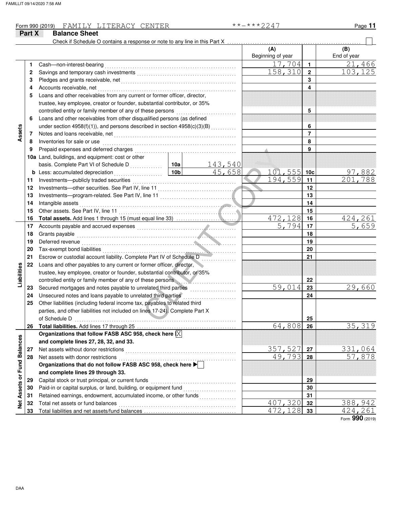#### Form 990 (2019) Page **11** FAMILY LITERACY CENTER \*\*-\*\*\*2247

|                             | Part X | <b>Balance Sheet</b>                                                                                                                                                                                                                 |                 |          |                          |                  |                          |
|-----------------------------|--------|--------------------------------------------------------------------------------------------------------------------------------------------------------------------------------------------------------------------------------------|-----------------|----------|--------------------------|------------------|--------------------------|
|                             |        | Check if Schedule O contains a response or note to any line in this Part X                                                                                                                                                           |                 |          | (A)<br>Beginning of year |                  | (B)<br>End of year       |
|                             | 1      | Cash-non-interest-bearing                                                                                                                                                                                                            |                 |          | 17,704                   | $\mathbf{1}$     | 21,466                   |
|                             | 2      |                                                                                                                                                                                                                                      |                 |          | 158,310                  | $\boldsymbol{2}$ | 103,125                  |
|                             | 3      |                                                                                                                                                                                                                                      |                 |          |                          | 3                |                          |
|                             | 4      | Accounts receivable, net                                                                                                                                                                                                             |                 |          |                          | 4                |                          |
|                             | 5      | Loans and other receivables from any current or former officer, director,                                                                                                                                                            |                 |          |                          |                  |                          |
|                             |        | trustee, key employee, creator or founder, substantial contributor, or 35%                                                                                                                                                           |                 |          |                          |                  |                          |
|                             |        | controlled entity or family member of any of these persons                                                                                                                                                                           |                 |          |                          | 5                |                          |
|                             | 6      | Loans and other receivables from other disqualified persons (as defined                                                                                                                                                              |                 |          |                          |                  |                          |
|                             |        | under section 4958(f)(1)), and persons described in section 4958(c)(3)(B)                                                                                                                                                            |                 |          |                          | 6                |                          |
| Assets                      | 7      |                                                                                                                                                                                                                                      |                 |          |                          | $\overline{7}$   |                          |
|                             | 8      | Inventories for sale or use                                                                                                                                                                                                          |                 |          |                          | 8                |                          |
|                             | 9      | Prepaid expenses and deferred charges                                                                                                                                                                                                |                 |          |                          | 9                |                          |
|                             |        | 10a Land, buildings, and equipment: cost or other                                                                                                                                                                                    |                 |          |                          |                  |                          |
|                             |        | basis. Complete Part VI of Schedule D                                                                                                                                                                                                | 10a             | 143,540  |                          |                  |                          |
|                             | b      | Less: accumulated depreciation<br>.                                                                                                                                                                                                  | 10 <sub>b</sub> | 45,658   | 101,555                  | 10 <sub>c</sub>  | 97,882                   |
|                             | 11     |                                                                                                                                                                                                                                      |                 |          | 194,559                  | 11               | 201,788                  |
|                             | 12     |                                                                                                                                                                                                                                      |                 |          |                          | 12               |                          |
|                             | 13     |                                                                                                                                                                                                                                      |                 |          |                          | 13               |                          |
|                             | 14     | Intangible assets                                                                                                                                                                                                                    |                 |          |                          | 14               |                          |
|                             | 15     |                                                                                                                                                                                                                                      |                 |          |                          | 15               |                          |
|                             | 16     |                                                                                                                                                                                                                                      |                 |          | 472,128                  | 16               | 424,261                  |
|                             | 17     | Accounts payable and accrued expenses [11] [11] Accounts payable and accrued expenses [11] [11] Accounts and accrued expenses [11] [11] Accounts and Accrue and Accrue and Accrue and Accrue and Accrue and Accredit and Accre       |                 |          | $\overline{5.794}$       | 17               | 5,659                    |
|                             | 18     | Grants payable                                                                                                                                                                                                                       |                 |          |                          | 18               |                          |
|                             | 19     | Deferred revenue <b>contract and the contract of the contract of the contract of the contract of the contract of the contract of the contract of the contract of the contract of the contract of the contract of the contract of</b> |                 |          |                          | 19               |                          |
|                             | 20     |                                                                                                                                                                                                                                      |                 | .        |                          | 20               |                          |
|                             | 21     | Escrow or custodial account liability. Complete Part IV of Schedule D                                                                                                                                                                |                 |          |                          | 21               |                          |
| Liabilities                 | 22     | Loans and other payables to any current or former officer, director,                                                                                                                                                                 |                 |          |                          |                  |                          |
|                             |        | trustee, key employee, creator or founder, substantial contributor, or 35%                                                                                                                                                           |                 |          |                          |                  |                          |
|                             |        | controlled entity or family member of any of these persons                                                                                                                                                                           |                 |          |                          | 22               |                          |
|                             | 23     | Secured mortgages and notes payable to unrelated third parties                                                                                                                                                                       |                 |          | 59,014                   | 23               | 29,660                   |
|                             | 24     | Unsecured notes and loans payable to unrelated third parties                                                                                                                                                                         |                 | <u>.</u> |                          | 24               |                          |
|                             | 25     | Other liabilities (including federal income tax, payables to related third                                                                                                                                                           |                 |          |                          |                  |                          |
|                             |        | parties, and other liabilities not included on lines 17-24). Complete Part X                                                                                                                                                         |                 |          |                          |                  |                          |
|                             |        | of Schedule D                                                                                                                                                                                                                        |                 |          |                          | 25               |                          |
|                             | 26     |                                                                                                                                                                                                                                      |                 |          | 64,808                   | 26               | 35, 319                  |
|                             |        | Organizations that follow FASB ASC 958, check here $\overline{\mathrm{X}}$<br>and complete lines 27, 28, 32, and 33.                                                                                                                 |                 |          |                          |                  |                          |
|                             | 27     | Net assets without donor restrictions                                                                                                                                                                                                |                 |          | 357,527                  | 27               |                          |
|                             | 28     | Net assets with donor restrictions                                                                                                                                                                                                   |                 |          | 49,793                   | 28               | <u>331,064</u><br>57,878 |
|                             |        | Organizations that do not follow FASB ASC 958, check here                                                                                                                                                                            |                 |          |                          |                  |                          |
|                             |        | and complete lines 29 through 33.                                                                                                                                                                                                    |                 |          |                          |                  |                          |
| Net Assets or Fund Balances | 29     | Capital stock or trust principal, or current funds                                                                                                                                                                                   |                 |          |                          | 29               |                          |
|                             | 30     | Paid-in or capital surplus, or land, building, or equipment fund                                                                                                                                                                     |                 |          |                          | 30               |                          |
|                             | 31     | Retained earnings, endowment, accumulated income, or other funds                                                                                                                                                                     |                 |          |                          | 31               |                          |
|                             | 32     | Total net assets or fund balances                                                                                                                                                                                                    |                 |          | 407,320                  | 32               | 388,942                  |
|                             | 33     |                                                                                                                                                                                                                                      |                 |          | 472,128                  | 33               | 424,261                  |
|                             |        |                                                                                                                                                                                                                                      |                 |          |                          |                  |                          |

Form **990** (2019)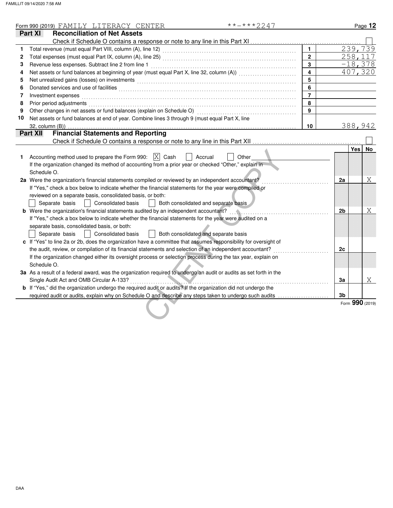|    | $******2247$<br>Form 990 (2019) FAMILY LITERACY CENTER                                                                                                                                                                         |                         |                |                       | Page 12   |
|----|--------------------------------------------------------------------------------------------------------------------------------------------------------------------------------------------------------------------------------|-------------------------|----------------|-----------------------|-----------|
|    | <b>Reconciliation of Net Assets</b><br>Part XI                                                                                                                                                                                 |                         |                |                       |           |
|    |                                                                                                                                                                                                                                |                         |                |                       |           |
| 1  |                                                                                                                                                                                                                                | $\blacksquare$          |                | 239,739               |           |
| 2  |                                                                                                                                                                                                                                | $\overline{2}$          |                | $\overline{2}58, 117$ |           |
| 3  | Revenue less expenses. Subtract line 2 from line 1                                                                                                                                                                             | $\overline{3}$          |                | $-18,378$             |           |
| 4  | Net assets or fund balances at beginning of year (must equal Part X, line 32, column (A)) [[[[[[[[[[[[[[[[[[[                                                                                                                  | $\overline{\mathbf{4}}$ |                | 407,320               |           |
| 5  |                                                                                                                                                                                                                                | 5                       |                |                       |           |
| 6  |                                                                                                                                                                                                                                | 6                       |                |                       |           |
| 7  | Investment expenses                                                                                                                                                                                                            | $\overline{7}$          |                |                       |           |
| 8  | Prior period adjustments entertainments and a series of the series of the series of the series of the series of the series of the series of the series of the series of the series of the series of the series of the series o | 8                       |                |                       |           |
| 9  |                                                                                                                                                                                                                                | 9                       |                |                       |           |
| 10 | Net assets or fund balances at end of year. Combine lines 3 through 9 (must equal Part X, line                                                                                                                                 |                         |                |                       |           |
|    | $32$ , column $(B)$ )                                                                                                                                                                                                          | 10                      |                | 388,942               |           |
|    | <b>Financial Statements and Reporting</b><br>Part XII                                                                                                                                                                          |                         |                |                       |           |
|    |                                                                                                                                                                                                                                |                         |                |                       |           |
|    |                                                                                                                                                                                                                                |                         |                | <b>Yes</b>            | <b>No</b> |
| 1. | Accounting method used to prepare the Form 990: $ X $ Cash<br>Accrual<br>Other                                                                                                                                                 |                         |                |                       |           |
|    | If the organization changed its method of accounting from a prior year or checked "Other," explain in                                                                                                                          |                         |                |                       |           |
|    | Schedule O.                                                                                                                                                                                                                    |                         |                |                       |           |
|    | 2a Were the organization's financial statements compiled or reviewed by an independent accountant?                                                                                                                             |                         | 2a             |                       | Χ         |
|    | If "Yes," check a box below to indicate whether the financial statements for the year were compiled or                                                                                                                         |                         |                |                       |           |
|    | reviewed on a separate basis, consolidated basis, or both:                                                                                                                                                                     |                         |                |                       |           |
|    | Consolidated basis<br>Separate basis<br>Both consolidated and separate basis                                                                                                                                                   |                         |                |                       |           |
|    | <b>b</b> Were the organization's financial statements audited by an independent accountant?                                                                                                                                    |                         | 2 <sub>b</sub> |                       | Χ         |
|    | If "Yes," check a box below to indicate whether the financial statements for the year were audited on a                                                                                                                        |                         |                |                       |           |
|    | separate basis, consolidated basis, or both:                                                                                                                                                                                   |                         |                |                       |           |
|    | Consolidated basis<br>Both consolidated and separate basis<br>Separate basis                                                                                                                                                   |                         |                |                       |           |
|    | c If "Yes" to line 2a or 2b, does the organization have a committee that assumes responsibility for oversight of                                                                                                               |                         |                |                       |           |
|    | the audit, review, or compilation of its financial statements and selection of an independent accountant?                                                                                                                      |                         | 2c             |                       |           |
|    | If the organization changed either its oversight process or selection process during the tax year, explain on                                                                                                                  |                         |                |                       |           |
|    | Schedule O.                                                                                                                                                                                                                    |                         |                |                       |           |
|    | 3a As a result of a federal award, was the organization required to undergo an audit or audits as set forth in the                                                                                                             |                         |                |                       |           |
|    | Single Audit Act and OMB Circular A-133?<br><u> New York: All and State and State and State and State and State and State and State and State and State and S</u><br>.                                                         |                         | 3a             |                       | Χ         |
|    | <b>b</b> If "Yes," did the organization undergo the required audit or audits? If the organization did not undergo the                                                                                                          |                         |                |                       |           |
|    |                                                                                                                                                                                                                                |                         | 3b             |                       |           |
|    |                                                                                                                                                                                                                                |                         |                | Form 990 (2019)       |           |
|    |                                                                                                                                                                                                                                |                         |                |                       |           |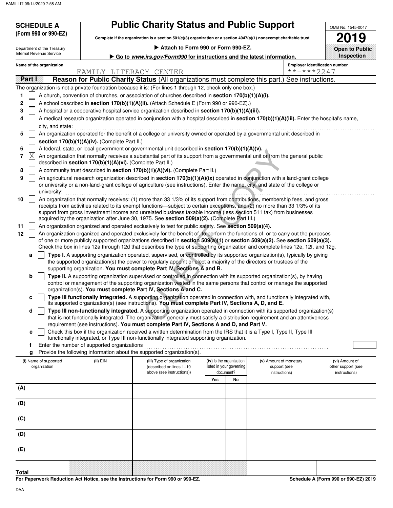| (Form 990 or 990-EZ)                                   |                                                            | <b>Public Charity Status and Public Support</b><br>Complete if the organization is a section $501(c)(3)$ organization or a section $4947(a)(1)$ nonexempt charitable trust. |     |                                                      |                                                                                                                                            | OMB No. 1545-0047<br>019             |  |  |  |
|--------------------------------------------------------|------------------------------------------------------------|-----------------------------------------------------------------------------------------------------------------------------------------------------------------------------|-----|------------------------------------------------------|--------------------------------------------------------------------------------------------------------------------------------------------|--------------------------------------|--|--|--|
|                                                        |                                                            | ▶ Attach to Form 990 or Form 990-EZ.                                                                                                                                        |     |                                                      |                                                                                                                                            |                                      |  |  |  |
| Department of the Treasury<br>Internal Revenue Service |                                                            |                                                                                                                                                                             |     |                                                      |                                                                                                                                            | <b>Open to Public</b><br>Inspection  |  |  |  |
| Name of the organization                               |                                                            | Go to www.irs.gov/Form990 for instructions and the latest information.                                                                                                      |     |                                                      | <b>Employer identification number</b>                                                                                                      |                                      |  |  |  |
|                                                        | FAMILY LITERACY CENTER                                     |                                                                                                                                                                             |     |                                                      | **-***2247                                                                                                                                 |                                      |  |  |  |
| Part I                                                 |                                                            |                                                                                                                                                                             |     |                                                      | <b>Reason for Public Charity Status (All organizations must complete this part.) See instructions.</b>                                     |                                      |  |  |  |
|                                                        |                                                            | The organization is not a private foundation because it is: (For lines 1 through 12, check only one box.)                                                                   |     |                                                      |                                                                                                                                            |                                      |  |  |  |
| 1                                                      |                                                            | A church, convention of churches, or association of churches described in section 170(b)(1)(A)(i).                                                                          |     |                                                      |                                                                                                                                            |                                      |  |  |  |
| 2                                                      |                                                            | A school described in section 170(b)(1)(A)(ii). (Attach Schedule E (Form 990 or 990-EZ).)                                                                                   |     |                                                      |                                                                                                                                            |                                      |  |  |  |
| 3                                                      |                                                            | A hospital or a cooperative hospital service organization described in section 170(b)(1)(A)(iii).                                                                           |     |                                                      |                                                                                                                                            |                                      |  |  |  |
| 4                                                      |                                                            |                                                                                                                                                                             |     |                                                      | A medical research organization operated in conjunction with a hospital described in section 170(b)(1)(A)(iii). Enter the hospital's name, |                                      |  |  |  |
| city, and state:                                       |                                                            |                                                                                                                                                                             |     |                                                      |                                                                                                                                            |                                      |  |  |  |
| 5                                                      |                                                            |                                                                                                                                                                             |     |                                                      | An organization operated for the benefit of a college or university owned or operated by a governmental unit described in                  |                                      |  |  |  |
|                                                        | section 170(b)(1)(A)(iv). (Complete Part II.)              |                                                                                                                                                                             |     |                                                      |                                                                                                                                            |                                      |  |  |  |
| 6                                                      |                                                            | A federal, state, or local government or governmental unit described in section 170(b)(1)(A)(v).                                                                            |     |                                                      |                                                                                                                                            |                                      |  |  |  |
| X <br>7                                                |                                                            |                                                                                                                                                                             |     |                                                      | An organization that normally receives a substantial part of its support from a governmental unit or from the general public               |                                      |  |  |  |
|                                                        | described in section 170(b)(1)(A)(vi). (Complete Part II.) |                                                                                                                                                                             |     |                                                      |                                                                                                                                            |                                      |  |  |  |
| 8                                                      |                                                            | A community trust described in section 170(b)(1)(A)(vi). (Complete Part II.)                                                                                                |     |                                                      |                                                                                                                                            |                                      |  |  |  |
| 9                                                      |                                                            |                                                                                                                                                                             |     |                                                      | An agricultural research organization described in section 170(b)(1)(A)(ix) operated in conjunction with a land-grant college              |                                      |  |  |  |
|                                                        |                                                            |                                                                                                                                                                             |     |                                                      | or university or a non-land-grant college of agriculture (see instructions). Enter the name, city, and state of the college or             |                                      |  |  |  |
| university:                                            |                                                            |                                                                                                                                                                             |     |                                                      |                                                                                                                                            |                                      |  |  |  |
| 10                                                     |                                                            |                                                                                                                                                                             |     |                                                      | An organization that normally receives: (1) more than 33 1/3% of its support from contributions, membership fees, and gross                |                                      |  |  |  |
|                                                        |                                                            | support from gross investment income and unrelated business taxable income (less section 511 tax) from businesses                                                           |     |                                                      | receipts from activities related to its exempt functions—subject to certain exceptions, and (2) no more than 33 1/3% of its                |                                      |  |  |  |
|                                                        |                                                            | acquired by the organization after June 30, 1975. See section 509(a)(2). (Complete Part III.)                                                                               |     |                                                      |                                                                                                                                            |                                      |  |  |  |
| 11                                                     |                                                            | An organization organized and operated exclusively to test for public safety. See section 509(a)(4).                                                                        |     |                                                      |                                                                                                                                            |                                      |  |  |  |
| 12                                                     |                                                            |                                                                                                                                                                             |     |                                                      | An organization organized and operated exclusively for the benefit of, to perform the functions of, or to carry out the purposes           |                                      |  |  |  |
|                                                        |                                                            |                                                                                                                                                                             |     |                                                      | of one or more publicly supported organizations described in section 509(a)(1) or section 509(a)(2). See section 509(a)(3).                |                                      |  |  |  |
|                                                        |                                                            |                                                                                                                                                                             |     |                                                      | Check the box in lines 12a through 12d that describes the type of supporting organization and complete lines 12e, 12f, and 12g.            |                                      |  |  |  |
| a                                                      |                                                            |                                                                                                                                                                             |     |                                                      | Type I. A supporting organization operated, supervised, or controlled by its supported organization(s), typically by giving                |                                      |  |  |  |
|                                                        |                                                            | the supported organization(s) the power to regularly appoint or elect a majority of the directors or trustees of the                                                        |     |                                                      |                                                                                                                                            |                                      |  |  |  |
|                                                        |                                                            | supporting organization. You must complete Part IV, Sections A and B.                                                                                                       |     |                                                      |                                                                                                                                            |                                      |  |  |  |
| b                                                      |                                                            |                                                                                                                                                                             |     |                                                      | Type II. A supporting organization supervised or controlled in connection with its supported organization(s), by having                    |                                      |  |  |  |
|                                                        |                                                            |                                                                                                                                                                             |     |                                                      | control or management of the supporting organization vested in the same persons that control or manage the supported                       |                                      |  |  |  |
|                                                        |                                                            | organization(s). You must complete Part IV, Sections A and C.                                                                                                               |     |                                                      | Type III functionally integrated. A supporting organization operated in connection with, and functionally integrated with,                 |                                      |  |  |  |
| c                                                      |                                                            | its supported organization(s) (see instructions). You must complete Part IV, Sections A, D, and E.                                                                          |     |                                                      |                                                                                                                                            |                                      |  |  |  |
| d                                                      |                                                            |                                                                                                                                                                             |     |                                                      | Type III non-functionally integrated. A supporting organization operated in connection with its supported organization(s)                  |                                      |  |  |  |
|                                                        |                                                            |                                                                                                                                                                             |     |                                                      | that is not functionally integrated. The organization generally must satisfy a distribution requirement and an attentiveness               |                                      |  |  |  |
|                                                        |                                                            | requirement (see instructions). You must complete Part IV, Sections A and D, and Part V.                                                                                    |     |                                                      |                                                                                                                                            |                                      |  |  |  |
| e                                                      |                                                            | Check this box if the organization received a written determination from the IRS that it is a Type I, Type II, Type III                                                     |     |                                                      |                                                                                                                                            |                                      |  |  |  |
|                                                        |                                                            | functionally integrated, or Type III non-functionally integrated supporting organization.                                                                                   |     |                                                      |                                                                                                                                            |                                      |  |  |  |
| f                                                      | Enter the number of supported organizations                | Provide the following information about the supported organization(s).                                                                                                      |     |                                                      |                                                                                                                                            |                                      |  |  |  |
| g                                                      |                                                            |                                                                                                                                                                             |     |                                                      |                                                                                                                                            |                                      |  |  |  |
| (i) Name of supported<br>organization                  | $(ii)$ EIN                                                 | (iii) Type of organization<br>(described on lines 1-10                                                                                                                      |     | (iv) Is the organization<br>listed in your governing | (v) Amount of monetary<br>support (see                                                                                                     | (vi) Amount of<br>other support (see |  |  |  |
|                                                        |                                                            | above (see instructions))                                                                                                                                                   |     | document?                                            | instructions)                                                                                                                              | instructions)                        |  |  |  |
|                                                        |                                                            |                                                                                                                                                                             | Yes | No                                                   |                                                                                                                                            |                                      |  |  |  |
| (A)                                                    |                                                            |                                                                                                                                                                             |     |                                                      |                                                                                                                                            |                                      |  |  |  |
|                                                        |                                                            |                                                                                                                                                                             |     |                                                      |                                                                                                                                            |                                      |  |  |  |
| (B)                                                    |                                                            |                                                                                                                                                                             |     |                                                      |                                                                                                                                            |                                      |  |  |  |
|                                                        |                                                            |                                                                                                                                                                             |     |                                                      |                                                                                                                                            |                                      |  |  |  |
| (C)                                                    |                                                            |                                                                                                                                                                             |     |                                                      |                                                                                                                                            |                                      |  |  |  |
|                                                        |                                                            |                                                                                                                                                                             |     |                                                      |                                                                                                                                            |                                      |  |  |  |
| (D)                                                    |                                                            |                                                                                                                                                                             |     |                                                      |                                                                                                                                            |                                      |  |  |  |
|                                                        |                                                            |                                                                                                                                                                             |     |                                                      |                                                                                                                                            |                                      |  |  |  |
| (E)                                                    |                                                            |                                                                                                                                                                             |     |                                                      |                                                                                                                                            |                                      |  |  |  |

**For Paperwork Reduction Act Notice, see the Instructions for Form 990 or 990-EZ. Total**

**Schedule A (Form 990 or 990-EZ) 2019**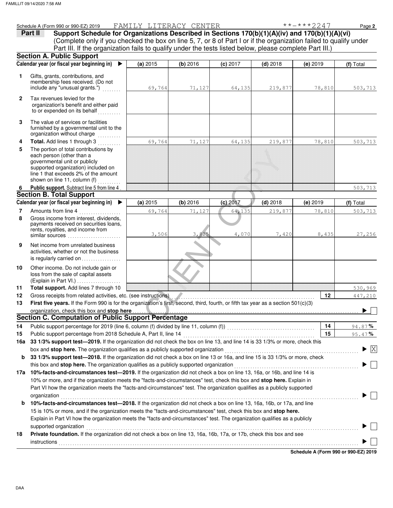|              | Schedule A (Form 990 or 990-EZ) 2019                                                                                                                                                                              | FAMILY LITERACY CENTER |          |            |            | $***$ $***$ 2247 | Page 2                                        |
|--------------|-------------------------------------------------------------------------------------------------------------------------------------------------------------------------------------------------------------------|------------------------|----------|------------|------------|------------------|-----------------------------------------------|
|              | Support Schedule for Organizations Described in Sections 170(b)(1)(A)(iv) and 170(b)(1)(A)(vi)<br>Part II                                                                                                         |                        |          |            |            |                  |                                               |
|              | (Complete only if you checked the box on line 5, 7, or 8 of Part I or if the organization failed to qualify under                                                                                                 |                        |          |            |            |                  |                                               |
|              | Part III. If the organization fails to qualify under the tests listed below, please complete Part III.)                                                                                                           |                        |          |            |            |                  |                                               |
|              | <b>Section A. Public Support</b>                                                                                                                                                                                  |                        |          |            |            |                  |                                               |
|              | Calendar year (or fiscal year beginning in)<br>$\blacktriangleright$                                                                                                                                              | (a) 2015               | (b) 2016 | (c) 2017   | $(d)$ 2018 | $(e)$ 2019       | (f) Total                                     |
| 1            | Gifts, grants, contributions, and                                                                                                                                                                                 |                        |          |            |            |                  |                                               |
|              | membership fees received. (Do not                                                                                                                                                                                 |                        |          |            |            |                  |                                               |
|              | include any "unusual grants.")                                                                                                                                                                                    | 69,764                 | 71,127   | 64,135     | 219,877    | 78,810           | 503,713                                       |
| $\mathbf{2}$ | Tax revenues levied for the                                                                                                                                                                                       |                        |          |            |            |                  |                                               |
|              | organization's benefit and either paid                                                                                                                                                                            |                        |          |            |            |                  |                                               |
|              | to or expended on its behalf                                                                                                                                                                                      |                        |          |            |            |                  |                                               |
| 3            | The value of services or facilities                                                                                                                                                                               |                        |          |            |            |                  |                                               |
|              | furnished by a governmental unit to the                                                                                                                                                                           |                        |          |            |            |                  |                                               |
|              | organization without charge                                                                                                                                                                                       |                        |          |            |            |                  |                                               |
| 4            | Total. Add lines 1 through 3                                                                                                                                                                                      | 69,764                 | 71,127   | 64,135     | 219,877    | 78,810           | 503,713                                       |
| 5            | The portion of total contributions by                                                                                                                                                                             |                        |          |            |            |                  |                                               |
|              | each person (other than a                                                                                                                                                                                         |                        |          |            |            |                  |                                               |
|              | governmental unit or publicly                                                                                                                                                                                     |                        |          |            |            |                  |                                               |
|              | supported organization) included on<br>line 1 that exceeds 2% of the amount                                                                                                                                       |                        |          |            |            |                  |                                               |
|              | shown on line 11, column (f)                                                                                                                                                                                      |                        |          |            |            |                  |                                               |
| 6            | Public support. Subtract line 5 from line 4                                                                                                                                                                       |                        |          |            |            |                  | 503,713                                       |
|              | <b>Section B. Total Support</b>                                                                                                                                                                                   |                        |          |            |            |                  |                                               |
|              | Calendar year (or fiscal year beginning in) ▶                                                                                                                                                                     | (a) 2015               | (b) 2016 | $(c)$ 2017 | $(d)$ 2018 | $(e)$ 2019       | (f) Total                                     |
| 7            | Amounts from line 4                                                                                                                                                                                               | 69,764                 | 71,127   | 64,135     | 219,877    | 78,810           | 503,713                                       |
| 8            | Gross income from interest, dividends,                                                                                                                                                                            |                        |          |            |            |                  |                                               |
|              | payments received on securities loans,                                                                                                                                                                            |                        |          |            |            |                  |                                               |
|              | rents, royalties, and income from                                                                                                                                                                                 | 3,506                  | 3,825    | 4,070      | 7,420      | 8,435            | 27,256                                        |
|              |                                                                                                                                                                                                                   |                        |          |            |            |                  |                                               |
| 9            | Net income from unrelated business                                                                                                                                                                                |                        |          |            |            |                  |                                               |
|              | activities, whether or not the business                                                                                                                                                                           |                        |          |            |            |                  |                                               |
|              | is regularly carried on                                                                                                                                                                                           |                        |          |            |            |                  |                                               |
| 10           | Other income. Do not include gain or                                                                                                                                                                              |                        |          |            |            |                  |                                               |
|              | loss from the sale of capital assets                                                                                                                                                                              |                        |          |            |            |                  |                                               |
| 11           | $(Explain in Part VI.) \dots \dots \dots \dots \dots$<br>Total support. Add lines 7 through 10                                                                                                                    |                        |          |            |            |                  | 530,969                                       |
| 12           | Gross receipts from related activities, etc. (see instructions).                                                                                                                                                  |                        |          |            |            | 12               | 447,210                                       |
| 13           | First five years. If the Form 990 is for the organization's first, second, third, fourth, or fifth tax year as a section 501(c)(3)                                                                                |                        |          |            |            |                  |                                               |
|              | organization, check this box and stop here                                                                                                                                                                        |                        |          |            |            |                  |                                               |
|              | <b>Section C. Computation of Public Support Percentage</b>                                                                                                                                                        |                        |          |            |            |                  |                                               |
| 14           |                                                                                                                                                                                                                   |                        |          |            |            | 14               | 94.87%                                        |
| 15           | Public support percentage from 2018 Schedule A, Part II, line 14                                                                                                                                                  |                        |          |            |            | 15               | 95.47%                                        |
|              | 33 1/3% support test-2019. If the organization did not check the box on line 13, and line 14 is 33 1/3% or more, check this                                                                                       |                        |          |            |            |                  |                                               |
| 16a          |                                                                                                                                                                                                                   |                        |          |            |            |                  | $\blacktriangleright$ $\overline{\mathrm{X}}$ |
|              | box and stop here. The organization qualifies as a publicly supported organization<br>33 1/3% support test-2018. If the organization did not check a box on line 13 or 16a, and line 15 is 33 1/3% or more, check |                        |          |            |            |                  |                                               |
| b            |                                                                                                                                                                                                                   |                        |          |            |            |                  |                                               |
|              | this box and stop here. The organization qualifies as a publicly supported organization                                                                                                                           |                        |          |            |            |                  |                                               |
|              | 17a 10%-facts-and-circumstances test-2019. If the organization did not check a box on line 13, 16a, or 16b, and line 14 is                                                                                        |                        |          |            |            |                  |                                               |
|              | 10% or more, and if the organization meets the "facts-and-circumstances" test, check this box and stop here. Explain in                                                                                           |                        |          |            |            |                  |                                               |
|              | Part VI how the organization meets the "facts-and-circumstances" test. The organization qualifies as a publicly supported                                                                                         |                        |          |            |            |                  |                                               |
|              | organization                                                                                                                                                                                                      |                        |          |            |            |                  |                                               |
| b            | 10%-facts-and-circumstances test-2018. If the organization did not check a box on line 13, 16a, 16b, or 17a, and line                                                                                             |                        |          |            |            |                  |                                               |
|              | 15 is 10% or more, and if the organization meets the "facts-and-circumstances" test, check this box and stop here.                                                                                                |                        |          |            |            |                  |                                               |
|              | Explain in Part VI how the organization meets the "facts-and-circumstances" test. The organization qualifies as a publicly                                                                                        |                        |          |            |            |                  |                                               |
|              | supported organization                                                                                                                                                                                            |                        |          |            |            |                  |                                               |

**18 Private foundation.** If the organization did not check a box on line 13, 16a, 16b, 17a, or 17b, check this box and see

supported organization . . . . . . . . . . . . . . . . . . . . . . . . . . . . . . . . . . . . . . . . . . . . . . . . . . . . . . . . . . . . . . . . . . . . . . . . . . . . . . . . . . . . . . . . . . . . . . . . . . . . . . . . . . . . . . . . . . . . . .

**Schedule A (Form 990 or 990-EZ) 2019** instructions with a constructions of the construction of the construction of the constructions of the construction of the construction of the construction of the construction of the construction of the construction of the

 $\blacktriangleright \Box$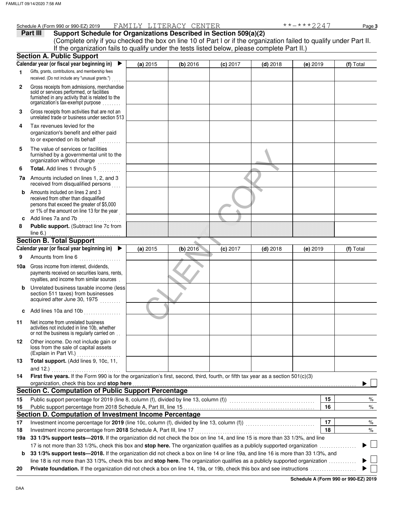| Part III | Support Schedule for Organizations Described in Section 509(a)(2)                                                  |
|----------|--------------------------------------------------------------------------------------------------------------------|
|          | (Complete only if you checked the box on line 10 of Part I or if the organization failed to qualify under Part II. |
|          | If the organization fails to qualify under the tests listed below, please complete Part II.)                       |
|          |                                                                                                                    |

|              | <b>Section A. Public Support</b>                                                                                                                                                  |          |          |            |            |            |                          |
|--------------|-----------------------------------------------------------------------------------------------------------------------------------------------------------------------------------|----------|----------|------------|------------|------------|--------------------------|
|              | Calendar year (or fiscal year beginning in)<br>▶                                                                                                                                  | (a) 2015 | (b) 2016 | $(c)$ 2017 | $(d)$ 2018 | $(e)$ 2019 | (f) Total                |
| 1            | Gifts, grants, contributions, and membership fees<br>received. (Do not include any "unusual grants.")                                                                             |          |          |            |            |            |                          |
| $\mathbf{2}$ | Gross receipts from admissions, merchandise<br>sold or services performed, or facilities<br>furnished in any activity that is related to the<br>organization's tax-exempt purpose |          |          |            |            |            |                          |
| 3            | Gross receipts from activities that are not an<br>unrelated trade or business under section 513                                                                                   |          |          |            |            |            |                          |
| 4            | Tax revenues levied for the<br>organization's benefit and either paid<br>to or expended on its behalf                                                                             |          |          |            |            |            |                          |
| 5            | The value of services or facilities<br>furnished by a governmental unit to the<br>organization without charge<br>in and dealers and                                               |          |          |            |            |            |                          |
| 6            | Total. Add lines 1 through 5<br>in de la partir                                                                                                                                   |          |          |            |            |            |                          |
| 7a           | Amounts included on lines 1, 2, and 3<br>received from disqualified persons                                                                                                       |          |          |            |            |            |                          |
| b            | Amounts included on lines 2 and 3<br>received from other than disqualified<br>persons that exceed the greater of \$5,000<br>or 1% of the amount on line 13 for the year           |          |          |            |            |            |                          |
| c            | Add lines 7a and 7b<br>.                                                                                                                                                          |          |          |            |            |            |                          |
| 8            | Public support. (Subtract line 7c from                                                                                                                                            |          |          |            |            |            |                          |
|              | line $6.$ )                                                                                                                                                                       |          |          |            |            |            |                          |
|              | <b>Section B. Total Support</b>                                                                                                                                                   |          |          |            |            |            |                          |
|              | Calendar year (or fiscal year beginning in)<br>▶                                                                                                                                  | (a) 2015 | (b) 2016 | $(c)$ 2017 | $(d)$ 2018 | $(e)$ 2019 | (f) Total                |
| 9            | Amounts from line 6                                                                                                                                                               |          |          |            |            |            |                          |
| 10a          | Gross income from interest, dividends,<br>payments received on securities loans, rents,<br>royalties, and income from similar sources.                                            |          |          |            |            |            |                          |
| b            | Unrelated business taxable income (less<br>section 511 taxes) from businesses<br>acquired after June 30, 1975                                                                     |          |          |            |            |            |                          |
| c            | Add lines 10a and 10b                                                                                                                                                             |          |          |            |            |            |                          |
| 11           | Net income from unrelated business<br>activities not included in line 10b, whether<br>or not the business is regularly carried on                                                 |          |          |            |            |            |                          |
| 12           | Other income. Do not include gain or<br>loss from the sale of capital assets<br>(Explain in Part VI.)                                                                             |          |          |            |            |            |                          |
| 13           | Total support. (Add lines 9, 10c, 11,<br>and $12.$ )<br>.                                                                                                                         |          |          |            |            |            |                          |
| 14           | First five years. If the Form 990 is for the organization's first, second, third, fourth, or fifth tax year as a section 501(c)(3)                                                |          |          |            |            |            |                          |
|              | organization, check this box and stop here                                                                                                                                        |          |          |            |            |            |                          |
|              | <b>Section C. Computation of Public Support Percentage</b>                                                                                                                        |          |          |            |            |            |                          |
| 15           | Public support percentage for 2019 (line 8, column (f), divided by line 13, column (f)) [[[[[[[[[[[[[[[[[[[[[                                                                     |          |          |            |            | 15         | %                        |
| 16           |                                                                                                                                                                                   |          |          |            |            | 16         | %                        |
|              | Section D. Computation of Investment Income Percentage                                                                                                                            |          |          |            |            |            |                          |
| 17           | Investment income percentage for 2019 (line 10c, column (f), divided by line 13, column (f) [[[[[[[[[[[[[[[[[                                                                     |          |          |            |            | 17         | %                        |
| 18           | Investment income percentage from 2018 Schedule A, Part III, line 17                                                                                                              |          |          |            |            | 18         | %                        |
| 19a          | 33 1/3% support tests-2019. If the organization did not check the box on line 14, and line 15 is more than 33 1/3%, and line                                                      |          |          |            |            |            |                          |
|              | 17 is not more than 33 1/3%, check this box and stop here. The organization qualifies as a publicly supported organization                                                        |          |          |            |            |            | $\overline{\phantom{a}}$ |
| b            | 33 1/3% support tests-2018. If the organization did not check a box on line 14 or line 19a, and line 16 is more than 33 1/3%, and                                                 |          |          |            |            |            |                          |
| 20           | line 18 is not more than 33 1/3%, check this box and stop here. The organization qualifies as a publicly supported organization                                                   |          |          |            |            |            |                          |
|              |                                                                                                                                                                                   |          |          |            |            |            |                          |

**Schedule A (Form 990 or 990-EZ) 2019**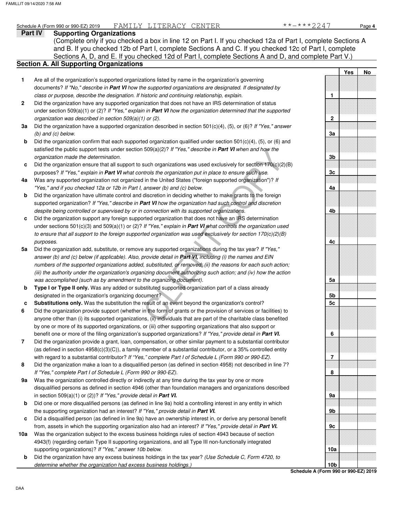## **Part IV Supporting Organizations** Schedule A (Form 990 or 990-EZ) 2019 FAMILY LITERACY CENTER \*\*\*\*\*2247 Page 4

Sections A, D, and E. If you checked 12d of Part I, complete Sections A and D, and complete Part V.) **Section A. All Supporting Organizations** (Complete only if you checked a box in line 12 on Part I. If you checked 12a of Part I, complete Sections A and B. If you checked 12b of Part I, complete Sections A and C. If you checked 12c of Part I, complete

### 509(a)(2)? If "res," describe in **Part VI** when and now the<br>such organizations was used exclusively for section 170(c)(2)(B)<br>throls the organization put in place to ensure such use.<br>I in the United States ("foreign suppor Are all of the organization's supported organizations listed by name in the organization's governing documents? *If "No," describe in* **Part VI** *how the supported organizations are designated. If designated by class or purpose, describe the designation. If historic and continuing relationship, explain.* Did the organization have any supported organization that does not have an IRS determination of status under section 509(a)(1) or (2)? *If "Yes," explain in* **Part VI** *how the organization determined that the supported organization was described in section 509(a)(1) or (2).* **1 2 3a** Did the organization have a supported organization described in section 501(c)(4), (5), or (6)? *If "Yes," answer* **b c 4a** Was any supported organization not organized in the United States ("foreign supported organization")? *If* **b c 5a** Did the organization add, substitute, or remove any supported organizations during the tax year? *If "Yes,"* **b c 6 7 8 9a b c 10a b** *(b) and (c) below.* Did the organization confirm that each supported organization qualified under section 501(c)(4), (5), or (6) and satisfied the public support tests under section 509(a)(2)? *If "Yes," describe in* **Part VI** *when and how the organization made the determination.* Did the organization ensure that all support to such organizations was used exclusively for section  $170(c)(2)(B)$ purposes? *If "Yes," explain in* **Part VI** *what controls the organization put in place to ensure such use. "Yes," and if you checked 12a or 12b in Part I, answer (b) and (c) below.* Did the organization have ultimate control and discretion in deciding whether to make grants to the foreign supported organization? *If "Yes," describe in* **Part VI** *how the organization had such control and discretion despite being controlled or supervised by or in connection with its supported organizations.* Did the organization support any foreign supported organization that does not have an IRS determination under sections 501(c)(3) and 509(a)(1) or (2)? *If "Yes," explain in* **Part VI** *what controls the organization used to ensure that all support to the foreign supported organization was used exclusively for section 170(c)(2)(B) purposes. answer (b) and (c) below (if applicable). Also, provide detail in* **Part VI,** *including (i) the names and EIN numbers of the supported organizations added, substituted, or removed; (ii) the reasons for each such action; (iii) the authority under the organization's organizing document authorizing such action; and (iv) how the action was accomplished (such as by amendment to the organizing document).* **Type I or Type II only.** Was any added or substituted supported organization part of a class already designated in the organization's organizing document? **Substitutions only.** Was the substitution the result of an event beyond the organization's control? Did the organization provide support (whether in the form of grants or the provision of services or facilities) to anyone other than (i) its supported organizations, (ii) individuals that are part of the charitable class benefited by one or more of its supported organizations, or (iii) other supporting organizations that also support or benefit one or more of the filing organization's supported organizations? *If "Yes," provide detail in* **Part VI.** Did the organization provide a grant, loan, compensation, or other similar payment to a substantial contributor (as defined in section 4958(c)(3)(C)), a family member of a substantial contributor, or a 35% controlled entity with regard to a substantial contributor? *If "Yes," complete Part I of Schedule L (Form 990 or 990-EZ).* Did the organization make a loan to a disqualified person (as defined in section 4958) not described in line 7? *If "Yes," complete Part I of Schedule L (Form 990 or 990-EZ).* Was the organization controlled directly or indirectly at any time during the tax year by one or more disqualified persons as defined in section 4946 (other than foundation managers and organizations described in section 509(a)(1) or (2))? *If "Yes," provide detail in* **Part VI.** Did one or more disqualified persons (as defined in line 9a) hold a controlling interest in any entity in which the supporting organization had an interest? *If "Yes," provide detail in* **Part VI.** Did a disqualified person (as defined in line 9a) have an ownership interest in, or derive any personal benefit from, assets in which the supporting organization also had an interest? *If "Yes," provide detail in* **Part VI.** Was the organization subject to the excess business holdings rules of section 4943 because of section 4943(f) (regarding certain Type II supporting organizations, and all Type III non-functionally integrated supporting organizations)? *If "Yes," answer 10b below.* Did the organization have any excess business holdings in the tax year? *(Use Schedule C, Form 4720, to*  **Yes No 1 2 3a 3b 3c 4a 4b 4c 5a 5b 5c 6 7 8 9a 9b 9c 10a**

**Schedule A (Form 990 or 990-EZ) 2019 10b**

*determine whether the organization had excess business holdings.)*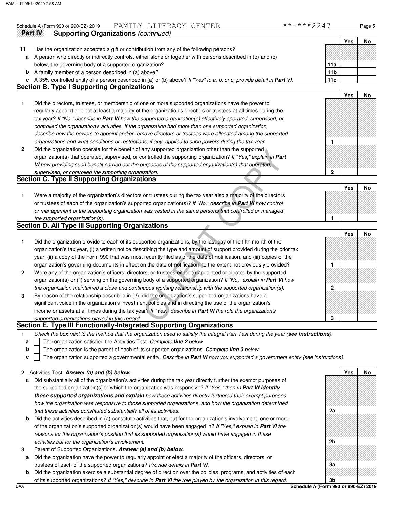|              | FAMILY LITERACY CENTER<br>Schedule A (Form 990 or 990-EZ) 2019                                                                    | **-***2247      |     | Page 5 |
|--------------|-----------------------------------------------------------------------------------------------------------------------------------|-----------------|-----|--------|
|              | <b>Supporting Organizations (continued)</b><br>Part IV                                                                            |                 |     |        |
|              |                                                                                                                                   |                 | Yes | No     |
| 11           | Has the organization accepted a gift or contribution from any of the following persons?                                           |                 |     |        |
| a            | A person who directly or indirectly controls, either alone or together with persons described in (b) and (c)                      |                 |     |        |
|              | below, the governing body of a supported organization?                                                                            | 11a             |     |        |
|              | <b>b</b> A family member of a person described in (a) above?                                                                      | 11 <sub>b</sub> |     |        |
| c            | A 35% controlled entity of a person described in (a) or (b) above? If "Yes" to a, b, or c, provide detail in Part VI.             | 11c             |     |        |
|              | <b>Section B. Type I Supporting Organizations</b>                                                                                 |                 |     |        |
|              |                                                                                                                                   |                 | Yes | No     |
| 1            | Did the directors, trustees, or membership of one or more supported organizations have the power to                               |                 |     |        |
|              | regularly appoint or elect at least a majority of the organization's directors or trustees at all times during the                |                 |     |        |
|              | tax year? If "No," describe in Part VI how the supported organization(s) effectively operated, supervised, or                     |                 |     |        |
|              | controlled the organization's activities. If the organization had more than one supported organization,                           |                 |     |        |
|              | describe how the powers to appoint and/or remove directors or trustees were allocated among the supported                         |                 |     |        |
|              | organizations and what conditions or restrictions, if any, applied to such powers during the tax year.                            | 1               |     |        |
| $\mathbf{2}$ | Did the organization operate for the benefit of any supported organization other than the supported                               |                 |     |        |
|              | organization(s) that operated, supervised, or controlled the supporting organization? If "Yes," explain in Part                   |                 |     |        |
|              | VI how providing such benefit carried out the purposes of the supported organization(s) that operated,                            |                 |     |        |
|              | supervised, or controlled the supporting organization.                                                                            | $\overline{2}$  |     |        |
|              | <b>Section C. Type II Supporting Organizations</b>                                                                                |                 |     |        |
|              |                                                                                                                                   |                 | Yes | No     |
| 1            | Were a majority of the organization's directors or trustees during the tax year also a majority of the directors                  |                 |     |        |
|              | or trustees of each of the organization's supported organization(s)? If "No," describe in Part VI how control                     |                 |     |        |
|              | or management of the supporting organization was vested in the same persons that controlled or managed                            |                 |     |        |
|              | the supported organization(s).                                                                                                    | 1               |     |        |
|              | <b>Section D. All Type III Supporting Organizations</b>                                                                           |                 |     |        |
|              |                                                                                                                                   |                 | Yes | No     |
| 1            | Did the organization provide to each of its supported organizations, by the last day of the fifth month of the                    |                 |     |        |
|              |                                                                                                                                   |                 |     |        |
|              | organization's tax year, (i) a written notice describing the type and amount of support provided during the prior tax             |                 |     |        |
|              | year, (ii) a copy of the Form 990 that was most recently filed as of the date of notification, and (iii) copies of the            |                 |     |        |
|              | organization's governing documents in effect on the date of notification, to the extent not previously provided?                  | 1               |     |        |
| 2            | Were any of the organization's officers, directors, or trustees either (i) appointed or elected by the supported                  |                 |     |        |
|              | organization(s) or (ii) serving on the governing body of a supported organization? If "No," explain in Part VI how                |                 |     |        |
|              | the organization maintained a close and continuous working relationship with the supported organization(s).                       | 2               |     |        |
| 3            | By reason of the relationship described in (2), did the organization's supported organizations have a                             |                 |     |        |
|              | significant voice in the organization's investment policies and in directing the use of the organization's                        |                 |     |        |
|              | income or assets at all times during the tax year? If "Yes," describe in Part VI the role the organization's                      |                 |     |        |
|              | supported organizations played in this regard.                                                                                    | 3               |     |        |
|              | Section E. Type III Functionally-Integrated Supporting Organizations                                                              |                 |     |        |
| 1            | Check the box next to the method that the organization used to satisfy the Integral Part Test during the year (see instructions). |                 |     |        |
| a            | The organization satisfied the Activities Test. Complete line 2 below.                                                            |                 |     |        |
| þ            | The organization is the parent of each of its supported organizations. Complete line 3 below.                                     |                 |     |        |

- is the parent of each of its supported organizations. *Complete line 3 below.*
- The organization supported a governmental entity. *Describe in* **Part VI** *how you supported a government entity (see instructions).* **c**

|  |  | 2 Activities Test. Answer (a) and (b) below. |  |  |  |  |
|--|--|----------------------------------------------|--|--|--|--|
|--|--|----------------------------------------------|--|--|--|--|

- **a** Did substantially all of the organization's activities during the tax year directly further the exempt purposes of the supported organization(s) to which the organization was responsive? *If "Yes," then in* **Part VI identify those supported organizations and explain** *how these activities directly furthered their exempt purposes, how the organization was responsive to those supported organizations, and how the organization determined that these activities constituted substantially all of its activities.*
- **b** Did the activities described in (a) constitute activities that, but for the organization's involvement, one or more of the organization's supported organization(s) would have been engaged in? *If "Yes," explain in* **Part VI** *the reasons for the organization's position that its supported organization(s) would have engaged in these activities but for the organization's involvement.*
- **3** Parent of Supported Organizations. **Answer (a) and (b) below.**
- **a** Did the organization have the power to regularly appoint or elect a majority of the officers, directors, or trustees of each of the supported organizations? *Provide details in* **Part VI.**
- DAA **Schedule A (Form 990 or 990-EZ) 2019 b** Did the organization exercise a substantial degree of direction over the policies, programs, and activities of each of its supported organizations? *If "Yes," describe in* **Part VI** *the role played by the organization in this regard.*

**Yes No 2a 2b 3a 3b**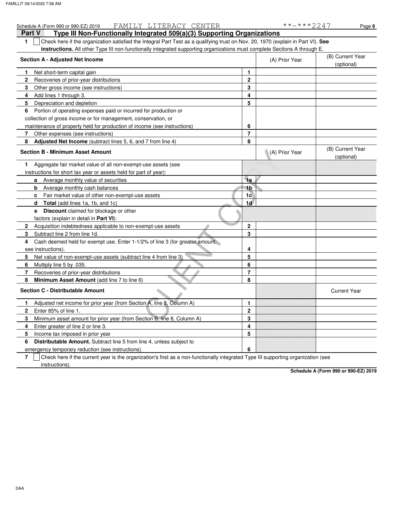| FAMILY LITERACY CENTER<br>Schedule A (Form 990 or 990-EZ) 2019                                                                         |                | **-***2247     | Page 6                         |
|----------------------------------------------------------------------------------------------------------------------------------------|----------------|----------------|--------------------------------|
| Type III Non-Functionally Integrated 509(a)(3) Supporting Organizations<br>Part V                                                      |                |                |                                |
| Check here if the organization satisfied the Integral Part Test as a qualifying trust on Nov. 20, 1970 (explain in Part VI). See<br>1. |                |                |                                |
| <b>instructions.</b> All other Type III non-functionally integrated supporting organizations must complete Sections A through E.       |                |                |                                |
| Section A - Adjusted Net Income                                                                                                        |                | (A) Prior Year | (B) Current Year               |
|                                                                                                                                        |                |                | (optional)                     |
| Net short-term capital gain<br>1.                                                                                                      | 1              |                |                                |
| $\overline{2}$<br>Recoveries of prior-year distributions                                                                               | $\mathbf{2}$   |                |                                |
| 3<br>Other gross income (see instructions)                                                                                             | 3              |                |                                |
| Add lines 1 through 3.<br>4                                                                                                            | 4              |                |                                |
| 5<br>Depreciation and depletion                                                                                                        | 5              |                |                                |
| Portion of operating expenses paid or incurred for production or<br>6                                                                  |                |                |                                |
| collection of gross income or for management, conservation, or                                                                         |                |                |                                |
| maintenance of property held for production of income (see instructions)                                                               | 6              |                |                                |
| 7<br>Other expenses (see instructions)                                                                                                 | $\overline{7}$ |                |                                |
| Adjusted Net Income (subtract lines 5, 6, and 7 from line 4)<br>8                                                                      | 8              |                |                                |
| <b>Section B - Minimum Asset Amount</b>                                                                                                |                | (A) Prior Year | (B) Current Year<br>(optional) |
| Aggregate fair market value of all non-exempt-use assets (see<br>1                                                                     |                |                |                                |
| instructions for short tax year or assets held for part of year):                                                                      |                |                |                                |
| Average monthly value of securities<br>a                                                                                               | 1a             |                |                                |
| Average monthly cash balances<br>b                                                                                                     | 1b             |                |                                |
| Fair market value of other non-exempt-use assets<br>c                                                                                  | 1 <sub>c</sub> |                |                                |
| <b>Total</b> (add lines 1a, 1b, and 1c)<br>d                                                                                           | 1d             |                |                                |
| <b>Discount</b> claimed for blockage or other<br>е                                                                                     |                |                |                                |
| factors (explain in detail in Part VI):                                                                                                |                |                |                                |
| Acquisition indebtedness applicable to non-exempt-use assets<br>$\mathbf{2}$                                                           | $\mathbf{2}$   |                |                                |
| 3<br>Subtract line 2 from line 1d.                                                                                                     | 3              |                |                                |
| Cash deemed held for exempt use. Enter 1-1/2% of line 3 (for greater amount,<br>4                                                      |                |                |                                |
| see instructions).                                                                                                                     | 4              |                |                                |
| Net value of non-exempt-use assets (subtract line 4 from line 3)<br>5                                                                  | 5              |                |                                |
| Multiply line 5 by .035.<br>6                                                                                                          | 6              |                |                                |
| 7<br>Recoveries of prior-year distributions                                                                                            | $\overline{7}$ |                |                                |
| 8<br>Minimum Asset Amount (add line 7 to line 6)                                                                                       | 8              |                |                                |
| <b>Section C - Distributable Amount</b>                                                                                                |                |                | <b>Current Year</b>            |
| Adjusted net income for prior year (from Section A, line 8, Column A)<br>1                                                             | 1              |                |                                |
| Enter 85% of line 1.<br>$\mathbf{2}$                                                                                                   | $\mathbf{2}$   |                |                                |
| Minimum asset amount for prior year (from Section B, line 8, Column A)<br>3                                                            | 3              |                |                                |
| Enter greater of line 2 or line 3.<br>4                                                                                                | 4              |                |                                |
| 5<br>Income tax imposed in prior year                                                                                                  | 5              |                |                                |
| Distributable Amount. Subtract line 5 from line 4, unless subject to<br>6                                                              |                |                |                                |
| emergency temporary reduction (see instructions).                                                                                      | 6              |                |                                |
|                                                                                                                                        |                |                |                                |

**7** instructions). Check here if the current year is the organization's first as a non-functionally integrated Type III supporting organization (see

**Schedule A (Form 990 or 990-EZ) 2019**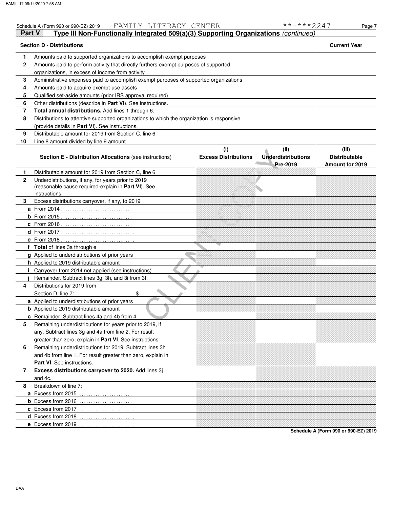|              | FAMILY LITERACY CENTER<br>Schedule A (Form 990 or 990-EZ) 2019                             |                                    | **-***2247                                    | Page 7                                                  |  |  |  |  |  |
|--------------|--------------------------------------------------------------------------------------------|------------------------------------|-----------------------------------------------|---------------------------------------------------------|--|--|--|--|--|
| Part V       | Type III Non-Functionally Integrated 509(a)(3) Supporting Organizations (continued)        |                                    |                                               |                                                         |  |  |  |  |  |
|              | <b>Section D - Distributions</b>                                                           |                                    |                                               | <b>Current Year</b>                                     |  |  |  |  |  |
| 1.           | Amounts paid to supported organizations to accomplish exempt purposes                      |                                    |                                               |                                                         |  |  |  |  |  |
| $\mathbf{2}$ | Amounts paid to perform activity that directly furthers exempt purposes of supported       |                                    |                                               |                                                         |  |  |  |  |  |
|              | organizations, in excess of income from activity                                           |                                    |                                               |                                                         |  |  |  |  |  |
| 3            | Administrative expenses paid to accomplish exempt purposes of supported organizations      |                                    |                                               |                                                         |  |  |  |  |  |
| 4            | Amounts paid to acquire exempt-use assets                                                  |                                    |                                               |                                                         |  |  |  |  |  |
| 5            | Qualified set-aside amounts (prior IRS approval required)                                  |                                    |                                               |                                                         |  |  |  |  |  |
| 6            | Other distributions (describe in Part VI). See instructions.                               |                                    |                                               |                                                         |  |  |  |  |  |
| 7            | Total annual distributions. Add lines 1 through 6.                                         |                                    |                                               |                                                         |  |  |  |  |  |
| 8            | Distributions to attentive supported organizations to which the organization is responsive |                                    |                                               |                                                         |  |  |  |  |  |
|              | (provide details in Part VI). See instructions.                                            |                                    |                                               |                                                         |  |  |  |  |  |
| 9            | Distributable amount for 2019 from Section C, line 6                                       |                                    |                                               |                                                         |  |  |  |  |  |
| 10           | Line 8 amount divided by line 9 amount                                                     |                                    |                                               |                                                         |  |  |  |  |  |
|              |                                                                                            |                                    |                                               |                                                         |  |  |  |  |  |
|              | Section E - Distribution Allocations (see instructions)                                    | (i)<br><b>Excess Distributions</b> | (ii)<br><b>Underdistributions</b><br>Pre-2019 | (iii)<br><b>Distributable</b><br><b>Amount for 2019</b> |  |  |  |  |  |
| 1.           | Distributable amount for 2019 from Section C, line 6                                       |                                    |                                               |                                                         |  |  |  |  |  |
| $\mathbf{2}$ | Underdistributions, if any, for years prior to 2019                                        |                                    |                                               |                                                         |  |  |  |  |  |
|              | (reasonable cause required-explain in Part VI). See                                        |                                    |                                               |                                                         |  |  |  |  |  |
|              | instructions.                                                                              |                                    |                                               |                                                         |  |  |  |  |  |
| 3            | Excess distributions carryover, if any, to 2019                                            |                                    |                                               |                                                         |  |  |  |  |  |
|              | <b>a</b> From 2014                                                                         |                                    |                                               |                                                         |  |  |  |  |  |
|              |                                                                                            |                                    |                                               |                                                         |  |  |  |  |  |
|              | <b>c</b> From 2016                                                                         |                                    |                                               |                                                         |  |  |  |  |  |
|              | d From 2017                                                                                |                                    |                                               |                                                         |  |  |  |  |  |
|              | e From 2018                                                                                |                                    |                                               |                                                         |  |  |  |  |  |
|              | f Total of lines 3a through e                                                              |                                    |                                               |                                                         |  |  |  |  |  |
|              | g Applied to underdistributions of prior years                                             |                                    |                                               |                                                         |  |  |  |  |  |
|              | h Applied to 2019 distributable amount                                                     |                                    |                                               |                                                         |  |  |  |  |  |
|              | <i>i</i> Carryover from 2014 not applied (see instructions)                                |                                    |                                               |                                                         |  |  |  |  |  |
|              | Remainder. Subtract lines 3g, 3h, and 3i from 3f.                                          |                                    |                                               |                                                         |  |  |  |  |  |
| 4            | Distributions for 2019 from                                                                |                                    |                                               |                                                         |  |  |  |  |  |
|              | \$<br>Section D, line 7:                                                                   |                                    |                                               |                                                         |  |  |  |  |  |
|              | a Applied to underdistributions of prior years                                             |                                    |                                               |                                                         |  |  |  |  |  |
|              | <b>b</b> Applied to 2019 distributable amount                                              |                                    |                                               |                                                         |  |  |  |  |  |
|              | c Remainder. Subtract lines 4a and 4b from 4.                                              |                                    |                                               |                                                         |  |  |  |  |  |
| 5            | Remaining underdistributions for years prior to 2019, if                                   |                                    |                                               |                                                         |  |  |  |  |  |
|              | any. Subtract lines 3g and 4a from line 2. For result                                      |                                    |                                               |                                                         |  |  |  |  |  |
|              | greater than zero, explain in Part VI. See instructions.                                   |                                    |                                               |                                                         |  |  |  |  |  |
| 6            | Remaining underdistributions for 2019. Subtract lines 3h                                   |                                    |                                               |                                                         |  |  |  |  |  |
|              | and 4b from line 1. For result greater than zero, explain in                               |                                    |                                               |                                                         |  |  |  |  |  |
|              | Part VI. See instructions.                                                                 |                                    |                                               |                                                         |  |  |  |  |  |
|              |                                                                                            |                                    |                                               |                                                         |  |  |  |  |  |
| 7            | Excess distributions carryover to 2020. Add lines 3j                                       |                                    |                                               |                                                         |  |  |  |  |  |
|              | and 4c.                                                                                    |                                    |                                               |                                                         |  |  |  |  |  |
| 8            | Breakdown of line 7:                                                                       |                                    |                                               |                                                         |  |  |  |  |  |
|              | <b>a</b> Excess from 2015<br>.                                                             |                                    |                                               |                                                         |  |  |  |  |  |
|              |                                                                                            |                                    |                                               |                                                         |  |  |  |  |  |
|              | c Excess from 2017                                                                         |                                    |                                               |                                                         |  |  |  |  |  |
|              | d Excess from 2018<br>.                                                                    |                                    |                                               |                                                         |  |  |  |  |  |
|              | e Excess from 2019                                                                         |                                    |                                               |                                                         |  |  |  |  |  |

**Schedule A (Form 990 or 990-EZ) 2019**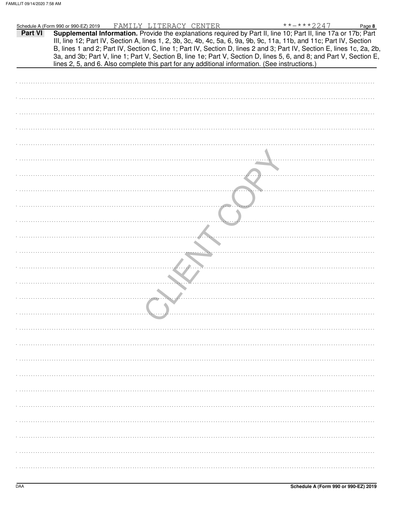|         | FAMILY LITERACY CENTER<br>**-***2247<br>Schedule A (Form 990 or 990-EZ) 2019<br>Page 8                                 |
|---------|------------------------------------------------------------------------------------------------------------------------|
| Part VI | Supplemental Information. Provide the explanations required by Part II, line 10; Part II, line 17a or 17b; Part        |
|         | III, line 12; Part IV, Section A, lines 1, 2, 3b, 3c, 4b, 4c, 5a, 6, 9a, 9b, 9c, 11a, 11b, and 11c; Part IV, Section   |
|         | B, lines 1 and 2; Part IV, Section C, line 1; Part IV, Section D, lines 2 and 3; Part IV, Section E, lines 1c, 2a, 2b, |
|         | 3a, and 3b; Part V, line 1; Part V, Section B, line 1e; Part V, Section D, lines 5, 6, and 8; and Part V, Section E,   |
|         | lines 2, 5, and 6. Also complete this part for any additional information. (See instructions.)                         |
|         |                                                                                                                        |
|         |                                                                                                                        |
|         |                                                                                                                        |
|         |                                                                                                                        |
|         |                                                                                                                        |
|         |                                                                                                                        |
|         |                                                                                                                        |
|         |                                                                                                                        |
|         |                                                                                                                        |
|         |                                                                                                                        |
|         |                                                                                                                        |
|         |                                                                                                                        |
|         |                                                                                                                        |
|         |                                                                                                                        |
|         |                                                                                                                        |
|         |                                                                                                                        |
|         |                                                                                                                        |
|         |                                                                                                                        |
|         |                                                                                                                        |
|         |                                                                                                                        |
|         |                                                                                                                        |
|         |                                                                                                                        |
|         |                                                                                                                        |
|         |                                                                                                                        |
|         |                                                                                                                        |
|         |                                                                                                                        |
|         |                                                                                                                        |
|         |                                                                                                                        |
|         |                                                                                                                        |
|         |                                                                                                                        |
|         |                                                                                                                        |
|         |                                                                                                                        |
|         |                                                                                                                        |
|         |                                                                                                                        |
|         |                                                                                                                        |
|         |                                                                                                                        |
|         |                                                                                                                        |
|         |                                                                                                                        |
|         |                                                                                                                        |
|         |                                                                                                                        |
|         |                                                                                                                        |
|         |                                                                                                                        |
|         |                                                                                                                        |
|         |                                                                                                                        |
|         |                                                                                                                        |
|         |                                                                                                                        |
|         |                                                                                                                        |
|         |                                                                                                                        |
|         |                                                                                                                        |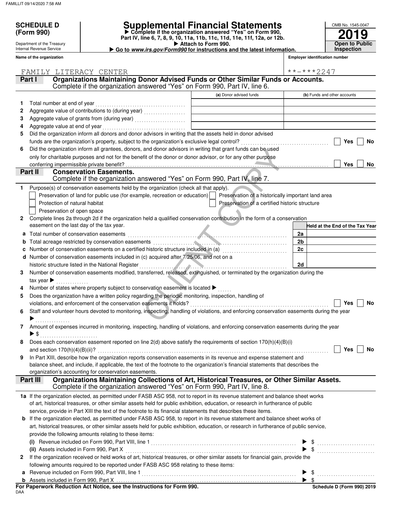**(Form 990)**

Department of the Treasury Internal Revenue Service

# **SCHEDULE D Supplemental Financial Statements**

- **Attach to Form 990. Part IV, line 6, 7, 8, 9, 10, 11a, 11b, 11c, 11d, 11e, 11f, 12a, or 12b.** - **Complete if the organization answered "Yes" on Form 990,**

|  | Go to www.irs.gov/Form990 for instructions and the latest information. |  |
|--|------------------------------------------------------------------------|--|
|  |                                                                        |  |

| OMB No. 1545-0047  |
|--------------------|
| 2019               |
| pen to Publ<br>ie. |

| Name of the organization       |                                                                                                                                                                |                                                    | <b>Employer identification number</b> |
|--------------------------------|----------------------------------------------------------------------------------------------------------------------------------------------------------------|----------------------------------------------------|---------------------------------------|
|                                | FAMILY LITERACY CENTER                                                                                                                                         |                                                    | **-***2247                            |
| Part I                         | Organizations Maintaining Donor Advised Funds or Other Similar Funds or Accounts.<br>Complete if the organization answered "Yes" on Form 990, Part IV, line 6. |                                                    |                                       |
|                                |                                                                                                                                                                | (a) Donor advised funds                            | (b) Funds and other accounts          |
|                                | Total number at end of year                                                                                                                                    |                                                    |                                       |
| 2                              | Aggregate value of contributions to (during year) [11] Aggregate value of contributions to (during year)                                                       |                                                    |                                       |
| 3                              |                                                                                                                                                                |                                                    |                                       |
| 4                              | Aggregate value at end of year                                                                                                                                 |                                                    |                                       |
| 5                              | Did the organization inform all donors and donor advisors in writing that the assets held in donor advised                                                     |                                                    |                                       |
|                                |                                                                                                                                                                |                                                    | Yes<br>No                             |
| 6                              | Did the organization inform all grantees, donors, and donor advisors in writing that grant funds can be used                                                   |                                                    |                                       |
|                                | only for charitable purposes and not for the benefit of the donor or donor advisor, or for any other purpose                                                   |                                                    |                                       |
|                                | conferring impermissible private benefit?                                                                                                                      |                                                    | <b>Yes</b><br>No                      |
| Part II                        | <b>Conservation Easements.</b>                                                                                                                                 |                                                    |                                       |
|                                | Complete if the organization answered "Yes" on Form 990, Part IV, line 7.                                                                                      |                                                    |                                       |
| 1                              | Purpose(s) of conservation easements held by the organization (check all that apply).                                                                          |                                                    |                                       |
|                                | Preservation of land for public use (for example, recreation or education)                                                                                     | Preservation of a historically important land area |                                       |
|                                | Protection of natural habitat                                                                                                                                  | Preservation of a certified historic structure     |                                       |
|                                | Preservation of open space                                                                                                                                     |                                                    |                                       |
| $\mathbf{2}$                   | Complete lines 2a through 2d if the organization held a qualified conservation contribution in the form of a conservation                                      |                                                    |                                       |
|                                | easement on the last day of the tax year.                                                                                                                      |                                                    | Held at the End of the Tax Year       |
| a                              | Total number of conservation easements                                                                                                                         |                                                    | 2a                                    |
| b                              |                                                                                                                                                                |                                                    | 2 <sub>b</sub>                        |
|                                | Number of conservation easements on a certified historic structure included in (a) [[[[[[[[[[[[[[[[[[[[[[[[]]]]]]]                                             |                                                    | 2c                                    |
| d                              | Number of conservation easements included in (c) acquired after 7/25/06, and not on a                                                                          |                                                    |                                       |
|                                | historic structure listed in the National Register                                                                                                             |                                                    | 2d                                    |
| 3                              | Number of conservation easements modified, transferred, released, extinguished, or terminated by the organization during the                                   |                                                    |                                       |
| tax year $\blacktriangleright$ |                                                                                                                                                                |                                                    |                                       |
|                                | Number of states where property subject to conservation easement is located $\blacktriangleright$                                                              |                                                    |                                       |
| 5                              | Does the organization have a written policy regarding the periodic monitoring, inspection, handling of                                                         |                                                    |                                       |
|                                |                                                                                                                                                                |                                                    | <b>Yes</b><br>No                      |
| 6                              | Staff and volunteer hours devoted to monitoring, inspecting, handling of violations, and enforcing conservation easements during the year                      |                                                    |                                       |
|                                |                                                                                                                                                                |                                                    |                                       |
|                                | Amount of expenses incurred in monitoring, inspecting, handling of violations, and enforcing conservation easements during the year                            |                                                    |                                       |
| $\blacktriangleright$ \$       |                                                                                                                                                                |                                                    |                                       |
|                                | Does each conservation easement reported on line $2(d)$ above satisfy the requirements of section $170(h)(4)(B)(i)$                                            |                                                    |                                       |
|                                |                                                                                                                                                                |                                                    | Yes<br>No                             |
| 9                              | In Part XIII, describe how the organization reports conservation easements in its revenue and expense statement and                                            |                                                    |                                       |
|                                | balance sheet, and include, if applicable, the text of the footnote to the organization's financial statements that describes the                              |                                                    |                                       |
| Part III                       | organization's accounting for conservation easements.<br>Organizations Maintaining Collections of Art, Historical Treasures, or Other Similar Assets.          |                                                    |                                       |
|                                | Complete if the organization answered "Yes" on Form 990, Part IV, line 8.                                                                                      |                                                    |                                       |
|                                | 1a If the organization elected, as permitted under FASB ASC 958, not to report in its revenue statement and balance sheet works                                |                                                    |                                       |
|                                | of art, historical treasures, or other similar assets held for public exhibition, education, or research in furtherance of public                              |                                                    |                                       |
|                                | service, provide in Part XIII the text of the footnote to its financial statements that describes these items.                                                 |                                                    |                                       |
| b                              | If the organization elected, as permitted under FASB ASC 958, to report in its revenue statement and balance sheet works of                                    |                                                    |                                       |
|                                | art, historical treasures, or other similar assets held for public exhibition, education, or research in furtherance of public service,                        |                                                    |                                       |
|                                | provide the following amounts relating to these items:                                                                                                         |                                                    |                                       |
|                                |                                                                                                                                                                |                                                    |                                       |
|                                |                                                                                                                                                                |                                                    |                                       |
| $\mathbf{2}$                   | If the organization received or held works of art, historical treasures, or other similar assets for financial gain, provide the                               |                                                    |                                       |
|                                | following amounts required to be reported under FASB ASC 958 relating to these items:                                                                          |                                                    |                                       |
| a                              |                                                                                                                                                                |                                                    |                                       |
|                                |                                                                                                                                                                |                                                    |                                       |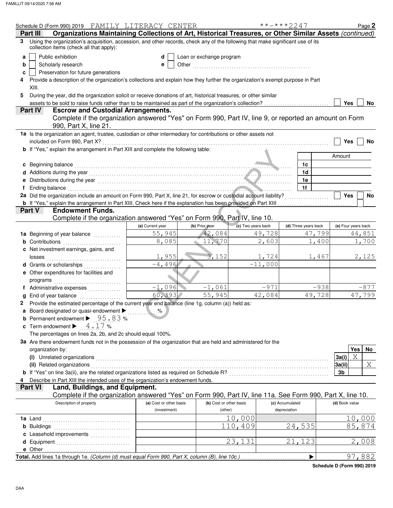|    | Schedule D (Form 990) 2019 FAMILY LITERACY CENTER                                                                                                                                                                              |                         |                          |                    | $***$ $***$ 2247     | Page 2              |
|----|--------------------------------------------------------------------------------------------------------------------------------------------------------------------------------------------------------------------------------|-------------------------|--------------------------|--------------------|----------------------|---------------------|
|    | Organizations Maintaining Collections of Art, Historical Treasures, or Other Similar Assets (continued)<br>Part III                                                                                                            |                         |                          |                    |                      |                     |
| 3. | Using the organization's acquisition, accession, and other records, check any of the following that make significant use of its<br>collection items (check all that apply):                                                    |                         |                          |                    |                      |                     |
| a  | Public exhibition                                                                                                                                                                                                              | d                       | Loan or exchange program |                    |                      |                     |
| b  | Scholarly research                                                                                                                                                                                                             | e                       |                          |                    |                      |                     |
| c  | Preservation for future generations                                                                                                                                                                                            |                         |                          |                    |                      |                     |
|    | Provide a description of the organization's collections and explain how they further the organization's exempt purpose in Part                                                                                                 |                         |                          |                    |                      |                     |
|    | XIII.                                                                                                                                                                                                                          |                         |                          |                    |                      |                     |
| 5  | During the year, did the organization solicit or receive donations of art, historical treasures, or other similar                                                                                                              |                         |                          |                    |                      |                     |
|    | assets to be sold to raise funds rather than to be maintained as part of the organization's collection?                                                                                                                        |                         |                          |                    |                      | Yes<br>No.          |
|    | <b>Escrow and Custodial Arrangements.</b><br>Part IV                                                                                                                                                                           |                         |                          |                    |                      |                     |
|    | Complete if the organization answered "Yes" on Form 990, Part IV, line 9, or reported an amount on Form                                                                                                                        |                         |                          |                    |                      |                     |
|    | 990, Part X, line 21.                                                                                                                                                                                                          |                         |                          |                    |                      |                     |
|    | 1a Is the organization an agent, trustee, custodian or other intermediary for contributions or other assets not                                                                                                                |                         |                          |                    |                      |                     |
|    | included on Form 990, Part X?                                                                                                                                                                                                  |                         |                          |                    |                      | Yes<br>No           |
|    | b If "Yes," explain the arrangement in Part XIII and complete the following table:                                                                                                                                             |                         |                          |                    |                      |                     |
|    |                                                                                                                                                                                                                                |                         |                          |                    |                      | Amount              |
|    | c Beginning balance                                                                                                                                                                                                            |                         |                          |                    | 1c                   |                     |
|    | d Additions during the year encouragement of the year and the year and the year and the year and the year and the year and the year and the year and the year and the year and year and year and year and year and year and ye |                         |                          |                    | 1 <sub>d</sub>       |                     |
|    | Distributions during the year manufactured and the year manufactured with the set of the set of the set of the                                                                                                                 |                         |                          |                    | 1e                   |                     |
|    | Ending balance                                                                                                                                                                                                                 |                         |                          |                    | 1f                   |                     |
|    | 2a Did the organization include an amount on Form 990, Part X, line 21, for escrow or custodial account liability?                                                                                                             |                         |                          |                    |                      | Yes<br>No           |
|    | <b>b</b> If "Yes," explain the arrangement in Part XIII. Check here if the explanation has been provided on Part XIII                                                                                                          |                         |                          |                    |                      |                     |
|    | Part V<br><b>Endowment Funds.</b>                                                                                                                                                                                              |                         |                          |                    |                      |                     |
|    | Complete if the organization answered "Yes" on Form 990, Part IV, line 10.                                                                                                                                                     |                         |                          |                    |                      |                     |
|    |                                                                                                                                                                                                                                | (a) Current year        | (b) Prior year           | (c) Two years back | (d) Three years back | (e) Four years back |
|    | 1a Beginning of year balance                                                                                                                                                                                                   | 55,945                  | 42,084                   |                    | 49,728               | 44,851<br>47,799    |
|    | <b>b</b> Contributions <b>contributions</b>                                                                                                                                                                                    | 8,085                   | 11,770                   |                    | 2,603                | 1,400<br>1,700      |
|    | c Net investment earnings, gains, and                                                                                                                                                                                          |                         |                          |                    |                      |                     |
|    | losses                                                                                                                                                                                                                         | 1,955                   | 3,152                    |                    | 1,724                | 1,467<br>2,125      |
|    | Grants or scholarships                                                                                                                                                                                                         | $-4,496$                |                          | $-11,000$          |                      |                     |
|    | e Other expenditures for facilities and                                                                                                                                                                                        |                         |                          |                    |                      |                     |
|    | programs                                                                                                                                                                                                                       |                         |                          |                    |                      |                     |
|    | f Administrative expenses                                                                                                                                                                                                      | $-1,096$                | $-1,061$                 |                    | $-971$               | $-938$<br>$-877$    |
|    | End of year balance                                                                                                                                                                                                            | 60,393                  | 55,945                   |                    | 42,084               | 49,728<br>47,799    |
|    | Provide the estimated percentage of the current year end balance (line 1g, column (a)) held as:                                                                                                                                |                         |                          |                    |                      |                     |
|    | Board designated or quasi-endowment                                                                                                                                                                                            | $\sim$ $\%$             |                          |                    |                      |                     |
|    | <b>b</b> Permanent endowment $\triangleright$ 95.83%                                                                                                                                                                           |                         |                          |                    |                      |                     |
|    | <b>c</b> Term endowment $\blacktriangleright$ 4.17%                                                                                                                                                                            |                         |                          |                    |                      |                     |
|    | The percentages on lines 2a, 2b, and 2c should equal 100%.                                                                                                                                                                     |                         |                          |                    |                      |                     |
|    | 3a Are there endowment funds not in the possession of the organization that are held and administered for the                                                                                                                  |                         |                          |                    |                      |                     |
|    | organization by:                                                                                                                                                                                                               |                         |                          |                    |                      | <b>Yes</b><br>No    |
|    | (i) Unrelated organizations                                                                                                                                                                                                    |                         |                          |                    |                      | X<br>3a(i)          |
|    | (ii) Related organizations                                                                                                                                                                                                     |                         |                          |                    |                      | X<br>3a(ii)         |
|    | <b>b</b> If "Yes" on line 3a(ii), are the related organizations listed as required on Schedule R?<br><sub>2000</sub>                                                                                                           |                         |                          |                    |                      | 3b                  |
|    |                                                                                                                                                                                                                                |                         |                          |                    |                      |                     |
|    | Describe in Part XIII the intended uses of the organization's endowment funds.<br>Part VI                                                                                                                                      |                         |                          |                    |                      |                     |
|    | Land, Buildings, and Equipment.                                                                                                                                                                                                |                         |                          |                    |                      |                     |
|    | Complete if the organization answered "Yes" on Form 990, Part IV, line 11a. See Form 990, Part X, line 10.                                                                                                                     |                         |                          |                    |                      |                     |
|    | Description of property                                                                                                                                                                                                        | (a) Cost or other basis | (b) Cost or other basis  |                    | (c) Accumulated      | (d) Book value      |
|    |                                                                                                                                                                                                                                | (investment)            | (other)                  |                    | depreciation         |                     |
|    | 1a Land                                                                                                                                                                                                                        |                         |                          | 10,000             |                      | 10,000              |
|    | <b>b</b> Buildings                                                                                                                                                                                                             |                         |                          | 110,409            | 24,535               | 85,874              |
|    |                                                                                                                                                                                                                                |                         |                          |                    |                      |                     |
|    | d Equipment                                                                                                                                                                                                                    |                         |                          | 23,131             | 21,123               | 2,008               |
|    | e Other.                                                                                                                                                                                                                       |                         |                          |                    |                      |                     |
|    | Total. Add lines 1a through 1e. (Column (d) must equal Form 990, Part X, column (B), line 10c.)                                                                                                                                |                         |                          |                    | ▶                    | 97,882              |

**Schedule D (Form 990) 2019**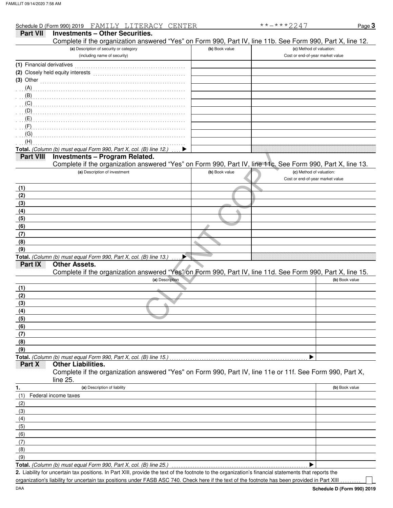|                           | Schedule D (Form 990) 2019 FAMILY LITERACY CENTER                                                          |                | **-***2247                       | Page 3         |
|---------------------------|------------------------------------------------------------------------------------------------------------|----------------|----------------------------------|----------------|
| <b>Part VII</b>           | <b>Investments - Other Securities.</b>                                                                     |                |                                  |                |
|                           | Complete if the organization answered "Yes" on Form 990, Part IV, line 11b. See Form 990, Part X, line 12. |                |                                  |                |
|                           | (a) Description of security or category                                                                    | (b) Book value | (c) Method of valuation:         |                |
|                           | (including name of security)                                                                               |                | Cost or end-of-year market value |                |
| (1) Financial derivatives |                                                                                                            |                |                                  |                |
|                           |                                                                                                            |                |                                  |                |
| $(3)$ Other               |                                                                                                            |                |                                  |                |
|                           |                                                                                                            |                |                                  |                |
| (A)                       |                                                                                                            |                |                                  |                |
| (B)                       |                                                                                                            |                |                                  |                |
| (C)                       |                                                                                                            |                |                                  |                |
| (D)                       |                                                                                                            |                |                                  |                |
|                           |                                                                                                            |                |                                  |                |
| (F)                       |                                                                                                            |                |                                  |                |
| (G)                       |                                                                                                            |                |                                  |                |
| (H)                       |                                                                                                            |                |                                  |                |
|                           | Total. (Column (b) must equal Form 990, Part X, col. (B) line 12.)                                         |                |                                  |                |
| <b>Part VIII</b>          | <b>Investments - Program Related.</b>                                                                      |                |                                  |                |
|                           | Complete if the organization answered "Yes" on Form 990, Part IV, line 11c. See Form 990, Part X, line 13. |                |                                  |                |
|                           | (a) Description of investment                                                                              | (b) Book value | (c) Method of valuation:         |                |
|                           |                                                                                                            |                | Cost or end-of-year market value |                |
| (1)                       |                                                                                                            |                |                                  |                |
| (2)                       |                                                                                                            |                |                                  |                |
| (3)                       |                                                                                                            |                |                                  |                |
| (4)                       |                                                                                                            |                |                                  |                |
| (5)                       |                                                                                                            |                |                                  |                |
| (6)                       |                                                                                                            |                |                                  |                |
| (7)                       |                                                                                                            |                |                                  |                |
| (8)                       |                                                                                                            |                |                                  |                |
| (9)                       |                                                                                                            |                |                                  |                |
|                           | Total. (Column (b) must equal Form 990, Part X, col. (B) line 13.)<br>▶                                    |                |                                  |                |
| Part IX                   | <b>Other Assets.</b>                                                                                       |                |                                  |                |
|                           | Complete if the organization answered "Yes" on Form 990, Part IV, line 11d. See Form 990, Part X, line 15. |                |                                  |                |
|                           | (a) Description                                                                                            |                |                                  | (b) Book value |
| (1)                       |                                                                                                            |                |                                  |                |
| (2)                       |                                                                                                            |                |                                  |                |
| (3)                       |                                                                                                            |                |                                  |                |
| (4)                       |                                                                                                            |                |                                  |                |
| (5)                       |                                                                                                            |                |                                  |                |
| (6)                       |                                                                                                            |                |                                  |                |
| (7)                       |                                                                                                            |                |                                  |                |
| (8)                       |                                                                                                            |                |                                  |                |
| (9)                       |                                                                                                            |                |                                  |                |
|                           | Total. (Column (b) must equal Form 990, Part X, col. (B) line 15.)                                         |                |                                  |                |
| Part X                    | <b>Other Liabilities.</b>                                                                                  |                |                                  |                |
|                           | Complete if the organization answered "Yes" on Form 990, Part IV, line 11e or 11f. See Form 990, Part X,   |                |                                  |                |
|                           | line 25.                                                                                                   |                |                                  |                |
| 1.                        | (a) Description of liability                                                                               |                |                                  | (b) Book value |
|                           | Federal income taxes                                                                                       |                |                                  |                |
| (1)                       |                                                                                                            |                |                                  |                |
| (2)                       |                                                                                                            |                |                                  |                |
| (3)                       |                                                                                                            |                |                                  |                |
| (4)                       |                                                                                                            |                |                                  |                |
| (5)                       |                                                                                                            |                |                                  |                |
| (6)                       |                                                                                                            |                |                                  |                |
| (7)                       |                                                                                                            |                |                                  |                |
| (8)                       |                                                                                                            |                |                                  |                |

(9)

**Total.** *(Column (b) must equal Form 990, Part X, col. (B) line 25.)*  $\blacktriangleright$ 

Liability for uncertain tax positions. In Part XIII, provide the text of the footnote to the organization's financial statements that reports the **2.** organization's liability for uncertain tax positions under FASB ASC 740. Check here if the text of the footnote has been provided in Part XIII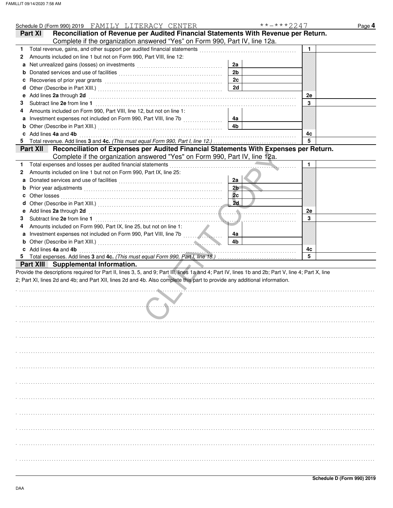|    | Schedule D (Form 990) 2019 FAMILY LITERACY CENTER                                                                                                                                                                                                   |                | **-***2247 | Page 4 |
|----|-----------------------------------------------------------------------------------------------------------------------------------------------------------------------------------------------------------------------------------------------------|----------------|------------|--------|
|    | Reconciliation of Revenue per Audited Financial Statements With Revenue per Return.<br>Part XI                                                                                                                                                      |                |            |        |
|    | Complete if the organization answered "Yes" on Form 990, Part IV, line 12a.                                                                                                                                                                         |                |            |        |
| 1. | Total revenue, gains, and other support per audited financial statements                                                                                                                                                                            |                | 1          |        |
| 2  | Amounts included on line 1 but not on Form 990, Part VIII, line 12:                                                                                                                                                                                 |                |            |        |
|    | Net unrealized gains (losses) on investments [[11, 11] [11] Net unrealized gains (losses) on investments [[11, 11] [11] $\sim$ [11] $\sim$ [11] $\sim$ [11] $\sim$ [11] $\sim$ [11] $\sim$ [11] $\sim$ [11] $\sim$ [11] $\sim$ [11] $\sim$ [11] $\$ | 2a             |            |        |
|    |                                                                                                                                                                                                                                                     | 2 <sub>b</sub> |            |        |
|    |                                                                                                                                                                                                                                                     | 2c             |            |        |
| d  |                                                                                                                                                                                                                                                     | 2d             |            |        |
|    | Add lines 2a through 2d                                                                                                                                                                                                                             |                | 2e         |        |
| З  |                                                                                                                                                                                                                                                     |                | 3          |        |
|    | Amounts included on Form 990, Part VIII, line 12, but not on line 1:                                                                                                                                                                                |                |            |        |
| a  |                                                                                                                                                                                                                                                     | 4а             |            |        |
|    |                                                                                                                                                                                                                                                     | 4b             |            |        |
|    | c Add lines 4a and 4b                                                                                                                                                                                                                               |                | 4c         |        |
|    |                                                                                                                                                                                                                                                     |                | 5          |        |
|    | Reconciliation of Expenses per Audited Financial Statements With Expenses per Return.<br>Part XII                                                                                                                                                   |                |            |        |
|    | Complete if the organization answered "Yes" on Form 990, Part IV, line 12a.                                                                                                                                                                         |                |            |        |
| 1. | Total expenses and losses per audited financial statements                                                                                                                                                                                          |                | 1          |        |
| 2  | Amounts included on line 1 but not on Form 990, Part IX, line 25:                                                                                                                                                                                   |                |            |        |
|    |                                                                                                                                                                                                                                                     | 2a             |            |        |
|    |                                                                                                                                                                                                                                                     | 2 <sub>b</sub> |            |        |
| c  | Other losses <b>contracts on the contract of the contract of the contract of the contract of the contract of the contract of the contract of the contract of the contract of the contract of the contract of the contract of t</b>                  | 2c             |            |        |
| d  |                                                                                                                                                                                                                                                     | 2d             |            |        |
|    | Add lines 2a through 2d                                                                                                                                                                                                                             |                | 2e         |        |
| З  | Subtract line 2e from line 1                                                                                                                                                                                                                        |                | 3          |        |
| 4  | Amounts included on Form 990, Part IX, line 25, but not on line 1:                                                                                                                                                                                  |                |            |        |
| a  |                                                                                                                                                                                                                                                     | 4a             |            |        |
|    |                                                                                                                                                                                                                                                     | 4b             |            |        |
|    | c Add lines 4a and 4b                                                                                                                                                                                                                               |                | 4c<br>5    |        |
|    | Part XIII Supplemental Information.                                                                                                                                                                                                                 |                |            |        |
|    | Provide the descriptions required for Part II, lines 3, 5, and 9; Part III, lines 1a and 4; Part IV, lines 1b and 2b; Part V, line 4; Part X, line                                                                                                  |                |            |        |
|    | 2; Part XI, lines 2d and 4b; and Part XII, lines 2d and 4b. Also complete this part to provide any additional information.                                                                                                                          |                |            |        |
|    |                                                                                                                                                                                                                                                     |                |            |        |
|    |                                                                                                                                                                                                                                                     |                |            |        |
|    |                                                                                                                                                                                                                                                     |                |            |        |
|    |                                                                                                                                                                                                                                                     |                |            |        |
|    |                                                                                                                                                                                                                                                     |                |            |        |
|    |                                                                                                                                                                                                                                                     |                |            |        |
|    |                                                                                                                                                                                                                                                     |                |            |        |
|    |                                                                                                                                                                                                                                                     |                |            |        |
|    |                                                                                                                                                                                                                                                     |                |            |        |
|    |                                                                                                                                                                                                                                                     |                |            |        |
|    |                                                                                                                                                                                                                                                     |                |            |        |
|    |                                                                                                                                                                                                                                                     |                |            |        |
|    |                                                                                                                                                                                                                                                     |                |            |        |
|    |                                                                                                                                                                                                                                                     |                |            |        |
|    |                                                                                                                                                                                                                                                     |                |            |        |
|    |                                                                                                                                                                                                                                                     |                |            |        |
|    |                                                                                                                                                                                                                                                     |                |            |        |
|    |                                                                                                                                                                                                                                                     |                |            |        |
|    |                                                                                                                                                                                                                                                     |                |            |        |
|    |                                                                                                                                                                                                                                                     |                |            |        |
|    |                                                                                                                                                                                                                                                     |                |            |        |
|    |                                                                                                                                                                                                                                                     |                |            |        |
|    |                                                                                                                                                                                                                                                     |                |            |        |
|    |                                                                                                                                                                                                                                                     |                |            |        |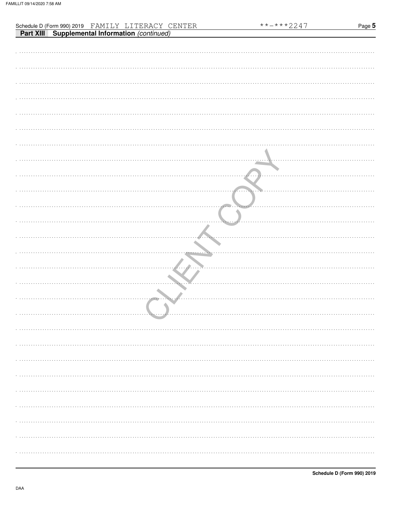|                                                                                                            | **-***2247         | Page 5 |
|------------------------------------------------------------------------------------------------------------|--------------------|--------|
| Schedule D (Form 990) 2019 FAMILY LITERACY CENTER<br><b>Part XIII</b> Supplemental Information (continued) |                    |        |
|                                                                                                            |                    |        |
|                                                                                                            |                    |        |
|                                                                                                            |                    |        |
|                                                                                                            |                    |        |
|                                                                                                            |                    |        |
|                                                                                                            |                    |        |
|                                                                                                            |                    |        |
|                                                                                                            |                    |        |
|                                                                                                            |                    |        |
|                                                                                                            |                    |        |
|                                                                                                            |                    |        |
|                                                                                                            |                    |        |
|                                                                                                            |                    |        |
|                                                                                                            |                    |        |
|                                                                                                            |                    |        |
|                                                                                                            |                    |        |
|                                                                                                            |                    |        |
|                                                                                                            |                    |        |
|                                                                                                            |                    |        |
|                                                                                                            |                    |        |
|                                                                                                            |                    |        |
|                                                                                                            | 1.1.7.1<br>1.1.1.1 |        |
|                                                                                                            |                    |        |
|                                                                                                            |                    |        |
|                                                                                                            |                    |        |
|                                                                                                            |                    |        |
|                                                                                                            |                    |        |
|                                                                                                            |                    |        |
|                                                                                                            |                    |        |
| . . <i>.</i>                                                                                               |                    |        |
|                                                                                                            |                    |        |
|                                                                                                            |                    |        |
|                                                                                                            |                    |        |
| $\cdots$                                                                                                   |                    |        |
|                                                                                                            |                    |        |
|                                                                                                            |                    |        |
|                                                                                                            |                    |        |
|                                                                                                            |                    |        |
|                                                                                                            |                    |        |
|                                                                                                            |                    |        |
|                                                                                                            |                    |        |
|                                                                                                            |                    |        |
|                                                                                                            |                    |        |
|                                                                                                            |                    |        |
|                                                                                                            |                    |        |
|                                                                                                            |                    |        |
|                                                                                                            |                    |        |
|                                                                                                            |                    |        |
|                                                                                                            |                    |        |
|                                                                                                            |                    |        |
|                                                                                                            |                    |        |
|                                                                                                            |                    |        |
|                                                                                                            |                    |        |
|                                                                                                            |                    |        |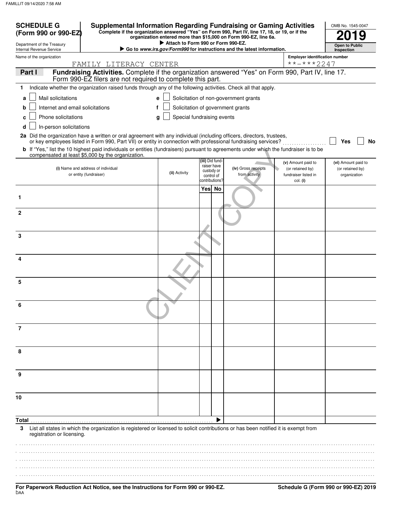| <b>SCHEDULE G</b><br>(Form 990 or 990-EZ)                                                                                                                                                                                                                      |                                                                                                    | <b>Supplemental Information Regarding Fundraising or Gaming Activities</b><br>Complete if the organization answered "Yes" on Form 990, Part IV, line 17, 18, or 19, or if the |                 |                           |                                                                               |                                                                | OMB No. 1545-0047                                       |
|----------------------------------------------------------------------------------------------------------------------------------------------------------------------------------------------------------------------------------------------------------------|----------------------------------------------------------------------------------------------------|-------------------------------------------------------------------------------------------------------------------------------------------------------------------------------|-----------------|---------------------------|-------------------------------------------------------------------------------|----------------------------------------------------------------|---------------------------------------------------------|
| Department of the Treasury                                                                                                                                                                                                                                     |                                                                                                    | Attach to Form 990 or Form 990-EZ.                                                                                                                                            |                 |                           | organization entered more than \$15,000 on Form 990-EZ, line 6a.              |                                                                |                                                         |
| Internal Revenue Service                                                                                                                                                                                                                                       |                                                                                                    |                                                                                                                                                                               |                 |                           | Go to <i>www.irs.gov/Form990</i> for instructions and the latest information. |                                                                | Open to Public<br>Inspection                            |
| Name of the organization                                                                                                                                                                                                                                       | FAMILY LITERACY CENTER                                                                             |                                                                                                                                                                               |                 |                           |                                                                               | <b>Employer identification number</b><br>**-***2247            |                                                         |
| Part I                                                                                                                                                                                                                                                         | Fundraising Activities. Complete if the organization answered "Yes" on Form 990, Part IV, line 17. |                                                                                                                                                                               |                 |                           |                                                                               |                                                                |                                                         |
| Indicate whether the organization raised funds through any of the following activities. Check all that apply.<br>1                                                                                                                                             | Form 990-EZ filers are not required to complete this part.                                         |                                                                                                                                                                               |                 |                           |                                                                               |                                                                |                                                         |
| Mail solicitations<br>a                                                                                                                                                                                                                                        |                                                                                                    | e                                                                                                                                                                             |                 |                           | Solicitation of non-government grants                                         |                                                                |                                                         |
| Internet and email solicitations<br>b                                                                                                                                                                                                                          | f                                                                                                  |                                                                                                                                                                               |                 |                           | Solicitation of government grants                                             |                                                                |                                                         |
| Phone solicitations<br>c                                                                                                                                                                                                                                       |                                                                                                    | Special fundraising events<br>g                                                                                                                                               |                 |                           |                                                                               |                                                                |                                                         |
| In-person solicitations<br>d                                                                                                                                                                                                                                   |                                                                                                    |                                                                                                                                                                               |                 |                           |                                                                               |                                                                |                                                         |
| 2a Did the organization have a written or oral agreement with any individual (including officers, directors, trustees,                                                                                                                                         |                                                                                                    |                                                                                                                                                                               |                 |                           |                                                                               |                                                                |                                                         |
| or key employees listed in Form 990, Part VII) or entity in connection with professional fundraising services?<br><b>b</b> If "Yes," list the 10 highest paid individuals or entities (fundraisers) pursuant to agreements under which the fundraiser is to be |                                                                                                    |                                                                                                                                                                               |                 |                           |                                                                               |                                                                | No<br>Yes                                               |
| compensated at least \$5,000 by the organization.                                                                                                                                                                                                              |                                                                                                    |                                                                                                                                                                               | (iii) Did fund- |                           |                                                                               |                                                                |                                                         |
| (i) Name and address of individual<br>or entity (fundraiser)                                                                                                                                                                                                   |                                                                                                    | (ii) Activity                                                                                                                                                                 |                 | raiser have<br>custody or | (iv) Gross receipts<br>from activity                                          | (v) Amount paid to<br>(or retained by)<br>fundraiser listed in | (vi) Amount paid to<br>(or retained by)<br>organization |
|                                                                                                                                                                                                                                                                |                                                                                                    |                                                                                                                                                                               | contributions?  | control of                |                                                                               | col. (i)                                                       |                                                         |
| 1                                                                                                                                                                                                                                                              |                                                                                                    |                                                                                                                                                                               | Yes             | No                        |                                                                               |                                                                |                                                         |
| $\mathbf{2}$                                                                                                                                                                                                                                                   |                                                                                                    |                                                                                                                                                                               |                 |                           |                                                                               |                                                                |                                                         |
|                                                                                                                                                                                                                                                                |                                                                                                    |                                                                                                                                                                               |                 |                           |                                                                               |                                                                |                                                         |
| 3                                                                                                                                                                                                                                                              |                                                                                                    |                                                                                                                                                                               |                 |                           |                                                                               |                                                                |                                                         |
|                                                                                                                                                                                                                                                                |                                                                                                    |                                                                                                                                                                               |                 |                           |                                                                               |                                                                |                                                         |
| 4                                                                                                                                                                                                                                                              |                                                                                                    |                                                                                                                                                                               |                 |                           |                                                                               |                                                                |                                                         |
| 5                                                                                                                                                                                                                                                              |                                                                                                    |                                                                                                                                                                               |                 |                           |                                                                               |                                                                |                                                         |
|                                                                                                                                                                                                                                                                |                                                                                                    |                                                                                                                                                                               |                 |                           |                                                                               |                                                                |                                                         |
| 6                                                                                                                                                                                                                                                              |                                                                                                    |                                                                                                                                                                               |                 |                           |                                                                               |                                                                |                                                         |
| $\overline{7}$                                                                                                                                                                                                                                                 |                                                                                                    |                                                                                                                                                                               |                 |                           |                                                                               |                                                                |                                                         |
|                                                                                                                                                                                                                                                                |                                                                                                    |                                                                                                                                                                               |                 |                           |                                                                               |                                                                |                                                         |
| 8                                                                                                                                                                                                                                                              |                                                                                                    |                                                                                                                                                                               |                 |                           |                                                                               |                                                                |                                                         |
|                                                                                                                                                                                                                                                                |                                                                                                    |                                                                                                                                                                               |                 |                           |                                                                               |                                                                |                                                         |
| 9                                                                                                                                                                                                                                                              |                                                                                                    |                                                                                                                                                                               |                 |                           |                                                                               |                                                                |                                                         |
| 10                                                                                                                                                                                                                                                             |                                                                                                    |                                                                                                                                                                               |                 |                           |                                                                               |                                                                |                                                         |
|                                                                                                                                                                                                                                                                |                                                                                                    |                                                                                                                                                                               |                 |                           |                                                                               |                                                                |                                                         |
| Total                                                                                                                                                                                                                                                          |                                                                                                    |                                                                                                                                                                               |                 |                           |                                                                               |                                                                |                                                         |
| List all states in which the organization is registered or licensed to solicit contributions or has been notified it is exempt from<br>3                                                                                                                       |                                                                                                    |                                                                                                                                                                               |                 |                           |                                                                               |                                                                |                                                         |
| registration or licensing.                                                                                                                                                                                                                                     |                                                                                                    |                                                                                                                                                                               |                 |                           |                                                                               |                                                                |                                                         |
|                                                                                                                                                                                                                                                                |                                                                                                    |                                                                                                                                                                               |                 |                           |                                                                               |                                                                |                                                         |
|                                                                                                                                                                                                                                                                |                                                                                                    |                                                                                                                                                                               |                 |                           |                                                                               |                                                                |                                                         |
|                                                                                                                                                                                                                                                                |                                                                                                    |                                                                                                                                                                               |                 |                           |                                                                               |                                                                |                                                         |

.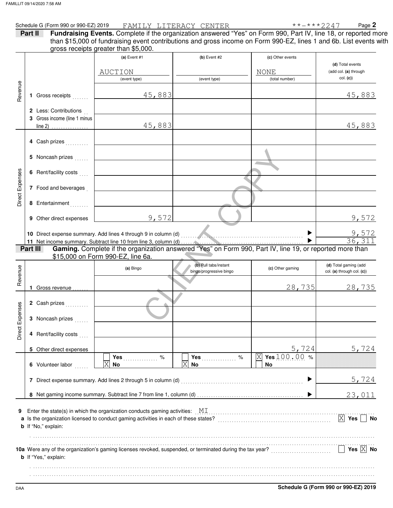|                 | Schedule G (Form 990 or 990-EZ) 2019 |                                                                                                                                                                                            | FAMI <u>LY</u> LITERACY CENTER | $******2247$       | Page 2                                    |
|-----------------|--------------------------------------|--------------------------------------------------------------------------------------------------------------------------------------------------------------------------------------------|--------------------------------|--------------------|-------------------------------------------|
| Part II         |                                      | Fundraising Events. Complete if the organization answered "Yes" on Form 990, Part IV, line 18, or reported more                                                                            |                                |                    |                                           |
|                 |                                      | than \$15,000 of fundraising event contributions and gross income on Form 990-EZ, lines 1 and 6b. List events with                                                                         |                                |                    |                                           |
|                 |                                      | gross receipts greater than \$5,000.                                                                                                                                                       |                                |                    |                                           |
|                 |                                      | $(a)$ Event #1                                                                                                                                                                             | $(b)$ Event #2                 | (c) Other events   |                                           |
|                 |                                      | AUCTION                                                                                                                                                                                    |                                | <b>NONE</b>        | (d) Total events<br>(add col. (a) through |
|                 |                                      | (event type)                                                                                                                                                                               | (event type)                   | (total number)     | col. (c)                                  |
| Revenue         |                                      |                                                                                                                                                                                            |                                |                    |                                           |
|                 | 1 Gross receipts                     | 45,883                                                                                                                                                                                     |                                |                    | 45,883                                    |
|                 |                                      |                                                                                                                                                                                            |                                |                    |                                           |
|                 | 2 Less: Contributions                |                                                                                                                                                                                            |                                |                    |                                           |
|                 | 3 Gross income (line 1 minus         |                                                                                                                                                                                            |                                |                    |                                           |
|                 | line 2) $\ldots$                     | 45,883                                                                                                                                                                                     |                                |                    | 45,883                                    |
|                 |                                      |                                                                                                                                                                                            |                                |                    |                                           |
|                 | 4 Cash prizes                        |                                                                                                                                                                                            |                                |                    |                                           |
|                 |                                      |                                                                                                                                                                                            |                                |                    |                                           |
|                 | 5 Noncash prizes                     |                                                                                                                                                                                            |                                |                    |                                           |
|                 | 6 Rent/facility costs                |                                                                                                                                                                                            |                                |                    |                                           |
|                 |                                      |                                                                                                                                                                                            |                                |                    |                                           |
|                 | 7 Food and beverages                 |                                                                                                                                                                                            |                                |                    |                                           |
| Direct Expenses |                                      |                                                                                                                                                                                            |                                |                    |                                           |
|                 | 8 Entertainment                      |                                                                                                                                                                                            |                                |                    |                                           |
|                 |                                      |                                                                                                                                                                                            |                                |                    |                                           |
|                 | 9 Other direct expenses              | 9,572                                                                                                                                                                                      |                                |                    | 9,572                                     |
|                 |                                      |                                                                                                                                                                                            |                                |                    |                                           |
|                 |                                      |                                                                                                                                                                                            |                                |                    | $\frac{9,572}{36,311}$                    |
|                 | Part III                             | Gaming. Complete if the organization answered "Yes" on Form 990, Part IV, line 19, or reported more than                                                                                   |                                |                    |                                           |
|                 |                                      | \$15,000 on Form 990-EZ, line 6a.                                                                                                                                                          |                                |                    |                                           |
|                 |                                      |                                                                                                                                                                                            | (b) Pull tabs/instant          |                    | (d) Total gaming (add                     |
|                 |                                      | (a) Bingo                                                                                                                                                                                  | bingo/progressive bingo        | (c) Other gaming   | col. (a) through col. (c))                |
| Revenue         |                                      |                                                                                                                                                                                            |                                |                    |                                           |
|                 | 1 Gross revenue                      |                                                                                                                                                                                            |                                | 28,735             | 28,735                                    |
|                 |                                      |                                                                                                                                                                                            |                                |                    |                                           |
| ses             | 2 Cash prizes                        |                                                                                                                                                                                            |                                |                    |                                           |
| Direct Expen    |                                      |                                                                                                                                                                                            |                                |                    |                                           |
|                 | 3 Noncash prizes                     |                                                                                                                                                                                            |                                |                    |                                           |
|                 | 4 Rent/facility costs                |                                                                                                                                                                                            |                                |                    |                                           |
|                 |                                      |                                                                                                                                                                                            |                                |                    |                                           |
|                 | 5 Other direct expenses              |                                                                                                                                                                                            |                                | 5,724              | 5,724                                     |
|                 |                                      | Yes<br>$\%$                                                                                                                                                                                | Yes<br>$\%$                    | Yes 100.00 %<br> X |                                           |
|                 | 6 Volunteer labor                    | X<br>No.                                                                                                                                                                                   | Χ<br><b>No</b>                 | No                 |                                           |
|                 |                                      |                                                                                                                                                                                            |                                |                    |                                           |
|                 |                                      | 7 Direct expense summary. Add lines 2 through 5 in column (d)                                                                                                                              |                                |                    | 5,724                                     |
|                 |                                      |                                                                                                                                                                                            |                                |                    |                                           |
|                 |                                      |                                                                                                                                                                                            |                                |                    | 23,011                                    |
|                 |                                      |                                                                                                                                                                                            |                                |                    |                                           |
| 9               |                                      | Enter the state(s) in which the organization conducts gaming activities: $\mathbb{M}$ $\mathbb{I}$<br>a Is the organization licensed to conduct gaming activities in each of these states? |                                |                    | $\boxed{\mathsf{X}}$ Yes<br>No            |
|                 | <b>b</b> If "No," explain:           |                                                                                                                                                                                            |                                |                    |                                           |
|                 |                                      |                                                                                                                                                                                            |                                |                    |                                           |
|                 |                                      |                                                                                                                                                                                            |                                |                    |                                           |
|                 |                                      | 10a Were any of the organization's gaming licenses revoked, suspended, or terminated during the tax year?                                                                                  |                                |                    | Yes $\overline{X}$ No                     |
|                 | <b>b</b> If "Yes," explain:          |                                                                                                                                                                                            |                                |                    |                                           |
|                 |                                      |                                                                                                                                                                                            |                                |                    |                                           |
|                 |                                      |                                                                                                                                                                                            |                                |                    |                                           |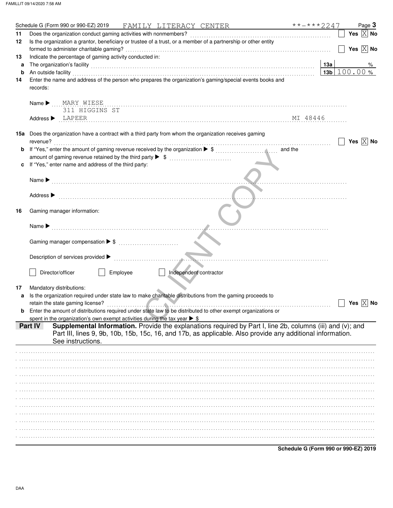|    | **-***2247<br>Schedule G (Form 990 or 990-EZ) 2019<br>FAMILY LITERACY CENTER                                                                                                                                                   |     |                       | Page 3    |
|----|--------------------------------------------------------------------------------------------------------------------------------------------------------------------------------------------------------------------------------|-----|-----------------------|-----------|
| 11 | Does the organization conduct gaming activities with nonmembers?                                                                                                                                                               |     | Yes $ X $ No          |           |
| 12 | Is the organization a grantor, beneficiary or trustee of a trust, or a member of a partnership or other entity                                                                                                                 |     |                       |           |
|    |                                                                                                                                                                                                                                |     | Yes $\overline{X}$ No |           |
| 13 | Indicate the percentage of gaming activity conducted in:                                                                                                                                                                       |     |                       |           |
| a  | The organization's facility [1, 2010] The organization's facility [1, 2010] The organization's facility [1, 2010] The organization's facility [1, 2010] The organization's facility [1, 2010] The organization of the organiza | 13а |                       | %         |
| b  | An outside facility                                                                                                                                                                                                            |     | $13b$ 100.00%         |           |
| 14 | Enter the name and address of the person who prepares the organization's gaming/special events books and                                                                                                                       |     |                       |           |
|    | records:                                                                                                                                                                                                                       |     |                       |           |
|    |                                                                                                                                                                                                                                |     |                       |           |
|    | MARY WIESE<br>Name $\blacktriangleright$                                                                                                                                                                                       |     |                       |           |
|    | 311 HIGGINS ST                                                                                                                                                                                                                 |     |                       |           |
|    | MI 48446<br>$Address \triangleright$ LAPEER                                                                                                                                                                                    |     |                       |           |
|    |                                                                                                                                                                                                                                |     |                       |           |
|    | <b>15a</b> Does the organization have a contract with a third party from whom the organization receives gaming                                                                                                                 |     |                       |           |
|    | revenue?                                                                                                                                                                                                                       |     | Yes $ X $ No          |           |
| b  | and the                                                                                                                                                                                                                        |     |                       |           |
|    |                                                                                                                                                                                                                                |     |                       |           |
|    | If "Yes," enter name and address of the third party:                                                                                                                                                                           |     |                       |           |
|    |                                                                                                                                                                                                                                |     |                       |           |
|    |                                                                                                                                                                                                                                |     |                       |           |
|    |                                                                                                                                                                                                                                |     |                       |           |
|    | Address $\blacktriangleright$                                                                                                                                                                                                  |     |                       |           |
|    |                                                                                                                                                                                                                                |     |                       |           |
| 16 | Gaming manager information:                                                                                                                                                                                                    |     |                       |           |
|    |                                                                                                                                                                                                                                |     |                       |           |
|    |                                                                                                                                                                                                                                |     |                       |           |
|    | Name $\blacktriangleright$                                                                                                                                                                                                     |     |                       |           |
|    |                                                                                                                                                                                                                                |     |                       |           |
|    | Gaming manager compensation ▶ \$                                                                                                                                                                                               |     |                       |           |
|    |                                                                                                                                                                                                                                |     |                       |           |
|    |                                                                                                                                                                                                                                |     |                       |           |
|    | Employee<br>Director/officer<br>Independent contractor                                                                                                                                                                         |     |                       |           |
|    |                                                                                                                                                                                                                                |     |                       |           |
|    |                                                                                                                                                                                                                                |     |                       |           |
| 17 | Mandatory distributions:                                                                                                                                                                                                       |     |                       |           |
| a  | Is the organization required under state law to make charitable distributions from the gaming proceeds to                                                                                                                      |     | Yes $ X $             | <b>No</b> |
|    | retain the state gaming license?<br>Enter the amount of distributions required under state law to be distributed to other exempt organizations or                                                                              |     |                       |           |
|    |                                                                                                                                                                                                                                |     |                       |           |
|    | spent in the organization's own exempt activities during the tax year $\triangleright$ \$<br>Supplemental Information. Provide the explanations required by Part I, line 2b, columns (iii) and (v); and<br>Part IV             |     |                       |           |
|    | Part III, lines 9, 9b, 10b, 15b, 15c, 16, and 17b, as applicable. Also provide any additional information.                                                                                                                     |     |                       |           |
|    |                                                                                                                                                                                                                                |     |                       |           |
|    | See instructions.                                                                                                                                                                                                              |     |                       |           |
|    |                                                                                                                                                                                                                                |     |                       |           |
|    |                                                                                                                                                                                                                                |     |                       |           |
|    |                                                                                                                                                                                                                                |     |                       |           |
|    |                                                                                                                                                                                                                                |     |                       |           |
|    |                                                                                                                                                                                                                                |     |                       |           |
|    |                                                                                                                                                                                                                                |     |                       |           |
|    |                                                                                                                                                                                                                                |     |                       |           |
|    |                                                                                                                                                                                                                                |     |                       |           |
|    |                                                                                                                                                                                                                                |     |                       |           |
|    |                                                                                                                                                                                                                                |     |                       |           |
|    |                                                                                                                                                                                                                                |     |                       |           |
|    |                                                                                                                                                                                                                                |     |                       |           |
|    |                                                                                                                                                                                                                                |     |                       |           |

**Schedule G (Form 990 or 990-EZ) 2019**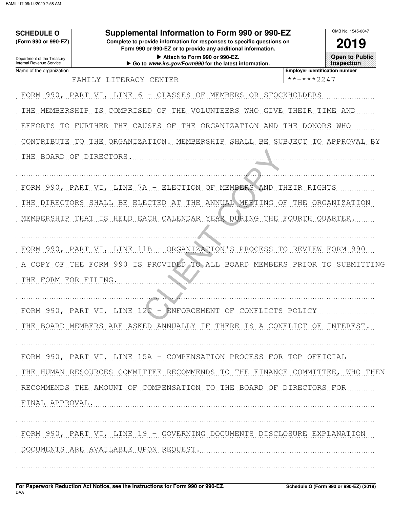| <b>SCHEDULE O</b><br>(Form 990 or 990-EZ)              | Supplemental Information to Form 990 or 990-EZ<br>Complete to provide information for responses to specific questions on                               |                                       | OMB No. 1545-0047                           |
|--------------------------------------------------------|--------------------------------------------------------------------------------------------------------------------------------------------------------|---------------------------------------|---------------------------------------------|
| Department of the Treasury<br>Internal Revenue Service | Form 990 or 990-EZ or to provide any additional information.<br>Attach to Form 990 or 990-EZ.<br>Go to www.irs.gov/Form990 for the latest information. |                                       | 2019<br><b>Open to Public</b><br>Inspection |
| Name of the organization                               |                                                                                                                                                        | <b>Employer identification number</b> |                                             |
|                                                        | FAMILY LITERACY<br><b>CENTER</b>                                                                                                                       | **-***2247                            |                                             |
|                                                        | FORM 990, PART VI, LINE<br>CLASSES<br>OF<br>MEMBERS<br>6 —                                                                                             | OR STOCKHOLDERS                       |                                             |
| THE<br>MEMBERSHIP                                      | COMPRISED<br>IS<br>THE<br>VOLUNTEERS<br>WHO<br>OF<br>GIVE                                                                                              | THEIR                                 | TIME AND                                    |
| EFFORTS<br>TO                                          | THE ORGANIZATION AND<br>FURTHER<br>THE<br>CAUSES<br>OF                                                                                                 | THE<br>DONORS WHO                     |                                             |
| CONTRIBUTE                                             | THE<br>ORGANIZATION. MEMBERSHIP SHALL BE SUBJECT TO<br>TO.                                                                                             |                                       | APPROVAL BY                                 |
|                                                        | THE BOARD OF DIRECTORS.                                                                                                                                |                                       |                                             |
|                                                        |                                                                                                                                                        |                                       |                                             |
|                                                        | FORM 990, PART VI, LINE 7A -<br>OF MEMBERS AND<br>ELECTION                                                                                             | THEIR<br>RIGHTS                       |                                             |
|                                                        | ANNUAL MEETING<br>THE DIRECTORS SHALL BE ELECTED<br>THE<br>ΑT<br>OF                                                                                    |                                       | THE ORGANIZATION                            |
|                                                        | MEMBERSHIP THAT IS HELD EACH CALENDAR YEAR DURING THE FOURTH QUARTER.                                                                                  |                                       |                                             |
|                                                        | FORM 990, PART VI, LINE<br>ORGANIZATION'S PROCESS TO<br>11B<br>$\overline{\phantom{a}}$                                                                | REVIEW                                | FORM 990                                    |
| A COPY OF                                              | THE FORM 990 IS PROVIDED TO ALL BOARD MEMBERS PRIOR TO SUBMITTING                                                                                      |                                       |                                             |
| THE FORM FOR FILING.                                   |                                                                                                                                                        |                                       |                                             |
|                                                        |                                                                                                                                                        |                                       |                                             |
|                                                        | FORM 990, PART VI, LINE 12C - ENFORCEMENT OF CONFLICTS POLICY                                                                                          |                                       |                                             |
|                                                        | THE BOARD MEMBERS ARE ASKED ANNUALLY IF THERE IS A CONFLICT OF INTEREST.                                                                               |                                       |                                             |
|                                                        |                                                                                                                                                        |                                       |                                             |
|                                                        | FORM 990, PART VI, LINE 15A - COMPENSATION PROCESS FOR TOP OFFICIAL                                                                                    |                                       |                                             |
|                                                        | THE HUMAN RESOURCES COMMITTEE RECOMMENDS TO THE FINANCE COMMITTEE, WHO THEN                                                                            |                                       |                                             |
|                                                        | RECOMMENDS THE AMOUNT OF COMPENSATION TO THE BOARD OF DIRECTORS FOR                                                                                    |                                       |                                             |
| FINAL APPROVAL.                                        |                                                                                                                                                        |                                       |                                             |
|                                                        |                                                                                                                                                        |                                       |                                             |
|                                                        | FORM 990, PART VI, LINE 19 - GOVERNING DOCUMENTS DISCLOSURE EXPLANATION                                                                                |                                       |                                             |
|                                                        | DOCUMENTS ARE AVAILABLE UPON REQUEST.                                                                                                                  |                                       |                                             |
|                                                        |                                                                                                                                                        |                                       |                                             |
|                                                        |                                                                                                                                                        |                                       |                                             |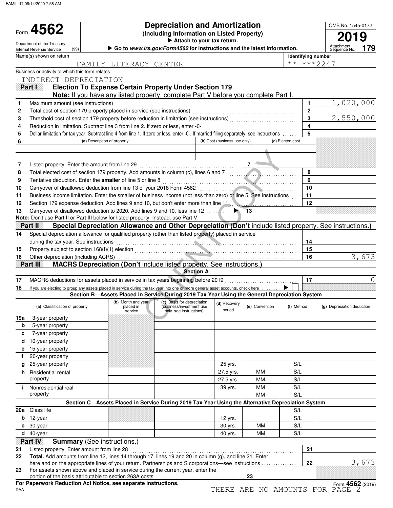FAMILLIT 09/14/2020 7:58 AM

Form 4562

| 4562                | <b>Depreciation and Amortization</b>       | OMB No. 1545-01 |
|---------------------|--------------------------------------------|-----------------|
|                     | (Including Information on Listed Property) | 2019            |
| ant of the Tressury | Attach to your tax return.                 |                 |

OMB No. 1545-0172

|     | Department of the Treasury<br>(99)<br>Internal Revenue Service                                                                          |                             | Go to www.irs.gov/Form4562 for instructions and the latest information.                                  |                              |                 |                  |    | Attachment<br>Sequence No. | 179   |
|-----|-----------------------------------------------------------------------------------------------------------------------------------------|-----------------------------|----------------------------------------------------------------------------------------------------------|------------------------------|-----------------|------------------|----|----------------------------|-------|
|     | Name(s) shown on return                                                                                                                 |                             |                                                                                                          |                              |                 |                  |    | Identifying number         |       |
|     |                                                                                                                                         | FAMILY LITERACY CENTER      |                                                                                                          |                              |                 |                  |    | $***$ $***$ 2247           |       |
|     | Business or activity to which this form relates                                                                                         |                             |                                                                                                          |                              |                 |                  |    |                            |       |
|     | INDIRECT DEPRECIATION                                                                                                                   |                             |                                                                                                          |                              |                 |                  |    |                            |       |
|     | Partu                                                                                                                                   |                             | <b>Election To Expense Certain Property Under Section 179</b>                                            |                              |                 |                  |    |                            |       |
|     |                                                                                                                                         |                             | Note: If you have any listed property, complete Part V before you complete Part I.                       |                              |                 |                  |    |                            |       |
| 1   | Maximum amount (see instructions)                                                                                                       |                             |                                                                                                          |                              |                 |                  | 1. | 1,020,000                  |       |
| 2   |                                                                                                                                         |                             |                                                                                                          |                              |                 |                  | 2  |                            |       |
| 3   |                                                                                                                                         |                             |                                                                                                          |                              |                 |                  | 3  | 2,550,000                  |       |
| 4   | Reduction in limitation. Subtract line 3 from line 2. If zero or less, enter -0-                                                        |                             |                                                                                                          |                              |                 |                  | 4  |                            |       |
| 5   | Dollar limitation for tax year. Subtract line 4 from line 1. If zero or less, enter -0-. If married filing separately, see instructions |                             |                                                                                                          |                              |                 |                  | 5  |                            |       |
| 6   |                                                                                                                                         | (a) Description of property |                                                                                                          | (b) Cost (business use only) |                 | (c) Elected cost |    |                            |       |
|     |                                                                                                                                         |                             |                                                                                                          |                              |                 |                  |    |                            |       |
|     |                                                                                                                                         |                             |                                                                                                          |                              |                 |                  |    |                            |       |
| 7   | Listed property. Enter the amount from line 29                                                                                          |                             |                                                                                                          |                              | $\overline{7}$  |                  |    |                            |       |
| 8   | Total elected cost of section 179 property. Add amounts in column (c), lines 6 and 7                                                    |                             |                                                                                                          |                              |                 |                  | 8  |                            |       |
| 9   | Tentative deduction. Enter the smaller of line 5 or line 8                                                                              |                             |                                                                                                          |                              |                 |                  | 9  |                            |       |
| 10  | Carryover of disallowed deduction from line 13 of your 2018 Form 4562                                                                   |                             |                                                                                                          |                              |                 |                  | 10 |                            |       |
| 11  | Business income limitation. Enter the smaller of business income (not less than zero) or line 5. See instructions                       |                             |                                                                                                          |                              |                 |                  | 11 |                            |       |
| 12  | Section 179 expense deduction. Add lines 9 and 10, but don't enter more than line 11                                                    |                             |                                                                                                          |                              |                 |                  | 12 |                            |       |
| 13  | Carryover of disallowed deduction to 2020. Add lines 9 and 10, less line 12                                                             |                             |                                                                                                          | ▶                            | $\overline{1}3$ |                  |    |                            |       |
|     | Note: Don't use Part II or Part III below for listed property. Instead, use Part V.                                                     |                             |                                                                                                          |                              |                 |                  |    |                            |       |
|     | Part II                                                                                                                                 |                             | Special Depreciation Allowance and Other Depreciation (Don't include listed property. See instructions.) |                              |                 |                  |    |                            |       |
| 14  | Special depreciation allowance for qualified property (other than listed property) placed in service                                    |                             |                                                                                                          |                              |                 |                  |    |                            |       |
|     | during the tax year. See instructions                                                                                                   |                             |                                                                                                          |                              |                 |                  | 14 |                            |       |
| 15  | Property subject to section 168(f)(1) election                                                                                          |                             |                                                                                                          |                              |                 |                  | 15 |                            |       |
| 16  |                                                                                                                                         |                             |                                                                                                          |                              |                 |                  | 16 |                            | 3,673 |
|     | Part III                                                                                                                                |                             | MACRS Depreciation (Don't include listed property. See instructions.)                                    |                              |                 |                  |    |                            |       |
|     |                                                                                                                                         |                             | <b>Section A</b>                                                                                         |                              |                 |                  |    |                            |       |
| 17  | MACRS deductions for assets placed in service in tax years beginning before 2019                                                        |                             |                                                                                                          |                              |                 |                  | 17 |                            | 0     |
| 18  | If you are electing to group any assets placed in service during the tax year into one or more general asset accounts, check here       |                             | Section B-Assets Placed in Service During 2019 Tax Year Using the General Depreciation System            |                              |                 |                  |    |                            |       |
|     |                                                                                                                                         | (b) Month and year          | (c) Basis for depreciation                                                                               |                              |                 |                  |    |                            |       |
|     | (a) Classification of property                                                                                                          | placed in<br>service        | (business/investment use<br>only-see instructions)                                                       | (d) Recovery<br>period       | (e) Convention  | (f) Method       |    | (g) Depreciation deduction |       |
| 19a | 3-year property                                                                                                                         |                             |                                                                                                          |                              |                 |                  |    |                            |       |
| b   | 5-year property                                                                                                                         |                             |                                                                                                          |                              |                 |                  |    |                            |       |
| c   | 7-year property                                                                                                                         |                             |                                                                                                          |                              |                 |                  |    |                            |       |
|     | d 10-year property                                                                                                                      |                             |                                                                                                          |                              |                 |                  |    |                            |       |
|     | e 15-year property                                                                                                                      |                             |                                                                                                          |                              |                 |                  |    |                            |       |
| f   | 20-year property                                                                                                                        |                             |                                                                                                          |                              |                 |                  |    |                            |       |
| g   | 25-year property                                                                                                                        |                             |                                                                                                          | 25 yrs.                      |                 | S/L              |    |                            |       |
|     | <b>h</b> Residential rental                                                                                                             |                             |                                                                                                          | 27.5 yrs.                    | <b>MM</b>       | S/L              |    |                            |       |
|     | property                                                                                                                                |                             |                                                                                                          | 27.5 yrs.                    | <b>MM</b>       | S/L              |    |                            |       |
| j.  | Nonresidential real                                                                                                                     |                             |                                                                                                          | 39 yrs.                      | ΜМ              | S/L              |    |                            |       |
|     | property                                                                                                                                |                             |                                                                                                          |                              | MМ              | S/L              |    |                            |       |
|     |                                                                                                                                         |                             | Section C-Assets Placed in Service During 2019 Tax Year Using the Alternative Depreciation System        |                              |                 |                  |    |                            |       |
| 20a | Class life                                                                                                                              |                             |                                                                                                          |                              |                 | S/L              |    |                            |       |
|     | $b$ 12-year                                                                                                                             |                             |                                                                                                          | 12 yrs.                      |                 | S/L              |    |                            |       |
|     | c 30-year                                                                                                                               |                             |                                                                                                          | 30 yrs.                      | <b>MM</b>       | S/L              |    |                            |       |
|     | $d$ 40-year                                                                                                                             |                             |                                                                                                          | 40 yrs.                      | <b>MM</b>       | S/L              |    |                            |       |
|     | Part IV<br><b>Summary</b> (See instructions.)                                                                                           |                             |                                                                                                          |                              |                 |                  |    |                            |       |
| 21  | Listed property. Enter amount from line 28                                                                                              |                             |                                                                                                          |                              |                 |                  | 21 |                            |       |
| 22  | Total. Add amounts from line 12, lines 14 through 17, lines 19 and 20 in column (g), and line 21. Enter                                 |                             |                                                                                                          |                              |                 |                  |    |                            |       |
|     | here and on the appropriate lines of your return. Partnerships and S corporations—see instructions                                      |                             |                                                                                                          |                              |                 |                  | 22 |                            | 3,673 |
| 23  | For assets shown above and placed in service during the current year, enter the                                                         |                             |                                                                                                          |                              | 23              |                  |    |                            |       |
|     | For Paperwork Reduction Act Notice, see separate instructions.                                                                          |                             |                                                                                                          |                              |                 |                  |    | Form 4562 (2019)           |       |
|     |                                                                                                                                         |                             |                                                                                                          |                              |                 |                  |    |                            |       |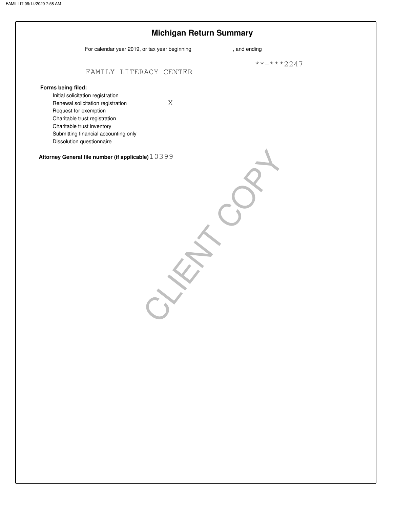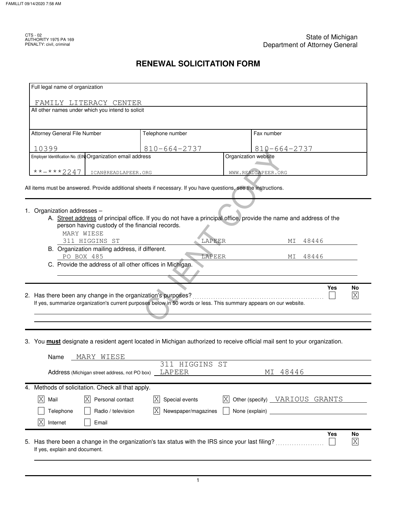CTS - 02<br>AUTHORITY 1975 PA 169<br>PENALTY: civil, criminal

# **RENEWAL SOLICITATION FORM**

| Full legal name of organization                                                                                                                                                                  |                                                                                                                   |                                       |                                     |
|--------------------------------------------------------------------------------------------------------------------------------------------------------------------------------------------------|-------------------------------------------------------------------------------------------------------------------|---------------------------------------|-------------------------------------|
| FAMILY LITERACY CENTER                                                                                                                                                                           |                                                                                                                   |                                       |                                     |
| All other names under which you intend to solicit                                                                                                                                                |                                                                                                                   |                                       |                                     |
| Attorney General File Number                                                                                                                                                                     | Telephone number                                                                                                  | Fax number                            |                                     |
|                                                                                                                                                                                                  |                                                                                                                   |                                       |                                     |
| 10399<br>Employer Identification No. (EIN Organization email address                                                                                                                             | $810 - 664 - 2737$                                                                                                | 810-664-2737<br>Organization website  |                                     |
|                                                                                                                                                                                                  |                                                                                                                   |                                       |                                     |
| $***$ $***$ 2247<br>ICAN@READLAPEER.ORG                                                                                                                                                          |                                                                                                                   | WWW.READLAPEER.ORG                    |                                     |
|                                                                                                                                                                                                  |                                                                                                                   |                                       |                                     |
| All items must be answered. Provide additional sheets if necessary. If you have questions, see the instructions.                                                                                 |                                                                                                                   |                                       |                                     |
|                                                                                                                                                                                                  |                                                                                                                   |                                       |                                     |
| 1. Organization addresses -                                                                                                                                                                      | A. Street address of principal office. If you do not have a principal office, provide the name and address of the |                                       |                                     |
| person having custody of the financial records.                                                                                                                                                  |                                                                                                                   |                                       |                                     |
| MARY WIESE                                                                                                                                                                                       |                                                                                                                   |                                       |                                     |
| 311 HIGGINS ST<br>B. Organization mailing address, if different.                                                                                                                                 |                                                                                                                   | LAPEER<br>МI                          | 48446                               |
|                                                                                                                                                                                                  |                                                                                                                   |                                       |                                     |
| PO BOX 485                                                                                                                                                                                       |                                                                                                                   | LAPEER<br>MI                          | 48446                               |
| C. Provide the address of all other offices in Michigan.                                                                                                                                         |                                                                                                                   |                                       |                                     |
|                                                                                                                                                                                                  |                                                                                                                   |                                       |                                     |
|                                                                                                                                                                                                  |                                                                                                                   |                                       | <b>Yes</b><br>No                    |
|                                                                                                                                                                                                  |                                                                                                                   |                                       | $\overline{\text{X}}$               |
| If yes, summarize organization's current purposes below in 50 words or less. This summary appears on our website.                                                                                |                                                                                                                   |                                       |                                     |
|                                                                                                                                                                                                  |                                                                                                                   |                                       |                                     |
|                                                                                                                                                                                                  |                                                                                                                   |                                       |                                     |
|                                                                                                                                                                                                  |                                                                                                                   |                                       |                                     |
| 2. Has there been any change in the organization's purposes?<br>3. You <b>must</b> designate a resident agent located in Michigan authorized to receive official mail sent to your organization. |                                                                                                                   |                                       |                                     |
| MARY WIESE<br>Name                                                                                                                                                                               |                                                                                                                   |                                       |                                     |
|                                                                                                                                                                                                  | 311 HIGGINS ST                                                                                                    | MΙ                                    |                                     |
| Address (Michigan street address, not PO box)                                                                                                                                                    | LAPEER                                                                                                            | 48446                                 |                                     |
|                                                                                                                                                                                                  |                                                                                                                   |                                       |                                     |
| Methods of solicitation. Check all that apply.<br> X <br> X <br>Personal contact<br>Mail                                                                                                         | $ {\rm X} $<br>Special events                                                                                     | ΙXΙ<br>Other (specify) VARIOUS GRANTS |                                     |
| 4.<br>Telephone<br>Radio / television                                                                                                                                                            | Newspaper/magazines<br> X                                                                                         | None (explain)                        |                                     |
| X<br>Internet<br>Email                                                                                                                                                                           |                                                                                                                   |                                       |                                     |
|                                                                                                                                                                                                  |                                                                                                                   |                                       |                                     |
| Has there been a change in the organization's tax status with the IRS since your last filing?                                                                                                    |                                                                                                                   |                                       | <b>Yes</b><br>No<br>$\vert X \vert$ |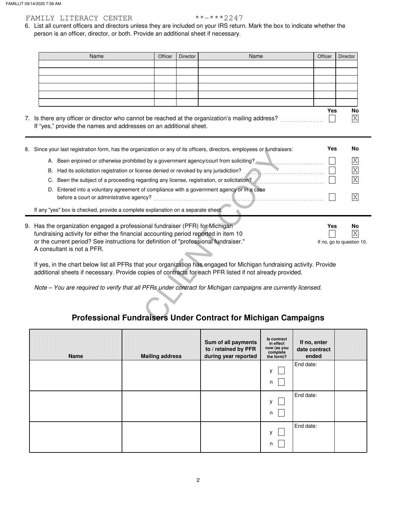## FAMILY LITERACY CENTER \*\*-\*\*\*2247

person is an officer, director, or both. Provide an additional sheet if necessary. 6. List all current officers and directors unless they are included on your IRS return. Mark the box to indicate whether the

| Name                                                                                         | Officer | Director | Name | Officer | Director |
|----------------------------------------------------------------------------------------------|---------|----------|------|---------|----------|
|                                                                                              |         |          |      |         |          |
|                                                                                              |         |          |      |         |          |
|                                                                                              |         |          |      |         |          |
|                                                                                              |         |          |      |         |          |
|                                                                                              |         |          |      |         |          |
|                                                                                              |         |          |      |         |          |
|                                                                                              |         |          |      | Yes     | No       |
| s there any officer or director who cannot be reached at the organization's mailing address? |         |          |      |         | Χ        |

7. Is there any officer or director who cannot be reached at the organization's mailing address? .................. If "yes," provide the names and addresses on an additional sheet.

| 8. | Since your last registration form, has the organization or any of its officers, directors, employees or fundraisers:                                                                                                                                                                      | Yes                              | No             |  |  |  |  |
|----|-------------------------------------------------------------------------------------------------------------------------------------------------------------------------------------------------------------------------------------------------------------------------------------------|----------------------------------|----------------|--|--|--|--|
|    | A. Been enjoined or otherwise prohibited by a government agency/court from soliciting?                                                                                                                                                                                                    |                                  | X              |  |  |  |  |
|    | В.                                                                                                                                                                                                                                                                                        |                                  | $\overline{X}$ |  |  |  |  |
|    | C.                                                                                                                                                                                                                                                                                        |                                  | $\overline{X}$ |  |  |  |  |
|    | Entered into a voluntary agreement of compliance with a government agency or in a case<br>D.<br>before a court or administrative agency?                                                                                                                                                  |                                  | X              |  |  |  |  |
|    | If any "yes" box is checked, provide a complete explanation on a separate sheet.                                                                                                                                                                                                          |                                  |                |  |  |  |  |
|    | 9. Has the organization engaged a professional fundraiser (PFR) for Michigan<br>fundraising activity for either the financial accounting period reported in item 10<br>or the current period? See instructions for definition of "professional fundraiser."<br>A consultant is not a PFR. | Yes<br>If no, go to question 10. | No<br>X        |  |  |  |  |
|    | If yes, in the chart below list all PFRs that your organization has engaged for Michigan fundraising activity. Provide<br>additional sheets if necessary. Provide copies of contracts for each PFR listed if not already provided.                                                        |                                  |                |  |  |  |  |
|    | Note - You are required to verify that all PFRs under contract for Michigan campaigns are currently licensed.                                                                                                                                                                             |                                  |                |  |  |  |  |
|    | <b>Professional Fundraisers Under Contract for Michigan Campaigns</b>                                                                                                                                                                                                                     |                                  |                |  |  |  |  |

# **Professional Fundraisers Under Contract for Michigan Campaigns**

| Name | <b>Mailing address</b> | Sum of all payments<br>to / retained by PFR<br>during year reported | Is contract<br>in effect<br>now (as you<br>complete<br>the form)? | If no, enter<br>date contract<br>ended |  |
|------|------------------------|---------------------------------------------------------------------|-------------------------------------------------------------------|----------------------------------------|--|
|      |                        |                                                                     | $\mathsf{V}$<br>n                                                 | End date:                              |  |
|      |                        |                                                                     | v<br>n                                                            | End date:                              |  |
|      |                        |                                                                     | $\mathbf{v}$<br>n                                                 | End date:                              |  |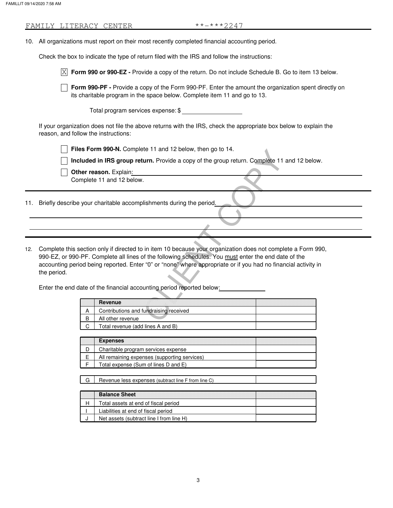|     |             |   | FAMILY LITERACY CENTER                                                                                                                                                            | **-***2247 |  |
|-----|-------------|---|-----------------------------------------------------------------------------------------------------------------------------------------------------------------------------------|------------|--|
|     |             |   | 10. All organizations must report on their most recently completed financial accounting period.                                                                                   |            |  |
|     |             |   | Check the box to indicate the type of return filed with the IRS and follow the instructions:                                                                                      |            |  |
|     |             |   | $\overline{X}$ Form 990 or 990-EZ - Provide a copy of the return. Do not include Schedule B. Go to item 13 below.                                                                 |            |  |
|     |             |   | Form 990-PF - Provide a copy of the Form 990-PF. Enter the amount the organization spent directly on<br>its charitable program in the space below. Complete item 11 and go to 13. |            |  |
|     |             |   | Total program services expense: \$                                                                                                                                                |            |  |
|     |             |   | If your organization does not file the above returns with the IRS, check the appropriate box below to explain the<br>reason, and follow the instructions:                         |            |  |
|     |             |   | Files Form 990-N. Complete 11 and 12 below, then go to 14.                                                                                                                        |            |  |
|     |             |   | Included in IRS group return. Provide a copy of the group return. Complete 11 and 12 below.                                                                                       |            |  |
|     |             |   | Other reason. Explain:                                                                                                                                                            |            |  |
|     |             |   | Complete 11 and 12 below.                                                                                                                                                         |            |  |
|     |             |   |                                                                                                                                                                                   |            |  |
|     |             |   | 11. Briefly describe your charitable accomplishments during the period.                                                                                                           |            |  |
|     |             |   |                                                                                                                                                                                   |            |  |
|     |             |   |                                                                                                                                                                                   |            |  |
|     |             |   |                                                                                                                                                                                   |            |  |
|     |             |   |                                                                                                                                                                                   |            |  |
| 12. |             |   | Complete this section only if directed to in item 10 because your organization does not complete a Form 990,                                                                      |            |  |
|     |             |   | 990-EZ, or 990-PF. Complete all lines of the following schedules. You must enter the end date of the                                                                              |            |  |
|     | the period. |   | accounting period being reported. Enter "0" or "none" where appropriate or if you had no financial activity in                                                                    |            |  |
|     |             |   |                                                                                                                                                                                   |            |  |
|     |             |   | Enter the end date of the financial accounting period reported below:                                                                                                             |            |  |
|     |             |   | <b>Revenue</b>                                                                                                                                                                    |            |  |
|     |             | A | Contributions and fundraising received                                                                                                                                            |            |  |
|     |             | B | All other revenue                                                                                                                                                                 |            |  |

| Revenue                                |  |
|----------------------------------------|--|
| Contributions and fundraising received |  |
| All other revenue                      |  |
| Total revenue (add lines A and B)      |  |

| <b>Expenses</b>                              |  |
|----------------------------------------------|--|
| Charitable program services expense          |  |
| All remaining expenses (supporting services) |  |
| Total expense (Sum of lines D and E)         |  |

|  |  | Revenue less expenses (subtract line F from line C) |  |
|--|--|-----------------------------------------------------|--|
|--|--|-----------------------------------------------------|--|

| <b>Balance Sheet</b>                     |  |
|------------------------------------------|--|
| Total assets at end of fiscal period     |  |
| Liabilities at end of fiscal period      |  |
| Net assets (subtract line I from line H) |  |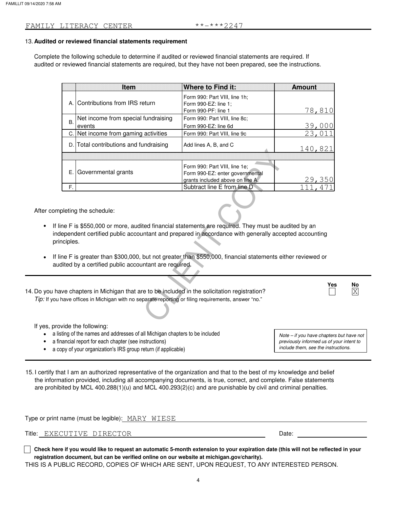### **Audited or reviewed financial statements requirement** 13.

Complete the following schedule to determine if audited or reviewed financial statements are required. If audited or reviewed financial statements are required, but they have not been prepared, see the instructions.

|                                                                                                                                                                                                                                                                                                                                                                                                                   | <b>Item</b>                            | <b>Where to Find it:</b>                                                     | <b>Amount</b>  |  |  |  |
|-------------------------------------------------------------------------------------------------------------------------------------------------------------------------------------------------------------------------------------------------------------------------------------------------------------------------------------------------------------------------------------------------------------------|----------------------------------------|------------------------------------------------------------------------------|----------------|--|--|--|
|                                                                                                                                                                                                                                                                                                                                                                                                                   | A. Contributions from IRS return       | Form 990: Part VIII, line 1h;<br>Form 990-EZ: line 1;<br>Form 990-PF: line 1 | 78,810         |  |  |  |
|                                                                                                                                                                                                                                                                                                                                                                                                                   | Net income from special fundraising    | Form 990: Part VIII, line 8c;                                                |                |  |  |  |
| <b>B.</b>                                                                                                                                                                                                                                                                                                                                                                                                         | events                                 | Form 990-EZ: line 6d                                                         | 39,000         |  |  |  |
|                                                                                                                                                                                                                                                                                                                                                                                                                   | C. Net income from gaming activities   | Form 990: Part VIII, line 9c                                                 | 23,0 <u>11</u> |  |  |  |
|                                                                                                                                                                                                                                                                                                                                                                                                                   | D. Total contributions and fundraising | Add lines A, B, and C                                                        | 140,821        |  |  |  |
|                                                                                                                                                                                                                                                                                                                                                                                                                   |                                        |                                                                              |                |  |  |  |
|                                                                                                                                                                                                                                                                                                                                                                                                                   |                                        | Form 990: Part VIII, line 1e;                                                |                |  |  |  |
|                                                                                                                                                                                                                                                                                                                                                                                                                   | E. Governmental grants                 | Form 990-EZ: enter governmental                                              |                |  |  |  |
|                                                                                                                                                                                                                                                                                                                                                                                                                   |                                        | grants included above on line A.                                             | 29,350         |  |  |  |
| F.                                                                                                                                                                                                                                                                                                                                                                                                                |                                        | Subtract line E from line D                                                  |                |  |  |  |
| pleting the schedule:<br>ine F is \$550,000 or more, audited financial statements are required. They must be audited by an<br>lependent certified public accountant and prepared in accordance with generally accepted accounting<br>nciples.<br>ine F is greater than \$300,000, but not greater than \$550,000, financial statements either reviewed or<br>dited by a certified public accountant are required. |                                        |                                                                              |                |  |  |  |
| Ye:<br>ave chapters in Michigan that are to be included in the solicitation registration?<br>have offices in Michigan with no separate reporting or filing requirements, answer "no."                                                                                                                                                                                                                             |                                        |                                                                              |                |  |  |  |

After completing the schedule:

- If line F is \$550,000 or more, audited financial statements are required. They must be audited by an independent certified public accountant and prepared in accordance with generally accepted accounting principles.
- If line F is greater than \$300,000, but not greater than \$550,000, financial statements either reviewed or audited by a certified public accountant are required.

14. Do you have chapters in Michigan that are to be included in the solicitation registration? *Tip:* If you have offices in Michigan with no separate reporting or filing requirements, answer "no."

If yes, provide the following:

- a listing of the names and addresses of all Michigan chapters to be included
- a financial report for each chapter (see instructions)
- a copy of your organization's IRS group return (if applicable)

*include them, see the instructions. previously informed us of your intent to Note – if you have chapters but have not*

**Yes No** X

15. I certify that I am an authorized representative of the organization and that to the best of my knowledge and belief the information provided, including all accompanying documents, is true, correct, and complete. False statements are prohibited by MCL 400.288(1)(u) and MCL 400.293(2)(c) and are punishable by civil and criminal penalties.

| Type or print name (must be legible): MARY WIESE |                                                                                                                                                                                                                                                                                                                                    |       |  |
|--------------------------------------------------|------------------------------------------------------------------------------------------------------------------------------------------------------------------------------------------------------------------------------------------------------------------------------------------------------------------------------------|-------|--|
|                                                  | Title: EXECUTIVE DIRECTOR                                                                                                                                                                                                                                                                                                          | Date: |  |
|                                                  | $\overline{a}$ and $\overline{a}$ and $\overline{a}$ and $\overline{a}$ and $\overline{a}$ and $\overline{a}$ and $\overline{a}$ and $\overline{a}$ and $\overline{a}$ and $\overline{a}$ and $\overline{a}$ and $\overline{a}$ and $\overline{a}$ and $\overline{a}$ and $\overline{a}$ and $\overline{a}$ and $\overline{a}$ and |       |  |

**Check here if you would like to request an automatic 5-month extension to your expiration date (this will not be reflected in your registration document, but can be verified online on our website at michigan.gov/charity).**

THIS IS A PUBLIC RECORD, COPIES OF WHICH ARE SENT, UPON REQUEST, TO ANY INTERESTED PERSON.